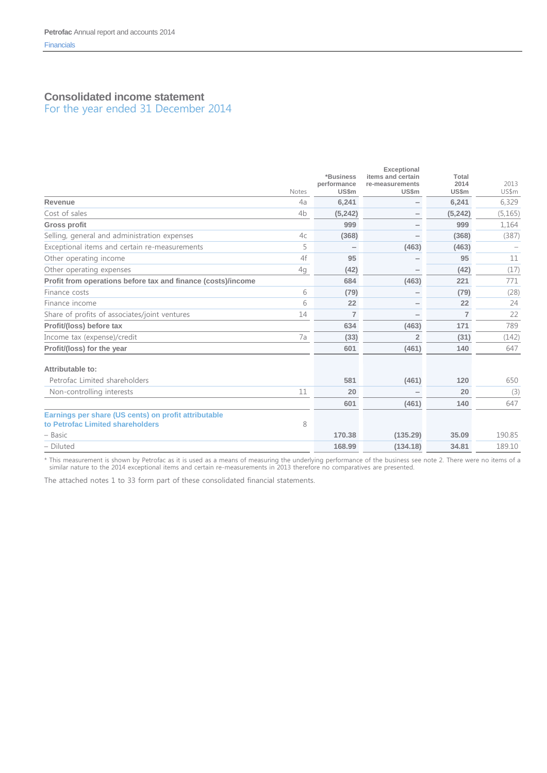# **Consolidated income statement**

For the year ended 31 December 2014

|                                                                                          |                | *Business                   | <b>Exceptional</b><br>items and certain | Total          |               |
|------------------------------------------------------------------------------------------|----------------|-----------------------------|-----------------------------------------|----------------|---------------|
|                                                                                          | Notes          | performance<br><b>US\$m</b> | re-measurements<br><b>US\$m</b>         | 2014<br>US\$m  | 2013<br>US\$m |
| Revenue                                                                                  | 4a             | 6,241                       | $\overline{\phantom{0}}$                | 6,241          | 6,329         |
| Cost of sales                                                                            | 4 <sub>b</sub> | (5, 242)                    | $\qquad \qquad$                         | (5, 242)       | (5, 165)      |
| <b>Gross profit</b>                                                                      |                | 999                         |                                         | 999            | 1,164         |
| Selling, general and administration expenses                                             | 4c             | (368)                       |                                         | (368)          | (387)         |
| Exceptional items and certain re-measurements                                            | 5              |                             | (463)                                   | (463)          |               |
| Other operating income                                                                   | 4f             | 95                          |                                         | 95             | 11            |
| Other operating expenses                                                                 | 4g             | (42)                        |                                         | (42)           | (17)          |
| Profit from operations before tax and finance (costs)/income                             |                | 684                         | (463)                                   | 221            | 771           |
| Finance costs                                                                            | 6              | (79)                        |                                         | (79)           | (28)          |
| Finance income                                                                           | 6              | 22                          |                                         | 22             | 24            |
| Share of profits of associates/joint ventures                                            | 14             | $\overline{7}$              |                                         | $\overline{7}$ | 22            |
| Profit/(loss) before tax                                                                 |                | 634                         | (463)                                   | 171            | 789           |
| Income tax (expense)/credit                                                              | 7a             | (33)                        | $\overline{2}$                          | (31)           | (142)         |
| Profit/(loss) for the year                                                               |                | 601                         | (461)                                   | 140            | 647           |
| Attributable to:                                                                         |                |                             |                                         |                |               |
| Petrofac Limited shareholders                                                            |                | 581                         | (461)                                   | 120            | 650           |
| Non-controlling interests                                                                | 11             | 20                          |                                         | 20             | (3)           |
|                                                                                          |                | 601                         | (461)                                   | 140            | 647           |
| Earnings per share (US cents) on profit attributable<br>to Petrofac Limited shareholders | 8              |                             |                                         |                |               |
| – Basic                                                                                  |                | 170.38                      | (135.29)                                | 35.09          | 190.85        |
| - Diluted                                                                                |                | 168.99                      | (134.18)                                | 34.81          | 189.10        |

\* This measurement is shown by Petrofac as it is used as a means of measuring the underlying performance of the business see note 2. There were no items of a similar nature to the 2014 exceptional items and certain re-measurements in 2013 therefore no comparatives are presented.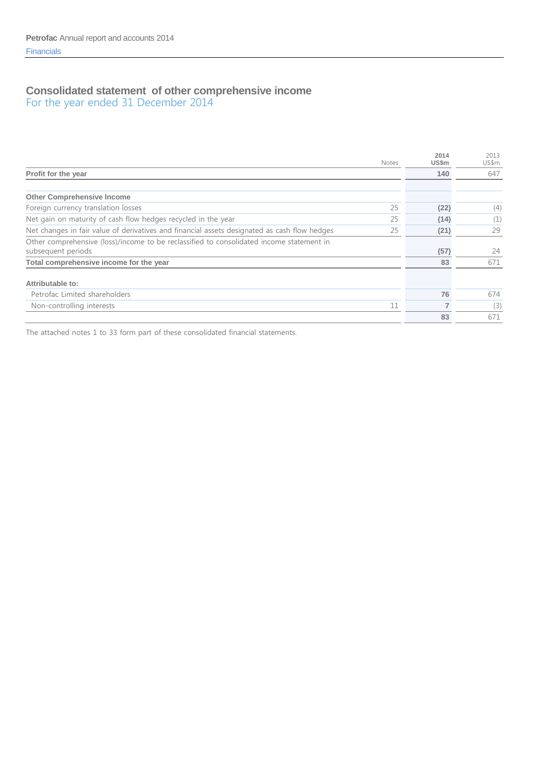# **Consolidated statement of other comprehensive income**

For the year ended 31 December 2014

|                                                                                              | <b>Notes</b> | 2014<br>US\$m | 2013<br>US\$m |
|----------------------------------------------------------------------------------------------|--------------|---------------|---------------|
| Profit for the year                                                                          |              | 140           | 647           |
|                                                                                              |              |               |               |
| <b>Other Comprehensive Income</b>                                                            |              |               |               |
| Foreign currency translation losses                                                          | 25           | (22)          | (4)           |
| Net gain on maturity of cash flow hedges recycled in the year                                | 25           | (14)          | (1)           |
| Net changes in fair value of derivatives and financial assets designated as cash flow hedges | 25           | (21)          | 29            |
| Other comprehensive (loss)/income to be reclassified to consolidated income statement in     |              |               |               |
| subsequent periods                                                                           |              | (57)          | 24            |
| Total comprehensive income for the year                                                      |              | 83            | 671           |
| Attributable to:                                                                             |              |               |               |
| Petrofac Limited shareholders                                                                |              | 76            | 674           |
| Non-controlling interests                                                                    | 11           |               | (3)           |
|                                                                                              |              | 83            | 671           |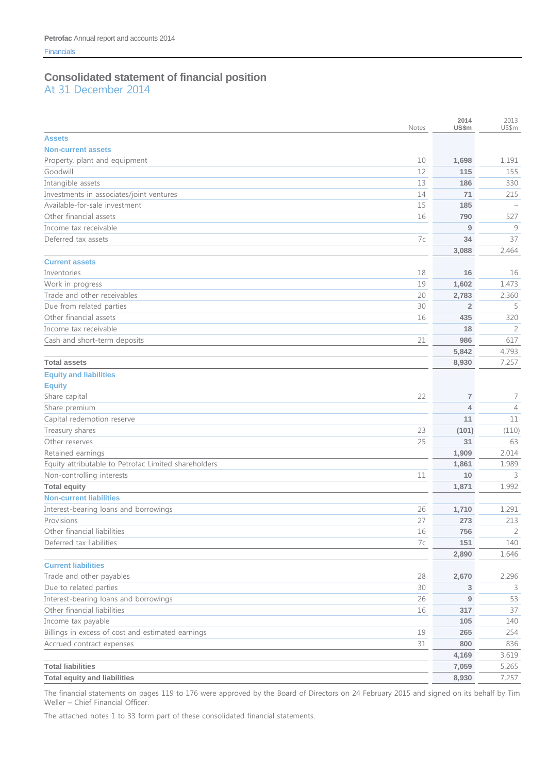# **Consolidated statement of financial position**

At 31 December 2014

| <b>Assets</b><br><b>Non-current assets</b><br>Property, plant and equipment<br>1,698<br>10<br>1,191<br>Goodwill<br>115<br>12<br>155<br>13<br>186<br>330<br>71<br>14<br>215<br>Available-for-sale investment<br>15<br>185<br>Other financial assets<br>16<br>790<br>527<br>9<br>9<br>Deferred tax assets<br>7c<br>34<br>37<br>3,088<br>2,464<br><b>Current assets</b><br>18<br>16<br>16<br>1,602<br>1,473<br>19<br>Trade and other receivables<br>20<br>2,783<br>2,360<br>Due from related parties<br>30<br>$\overline{2}$<br>5<br>Other financial assets<br>320<br>16<br>435<br>18<br>2<br>Cash and short-term deposits<br>21<br>986<br>617<br>5,842<br>4,793<br>7,257<br><b>Total assets</b><br>8,930<br><b>Equity and liabilities</b><br><b>Equity</b><br>22<br>Share capital<br>7<br>7<br>Share premium<br>$\overline{4}$<br>$\overline{4}$<br>Capital redemption reserve<br>11<br>11<br>Treasury shares<br>23<br>(101)<br>(110)<br>Other reserves<br>25<br>31<br>63<br>Retained earnings<br>1,909<br>2,014<br>Equity attributable to Petrofac Limited shareholders<br>1,861<br>1,989<br>Non-controlling interests<br>11<br>10<br>3<br>1,992<br><b>Total equity</b><br>1,871<br><b>Non-current liabilities</b><br>Interest-bearing loans and borrowings<br>26<br>1,710<br>1,291<br>Provisions<br>27<br>273<br>213<br>Other financial liabilities<br>16<br>756<br>2<br>Deferred tax liabilities<br>140<br>7c<br>151<br>2,890<br>1,646<br><b>Current liabilities</b><br>Trade and other payables<br>2,296<br>28<br>2,670<br>Due to related parties<br>30<br>3<br>3<br>Interest-bearing loans and borrowings<br>26<br>9<br>53<br>Other financial liabilities<br>37<br>16<br>317<br>Income tax payable<br>140<br>105<br>Billings in excess of cost and estimated earnings<br>254<br>19<br>265<br>Accrued contract expenses<br>31<br>800<br>836<br>4,169<br>3,619<br><b>Total liabilities</b><br>7,059<br>5,265<br><b>Total equity and liabilities</b><br>8,930<br>7,257 |                                          | Notes | 2014<br>US\$m | 2013<br>US\$m |
|------------------------------------------------------------------------------------------------------------------------------------------------------------------------------------------------------------------------------------------------------------------------------------------------------------------------------------------------------------------------------------------------------------------------------------------------------------------------------------------------------------------------------------------------------------------------------------------------------------------------------------------------------------------------------------------------------------------------------------------------------------------------------------------------------------------------------------------------------------------------------------------------------------------------------------------------------------------------------------------------------------------------------------------------------------------------------------------------------------------------------------------------------------------------------------------------------------------------------------------------------------------------------------------------------------------------------------------------------------------------------------------------------------------------------------------------------------------------------------------------------------------------------------------------------------------------------------------------------------------------------------------------------------------------------------------------------------------------------------------------------------------------------------------------------------------------------------------------------------------------------------------------------------------------------------------------------------------------|------------------------------------------|-------|---------------|---------------|
|                                                                                                                                                                                                                                                                                                                                                                                                                                                                                                                                                                                                                                                                                                                                                                                                                                                                                                                                                                                                                                                                                                                                                                                                                                                                                                                                                                                                                                                                                                                                                                                                                                                                                                                                                                                                                                                                                                                                                                        |                                          |       |               |               |
|                                                                                                                                                                                                                                                                                                                                                                                                                                                                                                                                                                                                                                                                                                                                                                                                                                                                                                                                                                                                                                                                                                                                                                                                                                                                                                                                                                                                                                                                                                                                                                                                                                                                                                                                                                                                                                                                                                                                                                        |                                          |       |               |               |
|                                                                                                                                                                                                                                                                                                                                                                                                                                                                                                                                                                                                                                                                                                                                                                                                                                                                                                                                                                                                                                                                                                                                                                                                                                                                                                                                                                                                                                                                                                                                                                                                                                                                                                                                                                                                                                                                                                                                                                        |                                          |       |               |               |
|                                                                                                                                                                                                                                                                                                                                                                                                                                                                                                                                                                                                                                                                                                                                                                                                                                                                                                                                                                                                                                                                                                                                                                                                                                                                                                                                                                                                                                                                                                                                                                                                                                                                                                                                                                                                                                                                                                                                                                        |                                          |       |               |               |
|                                                                                                                                                                                                                                                                                                                                                                                                                                                                                                                                                                                                                                                                                                                                                                                                                                                                                                                                                                                                                                                                                                                                                                                                                                                                                                                                                                                                                                                                                                                                                                                                                                                                                                                                                                                                                                                                                                                                                                        | Intangible assets                        |       |               |               |
|                                                                                                                                                                                                                                                                                                                                                                                                                                                                                                                                                                                                                                                                                                                                                                                                                                                                                                                                                                                                                                                                                                                                                                                                                                                                                                                                                                                                                                                                                                                                                                                                                                                                                                                                                                                                                                                                                                                                                                        | Investments in associates/joint ventures |       |               |               |
|                                                                                                                                                                                                                                                                                                                                                                                                                                                                                                                                                                                                                                                                                                                                                                                                                                                                                                                                                                                                                                                                                                                                                                                                                                                                                                                                                                                                                                                                                                                                                                                                                                                                                                                                                                                                                                                                                                                                                                        |                                          |       |               |               |
|                                                                                                                                                                                                                                                                                                                                                                                                                                                                                                                                                                                                                                                                                                                                                                                                                                                                                                                                                                                                                                                                                                                                                                                                                                                                                                                                                                                                                                                                                                                                                                                                                                                                                                                                                                                                                                                                                                                                                                        |                                          |       |               |               |
|                                                                                                                                                                                                                                                                                                                                                                                                                                                                                                                                                                                                                                                                                                                                                                                                                                                                                                                                                                                                                                                                                                                                                                                                                                                                                                                                                                                                                                                                                                                                                                                                                                                                                                                                                                                                                                                                                                                                                                        | Income tax receivable                    |       |               |               |
|                                                                                                                                                                                                                                                                                                                                                                                                                                                                                                                                                                                                                                                                                                                                                                                                                                                                                                                                                                                                                                                                                                                                                                                                                                                                                                                                                                                                                                                                                                                                                                                                                                                                                                                                                                                                                                                                                                                                                                        |                                          |       |               |               |
|                                                                                                                                                                                                                                                                                                                                                                                                                                                                                                                                                                                                                                                                                                                                                                                                                                                                                                                                                                                                                                                                                                                                                                                                                                                                                                                                                                                                                                                                                                                                                                                                                                                                                                                                                                                                                                                                                                                                                                        |                                          |       |               |               |
|                                                                                                                                                                                                                                                                                                                                                                                                                                                                                                                                                                                                                                                                                                                                                                                                                                                                                                                                                                                                                                                                                                                                                                                                                                                                                                                                                                                                                                                                                                                                                                                                                                                                                                                                                                                                                                                                                                                                                                        |                                          |       |               |               |
|                                                                                                                                                                                                                                                                                                                                                                                                                                                                                                                                                                                                                                                                                                                                                                                                                                                                                                                                                                                                                                                                                                                                                                                                                                                                                                                                                                                                                                                                                                                                                                                                                                                                                                                                                                                                                                                                                                                                                                        | Inventories                              |       |               |               |
|                                                                                                                                                                                                                                                                                                                                                                                                                                                                                                                                                                                                                                                                                                                                                                                                                                                                                                                                                                                                                                                                                                                                                                                                                                                                                                                                                                                                                                                                                                                                                                                                                                                                                                                                                                                                                                                                                                                                                                        | Work in progress                         |       |               |               |
|                                                                                                                                                                                                                                                                                                                                                                                                                                                                                                                                                                                                                                                                                                                                                                                                                                                                                                                                                                                                                                                                                                                                                                                                                                                                                                                                                                                                                                                                                                                                                                                                                                                                                                                                                                                                                                                                                                                                                                        |                                          |       |               |               |
|                                                                                                                                                                                                                                                                                                                                                                                                                                                                                                                                                                                                                                                                                                                                                                                                                                                                                                                                                                                                                                                                                                                                                                                                                                                                                                                                                                                                                                                                                                                                                                                                                                                                                                                                                                                                                                                                                                                                                                        |                                          |       |               |               |
|                                                                                                                                                                                                                                                                                                                                                                                                                                                                                                                                                                                                                                                                                                                                                                                                                                                                                                                                                                                                                                                                                                                                                                                                                                                                                                                                                                                                                                                                                                                                                                                                                                                                                                                                                                                                                                                                                                                                                                        |                                          |       |               |               |
|                                                                                                                                                                                                                                                                                                                                                                                                                                                                                                                                                                                                                                                                                                                                                                                                                                                                                                                                                                                                                                                                                                                                                                                                                                                                                                                                                                                                                                                                                                                                                                                                                                                                                                                                                                                                                                                                                                                                                                        | Income tax receivable                    |       |               |               |
|                                                                                                                                                                                                                                                                                                                                                                                                                                                                                                                                                                                                                                                                                                                                                                                                                                                                                                                                                                                                                                                                                                                                                                                                                                                                                                                                                                                                                                                                                                                                                                                                                                                                                                                                                                                                                                                                                                                                                                        |                                          |       |               |               |
|                                                                                                                                                                                                                                                                                                                                                                                                                                                                                                                                                                                                                                                                                                                                                                                                                                                                                                                                                                                                                                                                                                                                                                                                                                                                                                                                                                                                                                                                                                                                                                                                                                                                                                                                                                                                                                                                                                                                                                        |                                          |       |               |               |
|                                                                                                                                                                                                                                                                                                                                                                                                                                                                                                                                                                                                                                                                                                                                                                                                                                                                                                                                                                                                                                                                                                                                                                                                                                                                                                                                                                                                                                                                                                                                                                                                                                                                                                                                                                                                                                                                                                                                                                        |                                          |       |               |               |
|                                                                                                                                                                                                                                                                                                                                                                                                                                                                                                                                                                                                                                                                                                                                                                                                                                                                                                                                                                                                                                                                                                                                                                                                                                                                                                                                                                                                                                                                                                                                                                                                                                                                                                                                                                                                                                                                                                                                                                        |                                          |       |               |               |
|                                                                                                                                                                                                                                                                                                                                                                                                                                                                                                                                                                                                                                                                                                                                                                                                                                                                                                                                                                                                                                                                                                                                                                                                                                                                                                                                                                                                                                                                                                                                                                                                                                                                                                                                                                                                                                                                                                                                                                        |                                          |       |               |               |
|                                                                                                                                                                                                                                                                                                                                                                                                                                                                                                                                                                                                                                                                                                                                                                                                                                                                                                                                                                                                                                                                                                                                                                                                                                                                                                                                                                                                                                                                                                                                                                                                                                                                                                                                                                                                                                                                                                                                                                        |                                          |       |               |               |
|                                                                                                                                                                                                                                                                                                                                                                                                                                                                                                                                                                                                                                                                                                                                                                                                                                                                                                                                                                                                                                                                                                                                                                                                                                                                                                                                                                                                                                                                                                                                                                                                                                                                                                                                                                                                                                                                                                                                                                        |                                          |       |               |               |
|                                                                                                                                                                                                                                                                                                                                                                                                                                                                                                                                                                                                                                                                                                                                                                                                                                                                                                                                                                                                                                                                                                                                                                                                                                                                                                                                                                                                                                                                                                                                                                                                                                                                                                                                                                                                                                                                                                                                                                        |                                          |       |               |               |
|                                                                                                                                                                                                                                                                                                                                                                                                                                                                                                                                                                                                                                                                                                                                                                                                                                                                                                                                                                                                                                                                                                                                                                                                                                                                                                                                                                                                                                                                                                                                                                                                                                                                                                                                                                                                                                                                                                                                                                        |                                          |       |               |               |
|                                                                                                                                                                                                                                                                                                                                                                                                                                                                                                                                                                                                                                                                                                                                                                                                                                                                                                                                                                                                                                                                                                                                                                                                                                                                                                                                                                                                                                                                                                                                                                                                                                                                                                                                                                                                                                                                                                                                                                        |                                          |       |               |               |
|                                                                                                                                                                                                                                                                                                                                                                                                                                                                                                                                                                                                                                                                                                                                                                                                                                                                                                                                                                                                                                                                                                                                                                                                                                                                                                                                                                                                                                                                                                                                                                                                                                                                                                                                                                                                                                                                                                                                                                        |                                          |       |               |               |
|                                                                                                                                                                                                                                                                                                                                                                                                                                                                                                                                                                                                                                                                                                                                                                                                                                                                                                                                                                                                                                                                                                                                                                                                                                                                                                                                                                                                                                                                                                                                                                                                                                                                                                                                                                                                                                                                                                                                                                        |                                          |       |               |               |
|                                                                                                                                                                                                                                                                                                                                                                                                                                                                                                                                                                                                                                                                                                                                                                                                                                                                                                                                                                                                                                                                                                                                                                                                                                                                                                                                                                                                                                                                                                                                                                                                                                                                                                                                                                                                                                                                                                                                                                        |                                          |       |               |               |
|                                                                                                                                                                                                                                                                                                                                                                                                                                                                                                                                                                                                                                                                                                                                                                                                                                                                                                                                                                                                                                                                                                                                                                                                                                                                                                                                                                                                                                                                                                                                                                                                                                                                                                                                                                                                                                                                                                                                                                        |                                          |       |               |               |
|                                                                                                                                                                                                                                                                                                                                                                                                                                                                                                                                                                                                                                                                                                                                                                                                                                                                                                                                                                                                                                                                                                                                                                                                                                                                                                                                                                                                                                                                                                                                                                                                                                                                                                                                                                                                                                                                                                                                                                        |                                          |       |               |               |
|                                                                                                                                                                                                                                                                                                                                                                                                                                                                                                                                                                                                                                                                                                                                                                                                                                                                                                                                                                                                                                                                                                                                                                                                                                                                                                                                                                                                                                                                                                                                                                                                                                                                                                                                                                                                                                                                                                                                                                        |                                          |       |               |               |
|                                                                                                                                                                                                                                                                                                                                                                                                                                                                                                                                                                                                                                                                                                                                                                                                                                                                                                                                                                                                                                                                                                                                                                                                                                                                                                                                                                                                                                                                                                                                                                                                                                                                                                                                                                                                                                                                                                                                                                        |                                          |       |               |               |
|                                                                                                                                                                                                                                                                                                                                                                                                                                                                                                                                                                                                                                                                                                                                                                                                                                                                                                                                                                                                                                                                                                                                                                                                                                                                                                                                                                                                                                                                                                                                                                                                                                                                                                                                                                                                                                                                                                                                                                        |                                          |       |               |               |
|                                                                                                                                                                                                                                                                                                                                                                                                                                                                                                                                                                                                                                                                                                                                                                                                                                                                                                                                                                                                                                                                                                                                                                                                                                                                                                                                                                                                                                                                                                                                                                                                                                                                                                                                                                                                                                                                                                                                                                        |                                          |       |               |               |
|                                                                                                                                                                                                                                                                                                                                                                                                                                                                                                                                                                                                                                                                                                                                                                                                                                                                                                                                                                                                                                                                                                                                                                                                                                                                                                                                                                                                                                                                                                                                                                                                                                                                                                                                                                                                                                                                                                                                                                        |                                          |       |               |               |
|                                                                                                                                                                                                                                                                                                                                                                                                                                                                                                                                                                                                                                                                                                                                                                                                                                                                                                                                                                                                                                                                                                                                                                                                                                                                                                                                                                                                                                                                                                                                                                                                                                                                                                                                                                                                                                                                                                                                                                        |                                          |       |               |               |
|                                                                                                                                                                                                                                                                                                                                                                                                                                                                                                                                                                                                                                                                                                                                                                                                                                                                                                                                                                                                                                                                                                                                                                                                                                                                                                                                                                                                                                                                                                                                                                                                                                                                                                                                                                                                                                                                                                                                                                        |                                          |       |               |               |
|                                                                                                                                                                                                                                                                                                                                                                                                                                                                                                                                                                                                                                                                                                                                                                                                                                                                                                                                                                                                                                                                                                                                                                                                                                                                                                                                                                                                                                                                                                                                                                                                                                                                                                                                                                                                                                                                                                                                                                        |                                          |       |               |               |
|                                                                                                                                                                                                                                                                                                                                                                                                                                                                                                                                                                                                                                                                                                                                                                                                                                                                                                                                                                                                                                                                                                                                                                                                                                                                                                                                                                                                                                                                                                                                                                                                                                                                                                                                                                                                                                                                                                                                                                        |                                          |       |               |               |
|                                                                                                                                                                                                                                                                                                                                                                                                                                                                                                                                                                                                                                                                                                                                                                                                                                                                                                                                                                                                                                                                                                                                                                                                                                                                                                                                                                                                                                                                                                                                                                                                                                                                                                                                                                                                                                                                                                                                                                        |                                          |       |               |               |
|                                                                                                                                                                                                                                                                                                                                                                                                                                                                                                                                                                                                                                                                                                                                                                                                                                                                                                                                                                                                                                                                                                                                                                                                                                                                                                                                                                                                                                                                                                                                                                                                                                                                                                                                                                                                                                                                                                                                                                        |                                          |       |               |               |
|                                                                                                                                                                                                                                                                                                                                                                                                                                                                                                                                                                                                                                                                                                                                                                                                                                                                                                                                                                                                                                                                                                                                                                                                                                                                                                                                                                                                                                                                                                                                                                                                                                                                                                                                                                                                                                                                                                                                                                        |                                          |       |               |               |
|                                                                                                                                                                                                                                                                                                                                                                                                                                                                                                                                                                                                                                                                                                                                                                                                                                                                                                                                                                                                                                                                                                                                                                                                                                                                                                                                                                                                                                                                                                                                                                                                                                                                                                                                                                                                                                                                                                                                                                        |                                          |       |               |               |
|                                                                                                                                                                                                                                                                                                                                                                                                                                                                                                                                                                                                                                                                                                                                                                                                                                                                                                                                                                                                                                                                                                                                                                                                                                                                                                                                                                                                                                                                                                                                                                                                                                                                                                                                                                                                                                                                                                                                                                        |                                          |       |               |               |
|                                                                                                                                                                                                                                                                                                                                                                                                                                                                                                                                                                                                                                                                                                                                                                                                                                                                                                                                                                                                                                                                                                                                                                                                                                                                                                                                                                                                                                                                                                                                                                                                                                                                                                                                                                                                                                                                                                                                                                        |                                          |       |               |               |
|                                                                                                                                                                                                                                                                                                                                                                                                                                                                                                                                                                                                                                                                                                                                                                                                                                                                                                                                                                                                                                                                                                                                                                                                                                                                                                                                                                                                                                                                                                                                                                                                                                                                                                                                                                                                                                                                                                                                                                        |                                          |       |               |               |

The financial statements on pages 119 to 176 were approved by the Board of Directors on 24 February 2015 and signed on its behalf by Tim Weller – Chief Financial Officer.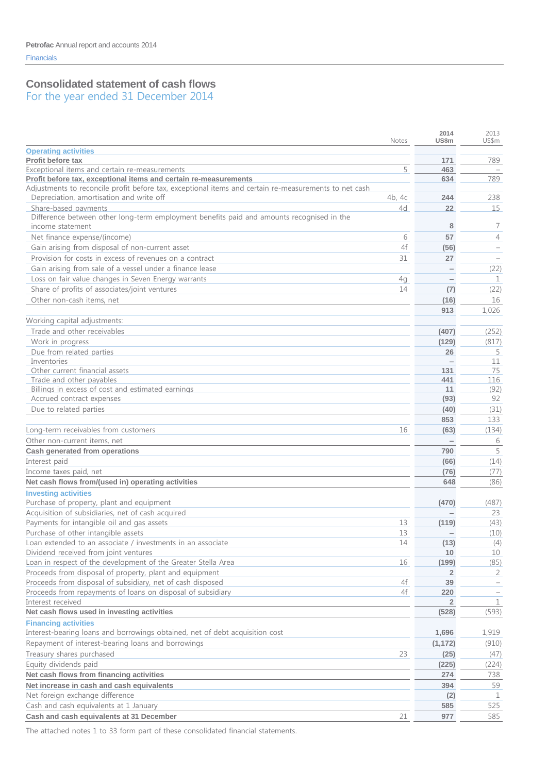# **Consolidated statement of cash flows**

For the year ended 31 December 2014

|                                                                                                       |        | 2014<br>US\$m   | 2013<br>US\$m                   |
|-------------------------------------------------------------------------------------------------------|--------|-----------------|---------------------------------|
|                                                                                                       | Notes  |                 |                                 |
| <b>Operating activities</b><br>Profit before tax                                                      |        | 171             | 789                             |
| Exceptional items and certain re-measurements                                                         | 5      | 463             | $\hspace{0.1mm}-\hspace{0.1mm}$ |
| Profit before tax, exceptional items and certain re-measurements                                      |        | 634             | 789                             |
| Adjustments to reconcile profit before tax, exceptional items and certain re-measurements to net cash |        |                 |                                 |
| Depreciation, amortisation and write off                                                              | 4b, 4c | 244             | 238                             |
| Share-based payments                                                                                  | 4d     | 22              | 15                              |
| Difference between other long-term employment benefits paid and amounts recognised in the             |        |                 |                                 |
| income statement                                                                                      |        | 8               | 7                               |
| Net finance expense/(income)                                                                          | 6      | 57              | $\overline{4}$                  |
| Gain arising from disposal of non-current asset                                                       | 4f     | (56)            |                                 |
| Provision for costs in excess of revenues on a contract                                               | 31     | 27              | $\overline{\phantom{a}}$        |
| Gain arising from sale of a vessel under a finance lease                                              |        |                 | (22)                            |
| Loss on fair value changes in Seven Energy warrants                                                   | 4g     |                 | 1                               |
| Share of profits of associates/joint ventures                                                         | 14     | (7)             | (22)                            |
| Other non-cash items, net                                                                             |        | (16)            | 16                              |
|                                                                                                       |        | 913             | 1,026                           |
| Working capital adjustments:                                                                          |        |                 |                                 |
| Trade and other receivables                                                                           |        | (407)           | (252)                           |
| Work in progress                                                                                      |        | (129)           | (817)                           |
| Due from related parties                                                                              |        | 26              | 5                               |
| Inventories                                                                                           |        |                 | 11                              |
| Other current financial assets                                                                        |        | 131             | 75                              |
| Trade and other pavables                                                                              |        | 441             | 116                             |
| Billings in excess of cost and estimated earnings                                                     |        | 11              | (92)                            |
| Accrued contract expenses                                                                             |        | (93)            | 92                              |
| Due to related parties                                                                                |        | (40)            | (31)                            |
|                                                                                                       |        | 853             | 133                             |
| Long-term receivables from customers                                                                  | 16     | (63)            | (134)                           |
| Other non-current items, net                                                                          |        |                 | 6                               |
| <b>Cash generated from operations</b>                                                                 |        | 790             | 5                               |
| Interest paid                                                                                         |        | (66)            | (14)                            |
| Income taxes paid, net                                                                                |        | (76)            | (77)                            |
| Net cash flows from/(used in) operating activities                                                    |        | 648             | (86)                            |
|                                                                                                       |        |                 |                                 |
| <b>Investing activities</b><br>Purchase of property, plant and equipment                              |        | (470)           |                                 |
| Acquisition of subsidiaries, net of cash acquired                                                     |        |                 | (487)<br>23                     |
| Payments for intangible oil and gas assets                                                            | 13     | (119)           | (43)                            |
| Purchase of other intangible assets                                                                   | 13     | $\qquad \qquad$ | (10)                            |
| Loan extended to an associate / investments in an associate                                           | 14     | (13)            | (4)                             |
| Dividend received from joint ventures                                                                 |        | 10              | 10                              |
| Loan in respect of the development of the Greater Stella Area                                         | 16     | (199)           | (85)                            |
| Proceeds from disposal of property, plant and equipment                                               |        | 2               | 2                               |
| Proceeds from disposal of subsidiary, net of cash disposed                                            | 4f     | 39              |                                 |
| Proceeds from repayments of loans on disposal of subsidiary                                           | 4f     | 220             |                                 |
| Interest received                                                                                     |        | $\overline{2}$  | $\mathbf 1$                     |
| Net cash flows used in investing activities                                                           |        | (528)           | (593)                           |
| <b>Financing activities</b>                                                                           |        |                 |                                 |
| Interest-bearing loans and borrowings obtained, net of debt acquisition cost                          |        | 1,696           | 1,919                           |
| Repayment of interest-bearing loans and borrowings                                                    |        | (1, 172)        | (910)                           |
| Treasury shares purchased                                                                             | 23     |                 |                                 |
|                                                                                                       |        | (25)            | (47)                            |
| Equity dividends paid                                                                                 |        | (225)           | (224)                           |
| Net cash flows from financing activities                                                              |        | 274             | 738                             |
| Net increase in cash and cash equivalents                                                             |        | 394             | 59                              |
| Net foreign exchange difference                                                                       |        | (2)             | 1                               |
| Cash and cash equivalents at 1 January                                                                |        | 585             | 525                             |
| Cash and cash equivalents at 31 December                                                              | 21     | 977             | 585                             |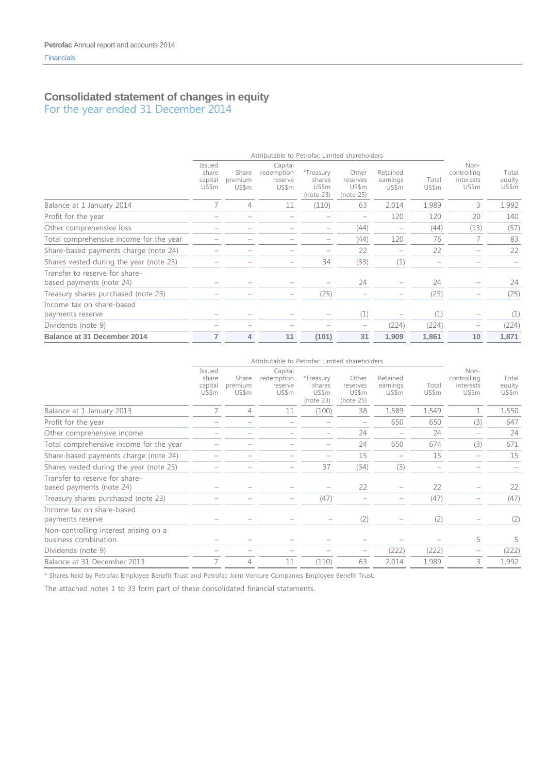### **Consolidated statement of changes in equity** For the year ended 31 December 2014

|                                                            |                                     |                           | Attributable to Petrofac Limited shareholders |                                           |                                         |                               |                |                                           |                          |
|------------------------------------------------------------|-------------------------------------|---------------------------|-----------------------------------------------|-------------------------------------------|-----------------------------------------|-------------------------------|----------------|-------------------------------------------|--------------------------|
|                                                            | Issued<br>share<br>capital<br>US\$m | Share<br>premium<br>US\$m | Capital<br>redemption<br>reserve<br>US\$m     | *Treasury<br>shares<br>US\$m<br>(note 23) | Other<br>reserves<br>US\$m<br>(note 25) | Retained<br>earnings<br>US\$m | Total<br>US\$m | Non-<br>controlling<br>interests<br>US\$m | Total<br>equity<br>US\$m |
| Balance at 1 January 2014                                  |                                     | 4                         | 11                                            | (110)                                     | 63                                      | 2,014                         | 1,989          | 3                                         | 1,992                    |
| Profit for the year                                        |                                     |                           |                                               |                                           | $\overline{\phantom{m}}$                | 120                           | 120            | 20                                        | 140                      |
| Other comprehensive loss                                   |                                     |                           |                                               |                                           | (44)                                    |                               | (44)           | (13)                                      | (57)                     |
| Total comprehensive income for the year                    |                                     |                           |                                               |                                           | (44)                                    | 120                           | 76             |                                           | 83                       |
| Share-based payments charge (note 24)                      |                                     |                           |                                               |                                           | 22                                      |                               | 22             |                                           | 22                       |
| Shares vested during the year (note 23)                    |                                     |                           |                                               | 34                                        | (33)                                    | (1)                           |                |                                           |                          |
| Transfer to reserve for share-<br>based payments (note 24) |                                     |                           |                                               |                                           | 24                                      |                               | 24             |                                           | 24                       |
| Treasury shares purchased (note 23)                        |                                     |                           |                                               | (25)                                      |                                         |                               | (25)           |                                           | (25)                     |
| Income tax on share-based<br>payments reserve              |                                     |                           |                                               |                                           | (1)                                     |                               | (1)            |                                           | (1)                      |
| Dividends (note 9)                                         |                                     |                           |                                               |                                           | $\overline{\phantom{a}}$                | (224)                         | (224)          |                                           | (224)                    |
| Balance at 31 December 2014                                | 7                                   | 4                         | 11                                            | (101)                                     | 31                                      | 1,909                         | 1,861          | 10                                        | 1,871                    |

|                                                               |                                     |                           | Attributable to Petrofac Limited shareholders |                                           |                                         |                               |                |                                           |                          |
|---------------------------------------------------------------|-------------------------------------|---------------------------|-----------------------------------------------|-------------------------------------------|-----------------------------------------|-------------------------------|----------------|-------------------------------------------|--------------------------|
|                                                               | Issued<br>share<br>capital<br>US\$m | Share<br>premium<br>US\$m | Capital<br>redemption<br>reserve<br>US\$m     | *Treasury<br>shares<br>US\$m<br>(note 23) | Other<br>reserves<br>US\$m<br>(note 25) | Retained<br>earnings<br>US\$m | Total<br>US\$m | Non-<br>controlling<br>interests<br>US\$m | Total<br>equity<br>US\$m |
| Balance at 1 January 2013                                     |                                     | 4                         | 11                                            | (100)                                     | 38                                      | 1,589                         | 1,549          | 1                                         | 1,550                    |
| Profit for the year                                           |                                     |                           |                                               |                                           |                                         | 650                           | 650            | (3)                                       | 647                      |
| Other comprehensive income                                    |                                     |                           |                                               |                                           | 24                                      |                               | 24             |                                           | 24                       |
| Total comprehensive income for the year                       |                                     |                           |                                               |                                           | 24                                      | 650                           | 674            | (3)                                       | 671                      |
| Share-based payments charge (note 24)                         |                                     |                           |                                               |                                           | 15                                      | -                             | 15             |                                           | 15                       |
| Shares vested during the year (note 23)                       |                                     |                           |                                               | 37                                        | (34)                                    | (3)                           |                |                                           |                          |
| Transfer to reserve for share-<br>based payments (note 24)    |                                     |                           |                                               |                                           | 22                                      |                               | 22             |                                           | 22                       |
| Treasury shares purchased (note 23)                           |                                     |                           |                                               | (47)                                      |                                         |                               | (47)           |                                           | (47)                     |
| Income tax on share-based<br>payments reserve                 |                                     |                           |                                               |                                           | (2)                                     |                               | (2)            |                                           | (2)                      |
| Non-controlling interest arising on a<br>business combination |                                     |                           |                                               |                                           |                                         |                               |                | 5                                         | 5                        |
| Dividends (note 9)                                            |                                     |                           |                                               |                                           |                                         | (222)                         | (222)          |                                           | (222)                    |
| Balance at 31 December 2013                                   |                                     | 4                         | 11                                            | (110)                                     | 63                                      | 2,014                         | 1,989          | 3                                         | 1,992                    |

\* Shares held by Petrofac Employee Benefit Trust and Petrofac Joint Venture Companies Employee Benefit Trust.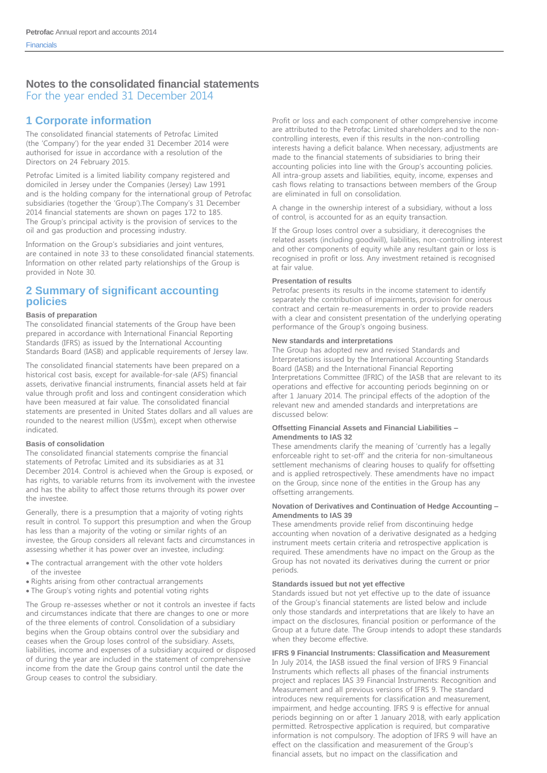# **1 Corporate information**

The consolidated financial statements of Petrofac Limited (the 'Company') for the year ended 31 December 2014 were authorised for issue in accordance with a resolution of the Directors on 24 February 2015.

Petrofac Limited is a limited liability company registered and domiciled in Jersey under the Companies (Jersey) Law 1991 and is the holding company for the international group of Petrofac subsidiaries (together the 'Group').The Company's 31 December 2014 financial statements are shown on pages 172 to 185. The Group's principal activity is the provision of services to the oil and gas production and processing industry.

Information on the Group's subsidiaries and joint ventures, are contained in note 33 to these consolidated financial statements. Information on other related party relationships of the Group is provided in Note 30.

### **2 Summary of significant accounting policies**

#### **Basis of preparation**

The consolidated financial statements of the Group have been prepared in accordance with International Financial Reporting Standards (IFRS) as issued by the International Accounting Standards Board (IASB) and applicable requirements of Jersey law.

The consolidated financial statements have been prepared on a historical cost basis, except for available-for-sale (AFS) financial assets, derivative financial instruments, financial assets held at fair value through profit and loss and contingent consideration which have been measured at fair value. The consolidated financial statements are presented in United States dollars and all values are rounded to the nearest million (US\$m), except when otherwise indicated.

#### **Basis of consolidation**

The consolidated financial statements comprise the financial statements of Petrofac Limited and its subsidiaries as at 31 December 2014. Control is achieved when the Group is exposed, or has rights, to variable returns from its involvement with the investee and has the ability to affect those returns through its power over the investee.

Generally, there is a presumption that a majority of voting rights result in control. To support this presumption and when the Group has less than a majority of the voting or similar rights of an investee, the Group considers all relevant facts and circumstances in assessing whether it has power over an investee, including:

- The contractual arrangement with the other vote holders of the investee
- Rights arising from other contractual arrangements
- The Group's voting rights and potential voting rights

The Group re-assesses whether or not it controls an investee if facts and circumstances indicate that there are changes to one or more of the three elements of control. Consolidation of a subsidiary begins when the Group obtains control over the subsidiary and ceases when the Group loses control of the subsidiary. Assets, liabilities, income and expenses of a subsidiary acquired or disposed of during the year are included in the statement of comprehensive income from the date the Group gains control until the date the Group ceases to control the subsidiary.

Profit or loss and each component of other comprehensive income are attributed to the Petrofac Limited shareholders and to the noncontrolling interests, even if this results in the non-controlling interests having a deficit balance. When necessary, adjustments are made to the financial statements of subsidiaries to bring their accounting policies into line with the Group's accounting policies. All intra-group assets and liabilities, equity, income, expenses and cash flows relating to transactions between members of the Group are eliminated in full on consolidation.

A change in the ownership interest of a subsidiary, without a loss of control, is accounted for as an equity transaction.

If the Group loses control over a subsidiary, it derecognises the related assets (including goodwill), liabilities, non-controlling interest and other components of equity while any resultant gain or loss is recognised in profit or loss. Any investment retained is recognised at fair value.

#### **Presentation of results**

Petrofac presents its results in the income statement to identify separately the contribution of impairments, provision for onerous contract and certain re-measurements in order to provide readers with a clear and consistent presentation of the underlying operating performance of the Group's ongoing business.

#### **New standards and interpretations**

The Group has adopted new and revised Standards and Interpretations issued by the International Accounting Standards Board (IASB) and the International Financial Reporting Interpretations Committee (IFRIC) of the IASB that are relevant to its operations and effective for accounting periods beginning on or after 1 January 2014. The principal effects of the adoption of the relevant new and amended standards and interpretations are discussed below:

#### **Offsetting Financial Assets and Financial Liabilities – Amendments to IAS 32**

These amendments clarify the meaning of 'currently has a legally enforceable right to set-off' and the criteria for non-simultaneous settlement mechanisms of clearing houses to qualify for offsetting and is applied retrospectively. These amendments have no impact on the Group, since none of the entities in the Group has any offsetting arrangements.

#### **Novation of Derivatives and Continuation of Hedge Accounting – Amendments to IAS 39**

These amendments provide relief from discontinuing hedge accounting when novation of a derivative designated as a hedging instrument meets certain criteria and retrospective application is required. These amendments have no impact on the Group as the Group has not novated its derivatives during the current or prior periods.

#### **Standards issued but not yet effective**

Standards issued but not yet effective up to the date of issuance of the Group's financial statements are listed below and include only those standards and interpretations that are likely to have an impact on the disclosures, financial position or performance of the Group at a future date. The Group intends to adopt these standards when they become effective.

#### **IFRS 9 Financial Instruments: Classification and Measurement**

In July 2014, the IASB issued the final version of IFRS 9 Financial Instruments which reflects all phases of the financial instruments project and replaces IAS 39 Financial Instruments: Recognition and Measurement and all previous versions of IFRS 9. The standard introduces new requirements for classification and measurement, impairment, and hedge accounting. IFRS 9 is effective for annual periods beginning on or after 1 January 2018, with early application permitted. Retrospective application is required, but comparative information is not compulsory. The adoption of IFRS 9 will have an effect on the classification and measurement of the Group's financial assets, but no impact on the classification and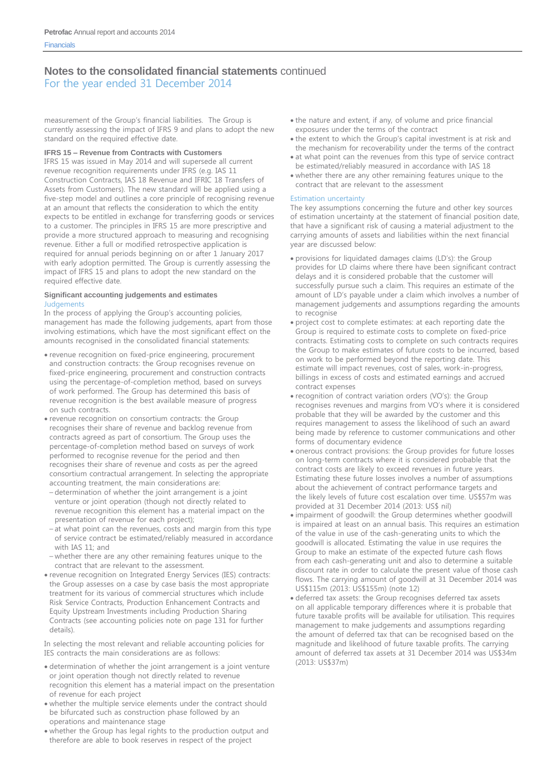For the year ended 31 December 2014

measurement of the Group's financial liabilities. The Group is currently assessing the impact of IFRS 9 and plans to adopt the new standard on the required effective date.

#### **IFRS 15 – Revenue from Contracts with Customers**

IFRS 15 was issued in May 2014 and will supersede all current revenue recognition requirements under IFRS (e.g. IAS 11 Construction Contracts, IAS 18 Revenue and IFRIC 18 Transfers of Assets from Customers). The new standard will be applied using a five-step model and outlines a core principle of recognising revenue at an amount that reflects the consideration to which the entity expects to be entitled in exchange for transferring goods or services to a customer. The principles in IFRS 15 are more prescriptive and provide a more structured approach to measuring and recognising revenue. Either a full or modified retrospective application is required for annual periods beginning on or after 1 January 2017 with early adoption permitted. The Group is currently assessing the impact of IFRS 15 and plans to adopt the new standard on the required effective date.

#### **Significant accounting judgements and estimates Judgements**

In the process of applying the Group's accounting policies, management has made the following judgements, apart from those involving estimations, which have the most significant effect on the amounts recognised in the consolidated financial statements:

- revenue recognition on fixed-price engineering, procurement and construction contracts: the Group recognises revenue on fixed-price engineering, procurement and construction contracts using the percentage-of-completion method, based on surveys of work performed. The Group has determined this basis of revenue recognition is the best available measure of progress on such contracts.
- revenue recognition on consortium contracts: the Group recognises their share of revenue and backlog revenue from contracts agreed as part of consortium. The Group uses the percentage-of-completion method based on surveys of work performed to recognise revenue for the period and then recognises their share of revenue and costs as per the agreed consortium contractual arrangement. In selecting the appropriate accounting treatment, the main considerations are:
- determination of whether the joint arrangement is a joint venture or joint operation (though not directly related to revenue recognition this element has a material impact on the presentation of revenue for each project);
- at what point can the revenues, costs and margin from this type of service contract be estimated/reliably measured in accordance with IAS 11; and
- whether there are any other remaining features unique to the contract that are relevant to the assessment.
- revenue recognition on Integrated Energy Services (IES) contracts: the Group assesses on a case by case basis the most appropriate treatment for its various of commercial structures which include Risk Service Contracts, Production Enhancement Contracts and Equity Upstream Investments including Production Sharing Contracts (see accounting policies note on page 131 for further details).

In selecting the most relevant and reliable accounting policies for IES contracts the main considerations are as follows:

- determination of whether the joint arrangement is a joint venture or joint operation though not directly related to revenue recognition this element has a material impact on the presentation of revenue for each project
- whether the multiple service elements under the contract should be bifurcated such as construction phase followed by an operations and maintenance stage
- whether the Group has legal rights to the production output and therefore are able to book reserves in respect of the project
- the nature and extent, if any, of volume and price financial exposures under the terms of the contract
- the extent to which the Group's capital investment is at risk and the mechanism for recoverability under the terms of the contract
- at what point can the revenues from this type of service contract be estimated/reliably measured in accordance with IAS 18
- whether there are any other remaining features unique to the contract that are relevant to the assessment

#### Estimation uncertainty

The key assumptions concerning the future and other key sources of estimation uncertainty at the statement of financial position date, that have a significant risk of causing a material adjustment to the carrying amounts of assets and liabilities within the next financial year are discussed below:

- provisions for liquidated damages claims (LD's): the Group provides for LD claims where there have been significant contract delays and it is considered probable that the customer will successfully pursue such a claim. This requires an estimate of the amount of LD's payable under a claim which involves a number of management judgements and assumptions regarding the amounts to recognise
- project cost to complete estimates: at each reporting date the Group is required to estimate costs to complete on fixed-price contracts. Estimating costs to complete on such contracts requires the Group to make estimates of future costs to be incurred, based on work to be performed beyond the reporting date. This estimate will impact revenues, cost of sales, work-in-progress, billings in excess of costs and estimated earnings and accrued contract expenses
- recognition of contract variation orders (VO's): the Group recognises revenues and margins from VO's where it is considered probable that they will be awarded by the customer and this requires management to assess the likelihood of such an award being made by reference to customer communications and other forms of documentary evidence
- onerous contract provisions: the Group provides for future losses on long-term contracts where it is considered probable that the contract costs are likely to exceed revenues in future years. Estimating these future losses involves a number of assumptions about the achievement of contract performance targets and the likely levels of future cost escalation over time. US\$57m was provided at 31 December 2014 (2013: US\$ nil)
- impairment of goodwill: the Group determines whether goodwill is impaired at least on an annual basis. This requires an estimation of the value in use of the cash-generating units to which the goodwill is allocated. Estimating the value in use requires the Group to make an estimate of the expected future cash flows from each cash-generating unit and also to determine a suitable discount rate in order to calculate the present value of those cash flows. The carrying amount of goodwill at 31 December 2014 was US\$115m (2013: US\$155m) (note 12)
- deferred tax assets: the Group recognises deferred tax assets on all applicable temporary differences where it is probable that future taxable profits will be available for utilisation. This requires management to make judgements and assumptions regarding the amount of deferred tax that can be recognised based on the magnitude and likelihood of future taxable profits. The carrying amount of deferred tax assets at 31 December 2014 was US\$34m (2013: US\$37m)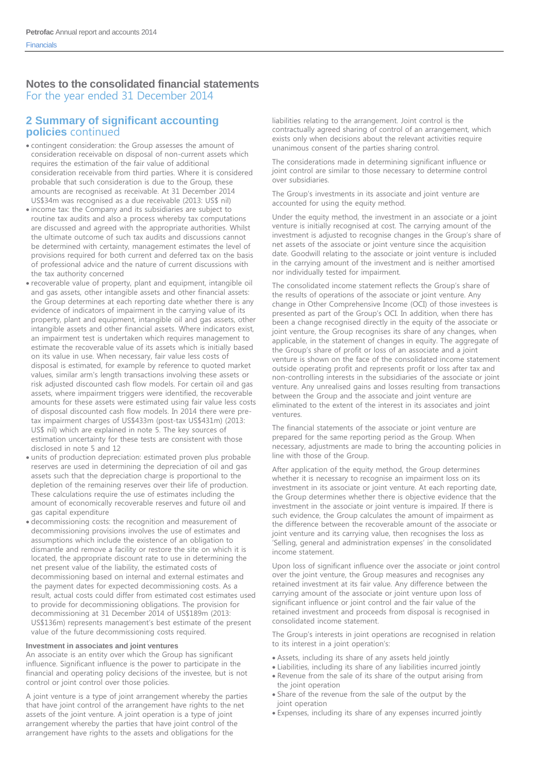### **2 Summary of significant accounting policies** continued

- contingent consideration: the Group assesses the amount of consideration receivable on disposal of non-current assets which requires the estimation of the fair value of additional consideration receivable from third parties. Where it is considered probable that such consideration is due to the Group, these amounts are recognised as receivable. At 31 December 2014 US\$34m was recognised as a due receivable (2013: US\$ nil)
- income tax: the Company and its subsidiaries are subject to routine tax audits and also a process whereby tax computations are discussed and agreed with the appropriate authorities. Whilst the ultimate outcome of such tax audits and discussions cannot be determined with certainty, management estimates the level of provisions required for both current and deferred tax on the basis of professional advice and the nature of current discussions with the tax authority concerned
- recoverable value of property, plant and equipment, intangible oil and gas assets, other intangible assets and other financial assets: the Group determines at each reporting date whether there is any evidence of indicators of impairment in the carrying value of its property, plant and equipment, intangible oil and gas assets, other intangible assets and other financial assets. Where indicators exist, an impairment test is undertaken which requires management to estimate the recoverable value of its assets which is initially based on its value in use. When necessary, fair value less costs of disposal is estimated, for example by reference to quoted market values, similar arm's length transactions involving these assets or risk adjusted discounted cash flow models. For certain oil and gas assets, where impairment triggers were identified, the recoverable amounts for these assets were estimated using fair value less costs of disposal discounted cash flow models. In 2014 there were pretax impairment charges of US\$433m (post-tax US\$431m) (2013: US\$ nil) which are explained in note 5. The key sources of estimation uncertainty for these tests are consistent with those disclosed in note 5 and 12
- units of production depreciation: estimated proven plus probable reserves are used in determining the depreciation of oil and gas assets such that the depreciation charge is proportional to the depletion of the remaining reserves over their life of production. These calculations require the use of estimates including the amount of economically recoverable reserves and future oil and gas capital expenditure
- decommissioning costs: the recognition and measurement of decommissioning provisions involves the use of estimates and assumptions which include the existence of an obligation to dismantle and remove a facility or restore the site on which it is located, the appropriate discount rate to use in determining the net present value of the liability, the estimated costs of decommissioning based on internal and external estimates and the payment dates for expected decommissioning costs. As a result, actual costs could differ from estimated cost estimates used to provide for decommissioning obligations. The provision for decommissioning at 31 December 2014 of US\$189m (2013: US\$136m) represents management's best estimate of the present value of the future decommissioning costs required.

#### **Investment in associates and joint ventures**

An associate is an entity over which the Group has significant influence. Significant influence is the power to participate in the financial and operating policy decisions of the investee, but is not control or joint control over those policies.

A joint venture is a type of joint arrangement whereby the parties that have joint control of the arrangement have rights to the net assets of the joint venture. A joint operation is a type of joint arrangement whereby the parties that have joint control of the arrangement have rights to the assets and obligations for the

liabilities relating to the arrangement. Joint control is the contractually agreed sharing of control of an arrangement, which exists only when decisions about the relevant activities require unanimous consent of the parties sharing control.

The considerations made in determining significant influence or joint control are similar to those necessary to determine control over subsidiaries.

The Group's investments in its associate and joint venture are accounted for using the equity method.

Under the equity method, the investment in an associate or a joint venture is initially recognised at cost. The carrying amount of the investment is adjusted to recognise changes in the Group's share of net assets of the associate or joint venture since the acquisition date. Goodwill relating to the associate or joint venture is included in the carrying amount of the investment and is neither amortised nor individually tested for impairment.

The consolidated income statement reflects the Group's share of the results of operations of the associate or joint venture. Any change in Other Comprehensive Income (OCI) of those investees is presented as part of the Group's OCI. In addition, when there has been a change recognised directly in the equity of the associate or joint venture, the Group recognises its share of any changes, when applicable, in the statement of changes in equity. The aggregate of the Group's share of profit or loss of an associate and a joint venture is shown on the face of the consolidated income statement outside operating profit and represents profit or loss after tax and non-controlling interests in the subsidiaries of the associate or joint venture. Any unrealised gains and losses resulting from transactions between the Group and the associate and joint venture are eliminated to the extent of the interest in its associates and joint ventures.

The financial statements of the associate or joint venture are prepared for the same reporting period as the Group. When necessary, adjustments are made to bring the accounting policies in line with those of the Group.

After application of the equity method, the Group determines whether it is necessary to recognise an impairment loss on its investment in its associate or joint venture. At each reporting date, the Group determines whether there is objective evidence that the investment in the associate or joint venture is impaired. If there is such evidence, the Group calculates the amount of impairment as the difference between the recoverable amount of the associate or joint venture and its carrying value, then recognises the loss as 'Selling, general and administration expenses' in the consolidated income statement.

Upon loss of significant influence over the associate or joint control over the joint venture, the Group measures and recognises any retained investment at its fair value. Any difference between the carrying amount of the associate or joint venture upon loss of significant influence or joint control and the fair value of the retained investment and proceeds from disposal is recognised in consolidated income statement.

The Group's interests in joint operations are recognised in relation to its interest in a joint operation's:

- Assets, including its share of any assets held jointly
- Liabilities, including its share of any liabilities incurred jointly
- Revenue from the sale of its share of the output arising from the joint operation
- Share of the revenue from the sale of the output by the joint operation
- Expenses, including its share of any expenses incurred jointly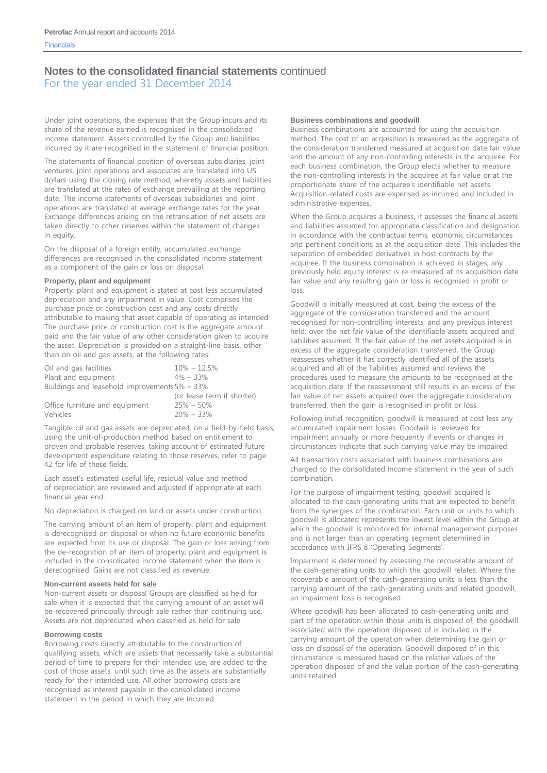For the year ended 31 December 2014

Under joint operations, the expenses that the Group incurs and its share of the revenue earned is recognised in the consolidated income statement. Assets controlled by the Group and liabilities incurred by it are recognised in the statement of financial position.

The statements of financial position of overseas subsidiaries, joint ventures, joint operations and associates are translated into US dollars using the closing rate method, whereby assets and liabilities are translated at the rates of exchange prevailing at the reporting date. The income statements of overseas subsidiaries and joint operations are translated at average exchange rates for the year. Exchange differences arising on the retranslation of net assets are taken directly to other reserves within the statement of changes in equity.

On the disposal of a foreign entity, accumulated exchange differences are recognised in the consolidated income statement as a component of the gain or loss on disposal.

#### **Property, plant and equipment**

Property, plant and equipment is stated at cost less accumulated depreciation and any impairment in value. Cost comprises the purchase price or construction cost and any costs directly attributable to making that asset capable of operating as intended. The purchase price or construction cost is the aggregate amount paid and the fair value of any other consideration given to acquire the asset. Depreciation is provided on a straight-line basis, other than on oil and gas assets, at the following rates:

| Oil and gas facilities | $10\% - 12.5\%$                                  |  |
|------------------------|--------------------------------------------------|--|
| Plant and equipment    | $4\% - 33\%$                                     |  |
|                        | Buildings and leasehold improvements $5\%$ – 33% |  |
|                        | (or lease term if shorter)                       |  |

| Office furniture and equipment | $25\% - 50\%$ |
|--------------------------------|---------------|
| Vehicles                       | $20\% - 33\%$ |

Tangible oil and gas assets are depreciated, on a field-by-field basis, using the unit-of-production method based on entitlement to proven and probable reserves, taking account of estimated future development expenditure relating to those reserves, refer to page 42 for life of these fields.

Each asset's estimated useful life, residual value and method of depreciation are reviewed and adjusted if appropriate at each financial year end.

No depreciation is charged on land or assets under construction.

The carrying amount of an item of property, plant and equipment is derecognised on disposal or when no future economic benefits are expected from its use or disposal. The gain or loss arising from the de-recognition of an item of property, plant and equipment is included in the consolidated income statement when the item is derecognised. Gains are not classified as revenue.

#### **Non-current assets held for sale**

Non-current assets or disposal Groups are classified as held for sale when it is expected that the carrying amount of an asset will be recovered principally through sale rather than continuing use. Assets are not depreciated when classified as held for sale.

#### **Borrowing costs**

Borrowing costs directly attributable to the construction of qualifying assets, which are assets that necessarily take a substantial period of time to prepare for their intended use, are added to the cost of those assets, until such time as the assets are substantially ready for their intended use. All other borrowing costs are recognised as interest payable in the consolidated income statement in the period in which they are incurred.

#### **Business combinations and goodwill**

Business combinations are accounted for using the acquisition method. The cost of an acquisition is measured as the aggregate of the consideration transferred measured at acquisition date fair value and the amount of any non-controlling interests in the acquiree. For each business combination, the Group elects whether to measure the non-controlling interests in the acquiree at fair value or at the proportionate share of the acquiree's identifiable net assets. Acquisition-related costs are expensed as incurred and included in administrative expenses.

When the Group acquires a business, it assesses the financial assets and liabilities assumed for appropriate classification and designation in accordance with the contractual terms, economic circumstances and pertinent conditions as at the acquisition date. This includes the separation of embedded derivatives in host contracts by the acquiree. If the business combination is achieved in stages, any previously held equity interest is re-measured at its acquisition date fair value and any resulting gain or loss is recognised in profit or loss.

Goodwill is initially measured at cost, being the excess of the aggregate of the consideration transferred and the amount recognised for non-controlling interests, and any previous interest held, over the net fair value of the identifiable assets acquired and liabilities assumed. If the fair value of the net assets acquired is in excess of the aggregate consideration transferred, the Group reassesses whether it has correctly identified all of the assets acquired and all of the liabilities assumed and reviews the procedures used to measure the amounts to be recognised at the acquisition date. If the reassessment still results in an excess of the fair value of net assets acquired over the aggregate consideration transferred, then the gain is recognised in profit or loss.

Following initial recognition, goodwill is measured at cost less any accumulated impairment losses. Goodwill is reviewed for impairment annually or more frequently if events or changes in circumstances indicate that such carrying value may be impaired.

All transaction costs associated with business combinations are charged to the consolidated income statement in the year of such combination.

For the purpose of impairment testing, goodwill acquired is allocated to the cash-generating units that are expected to benefit from the synergies of the combination. Each unit or units to which goodwill is allocated represents the lowest level within the Group at which the goodwill is monitored for internal management purposes and is not larger than an operating segment determined in accordance with IFRS 8 'Operating Segments'.

Impairment is determined by assessing the recoverable amount of the cash-generating units to which the goodwill relates. Where the recoverable amount of the cash-generating units is less than the carrying amount of the cash-generating units and related goodwill, an impairment loss is recognised.

Where goodwill has been allocated to cash-generating units and part of the operation within those units is disposed of, the goodwill associated with the operation disposed of is included in the carrying amount of the operation when determining the gain or loss on disposal of the operation. Goodwill disposed of in this circumstance is measured based on the relative values of the operation disposed of and the value portion of the cash-generating units retained.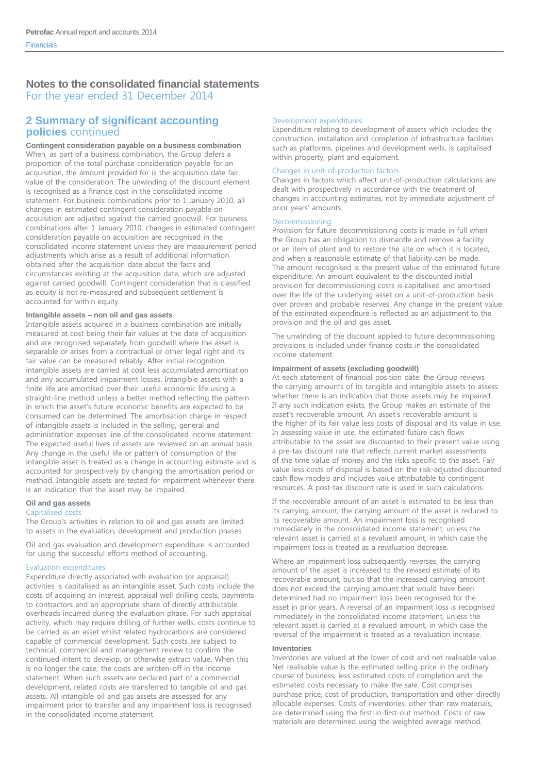### **2 Summary of significant accounting policies** continued

**Contingent consideration payable on a business combination**  When, as part of a business combination, the Group defers a proportion of the total purchase consideration payable for an acquisition, the amount provided for is the acquisition date fair value of the consideration. The unwinding of the discount element is recognised as a finance cost in the consolidated income statement. For business combinations prior to 1 January 2010, all changes in estimated contingent consideration payable on acquisition are adjusted against the carried goodwill. For business combinations after 1 January 2010, changes in estimated contingent consideration payable on acquisition are recognised in the consolidated income statement unless they are measurement period adjustments which arise as a result of additional information obtained after the acquisition date about the facts and circumstances existing at the acquisition date, which are adjusted against carried goodwill. Contingent consideration that is classified as equity is not re-measured and subsequent settlement is accounted for within equity.

#### **Intangible assets – non oil and gas assets**

Intangible assets acquired in a business combination are initially measured at cost being their fair values at the date of acquisition and are recognised separately from goodwill where the asset is separable or arises from a contractual or other legal right and its fair value can be measured reliably. After initial recognition, intangible assets are carried at cost less accumulated amortisation and any accumulated impairment losses. Intangible assets with a finite life are amortised over their useful economic life using a straight-line method unless a better method reflecting the pattern in which the asset's future economic benefits are expected to be consumed can be determined. The amortisation charge in respect of intangible assets is included in the selling, general and administration expenses line of the consolidated income statement. The expected useful lives of assets are reviewed on an annual basis. Any change in the useful life or pattern of consumption of the intangible asset is treated as a change in accounting estimate and is accounted for prospectively by changing the amortisation period or method. Intangible assets are tested for impairment whenever there is an indication that the asset may be impaired.

#### **Oil and gas assets**

#### Capitalised costs

The Group's activities in relation to oil and gas assets are limited to assets in the evaluation, development and production phases.

Oil and gas evaluation and development expenditure is accounted for using the successful efforts method of accounting.

#### Evaluation expenditures

Expenditure directly associated with evaluation (or appraisal) activities is capitalised as an intangible asset. Such costs include the costs of acquiring an interest, appraisal well drilling costs, payments to contractors and an appropriate share of directly attributable overheads incurred during the evaluation phase. For such appraisal activity, which may require drilling of further wells, costs continue to be carried as an asset whilst related hydrocarbons are considered capable of commercial development. Such costs are subject to technical, commercial and management review to confirm the continued intent to develop, or otherwise extract value. When this is no longer the case, the costs are written-off in the income statement. When such assets are declared part of a commercial development, related costs are transferred to tangible oil and gas assets. All intangible oil and gas assets are assessed for any impairment prior to transfer and any impairment loss is recognised in the consolidated income statement.

#### Development expenditures

Expenditure relating to development of assets which includes the construction, installation and completion of infrastructure facilities such as platforms, pipelines and development wells, is capitalised within property, plant and equipment.

#### Changes in unit-of-production factors

Changes in factors which affect unit-of-production calculations are dealt with prospectively in accordance with the treatment of changes in accounting estimates, not by immediate adjustment of prior years' amounts.

#### Decommissioning

Provision for future decommissioning costs is made in full when the Group has an obligation to dismantle and remove a facility or an item of plant and to restore the site on which it is located, and when a reasonable estimate of that liability can be made. The amount recognised is the present value of the estimated future expenditure. An amount equivalent to the discounted initial provision for decommissioning costs is capitalised and amortised over the life of the underlying asset on a unit-of-production basis over proven and probable reserves. Any change in the present value of the estimated expenditure is reflected as an adjustment to the provision and the oil and gas asset.

The unwinding of the discount applied to future decommissioning provisions is included under finance costs in the consolidated income statement.

#### **Impairment of assets (excluding goodwill)**

At each statement of financial position date, the Group reviews the carrying amounts of its tangible and intangible assets to assess whether there is an indication that those assets may be impaired. If any such indication exists, the Group makes an estimate of the asset's recoverable amount. An asset's recoverable amount is the higher of its fair value less costs of disposal and its value in use. In assessing value in use, the estimated future cash flows attributable to the asset are discounted to their present value using a pre-tax discount rate that reflects current market assessments of the time value of money and the risks specific to the asset. Fair value less costs of disposal is based on the risk-adjusted discounted cash flow models and includes value attributable to contingent resources. A post-tax discount rate is used in such calculations.

If the recoverable amount of an asset is estimated to be less than its carrying amount, the carrying amount of the asset is reduced to its recoverable amount. An impairment loss is recognised immediately in the consolidated income statement, unless the relevant asset is carried at a revalued amount, in which case the impairment loss is treated as a revaluation decrease.

Where an impairment loss subsequently reverses, the carrying amount of the asset is increased to the revised estimate of its recoverable amount, but so that the increased carrying amount does not exceed the carrying amount that would have been determined had no impairment loss been recognised for the asset in prior years. A reversal of an impairment loss is recognised immediately in the consolidated income statement, unless the relevant asset is carried at a revalued amount, in which case the reversal of the impairment is treated as a revaluation increase.

#### **Inventories**

Inventories are valued at the lower of cost and net realisable value. Net realisable value is the estimated selling price in the ordinary course of business, less estimated costs of completion and the estimated costs necessary to make the sale. Cost comprises purchase price, cost of production, transportation and other directly allocable expenses. Costs of inventories, other than raw materials, are determined using the first-in-first-out method. Costs of raw materials are determined using the weighted average method.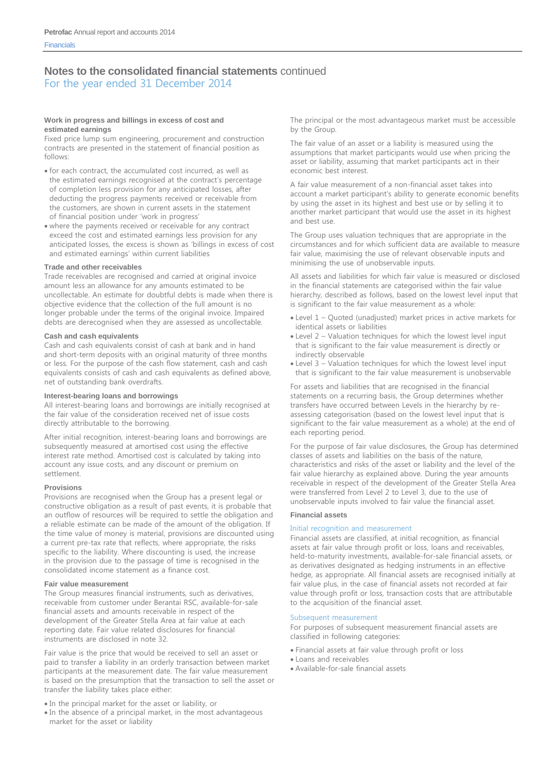For the year ended 31 December 2014

#### **Work in progress and billings in excess of cost and estimated earnings**

Fixed price lump sum engineering, procurement and construction contracts are presented in the statement of financial position as follows:

- for each contract, the accumulated cost incurred, as well as the estimated earnings recognised at the contract's percentage of completion less provision for any anticipated losses, after deducting the progress payments received or receivable from the customers, are shown in current assets in the statement of financial position under 'work in progress'
- where the payments received or receivable for any contract exceed the cost and estimated earnings less provision for any anticipated losses, the excess is shown as 'billings in excess of cost and estimated earnings' within current liabilities

#### **Trade and other receivables**

Trade receivables are recognised and carried at original invoice amount less an allowance for any amounts estimated to be uncollectable. An estimate for doubtful debts is made when there is objective evidence that the collection of the full amount is no longer probable under the terms of the original invoice. Impaired debts are derecognised when they are assessed as uncollectable.

#### **Cash and cash equivalents**

Cash and cash equivalents consist of cash at bank and in hand and short-term deposits with an original maturity of three months or less. For the purpose of the cash flow statement, cash and cash equivalents consists of cash and cash equivalents as defined above, net of outstanding bank overdrafts.

#### **Interest-bearing loans and borrowings**

All interest-bearing loans and borrowings are initially recognised at the fair value of the consideration received net of issue costs directly attributable to the borrowing.

After initial recognition, interest-bearing loans and borrowings are subsequently measured at amortised cost using the effective interest rate method. Amortised cost is calculated by taking into account any issue costs, and any discount or premium on settlement.

#### **Provisions**

Provisions are recognised when the Group has a present legal or constructive obligation as a result of past events, it is probable that an outflow of resources will be required to settle the obligation and a reliable estimate can be made of the amount of the obligation. If the time value of money is material, provisions are discounted using a current pre-tax rate that reflects, where appropriate, the risks specific to the liability. Where discounting is used, the increase in the provision due to the passage of time is recognised in the consolidated income statement as a finance cost.

#### **Fair value measurement**

The Group measures financial instruments, such as derivatives, receivable from customer under Berantai RSC, available-for-sale financial assets and amounts receivable in respect of the development of the Greater Stella Area at fair value at each reporting date. Fair value related disclosures for financial instruments are disclosed in note 32.

Fair value is the price that would be received to sell an asset or paid to transfer a liability in an orderly transaction between market participants at the measurement date. The fair value measurement is based on the presumption that the transaction to sell the asset or transfer the liability takes place either:

In the principal market for the asset or liability, or

• In the absence of a principal market, in the most advantageous market for the asset or liability

The principal or the most advantageous market must be accessible by the Group.

The fair value of an asset or a liability is measured using the assumptions that market participants would use when pricing the asset or liability, assuming that market participants act in their economic best interest.

A fair value measurement of a non-financial asset takes into account a market participant's ability to generate economic benefits by using the asset in its highest and best use or by selling it to another market participant that would use the asset in its highest and best use.

The Group uses valuation techniques that are appropriate in the circumstances and for which sufficient data are available to measure fair value, maximising the use of relevant observable inputs and minimising the use of unobservable inputs.

All assets and liabilities for which fair value is measured or disclosed in the financial statements are categorised within the fair value hierarchy, described as follows, based on the lowest level input that is significant to the fair value measurement as a whole:

- Level 1 Quoted (unadjusted) market prices in active markets for identical assets or liabilities
- Level 2 Valuation techniques for which the lowest level input that is significant to the fair value measurement is directly or indirectly observable
- Level 3 Valuation techniques for which the lowest level input that is significant to the fair value measurement is unobservable

For assets and liabilities that are recognised in the financial statements on a recurring basis, the Group determines whether transfers have occurred between Levels in the hierarchy by reassessing categorisation (based on the lowest level input that is significant to the fair value measurement as a whole) at the end of each reporting period.

For the purpose of fair value disclosures, the Group has determined classes of assets and liabilities on the basis of the nature, characteristics and risks of the asset or liability and the level of the fair value hierarchy as explained above. During the year amounts receivable in respect of the development of the Greater Stella Area were transferred from Level 2 to Level 3, due to the use of unobservable inputs involved to fair value the financial asset.

#### **Financial assets**

#### Initial recognition and measurement

Financial assets are classified, at initial recognition, as financial assets at fair value through profit or loss, loans and receivables, held-to-maturity investments, available-for-sale financial assets, or as derivatives designated as hedging instruments in an effective hedge, as appropriate. All financial assets are recognised initially at fair value plus, in the case of financial assets not recorded at fair value through profit or loss, transaction costs that are attributable to the acquisition of the financial asset.

#### Subsequent measurement

For purposes of subsequent measurement financial assets are classified in following categories:

- Financial assets at fair value through profit or loss
- Loans and receivables
- Available-for-sale financial assets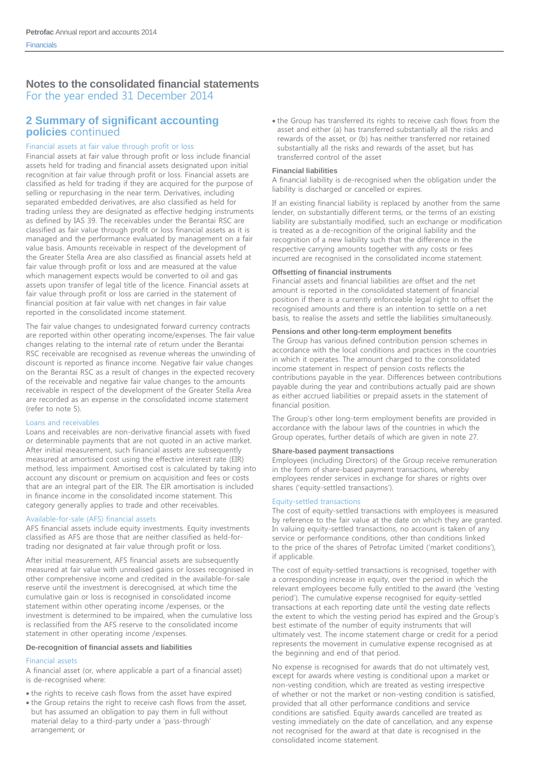### **2 Summary of significant accounting policies** continued

#### Financial assets at fair value through profit or loss

Financial assets at fair value through profit or loss include financial assets held for trading and financial assets designated upon initial recognition at fair value through profit or loss. Financial assets are classified as held for trading if they are acquired for the purpose of selling or repurchasing in the near term. Derivatives, including separated embedded derivatives, are also classified as held for trading unless they are designated as effective hedging instruments as defined by IAS 39. The receivables under the Berantai RSC are classified as fair value through profit or loss financial assets as it is managed and the performance evaluated by management on a fair value basis. Amounts receivable in respect of the development of the Greater Stella Area are also classified as financial assets held at fair value through profit or loss and are measured at the value which management expects would be converted to oil and gas assets upon transfer of legal title of the licence. Financial assets at fair value through profit or loss are carried in the statement of financial position at fair value with net changes in fair value reported in the consolidated income statement.

The fair value changes to undesignated forward currency contracts are reported within other operating income/expenses. The fair value changes relating to the internal rate of return under the Berantai RSC receivable are recognised as revenue whereas the unwinding of discount is reported as finance income. Negative fair value changes on the Berantai RSC as a result of changes in the expected recovery of the receivable and negative fair value changes to the amounts receivable in respect of the development of the Greater Stella Area are recorded as an expense in the consolidated income statement (refer to note 5).

#### Loans and receivables

Loans and receivables are non-derivative financial assets with fixed or determinable payments that are not quoted in an active market. After initial measurement, such financial assets are subsequently measured at amortised cost using the effective interest rate (EIR) method, less impairment. Amortised cost is calculated by taking into account any discount or premium on acquisition and fees or costs that are an integral part of the EIR. The EIR amortisation is included in finance income in the consolidated income statement. This category generally applies to trade and other receivables.

#### Available-for-sale (AFS) financial assets

AFS financial assets include equity investments. Equity investments classified as AFS are those that are neither classified as held-fortrading nor designated at fair value through profit or loss.

After initial measurement, AFS financial assets are subsequently measured at fair value with unrealised gains or losses recognised in other comprehensive income and credited in the available-for-sale reserve until the investment is derecognised, at which time the cumulative gain or loss is recognised in consolidated income statement within other operating income /expenses, or the investment is determined to be impaired, when the cumulative loss is reclassified from the AFS reserve to the consolidated income statement in other operating income /expenses.

#### **De-recognition of financial assets and liabilities**

#### Financial assets

- A financial asset (or, where applicable a part of a financial asset) is de-recognised where:
- the rights to receive cash flows from the asset have expired
- the Group retains the right to receive cash flows from the asset, but has assumed an obligation to pay them in full without material delay to a third-party under a 'pass-through' arrangement; or

• the Group has transferred its rights to receive cash flows from the asset and either (a) has transferred substantially all the risks and rewards of the asset, or (b) has neither transferred nor retained substantially all the risks and rewards of the asset, but has transferred control of the asset

#### **Financial liabilities**

A financial liability is de-recognised when the obligation under the liability is discharged or cancelled or expires.

If an existing financial liability is replaced by another from the same lender, on substantially different terms, or the terms of an existing liability are substantially modified, such an exchange or modification is treated as a de-recognition of the original liability and the recognition of a new liability such that the difference in the respective carrying amounts together with any costs or fees incurred are recognised in the consolidated income statement.

#### **Offsetting of financial instruments**

Financial assets and financial liabilities are offset and the net amount is reported in the consolidated statement of financial position if there is a currently enforceable legal right to offset the recognised amounts and there is an intention to settle on a net basis, to realise the assets and settle the liabilities simultaneously.

#### **Pensions and other long-term employment benefits**

The Group has various defined contribution pension schemes in accordance with the local conditions and practices in the countries in which it operates. The amount charged to the consolidated income statement in respect of pension costs reflects the contributions payable in the year. Differences between contributions payable during the year and contributions actually paid are shown as either accrued liabilities or prepaid assets in the statement of financial position.

The Group's other long-term employment benefits are provided in accordance with the labour laws of the countries in which the Group operates, further details of which are given in note 27.

#### **Share-based payment transactions**

Employees (including Directors) of the Group receive remuneration in the form of share-based payment transactions, whereby employees render services in exchange for shares or rights over shares ('equity-settled transactions').

#### Equity-settled transactions

The cost of equity-settled transactions with employees is measured by reference to the fair value at the date on which they are granted. In valuing equity-settled transactions, no account is taken of any service or performance conditions, other than conditions linked to the price of the shares of Petrofac Limited ('market conditions'), if applicable.

The cost of equity-settled transactions is recognised, together with a corresponding increase in equity, over the period in which the relevant employees become fully entitled to the award (the 'vesting period'). The cumulative expense recognised for equity-settled transactions at each reporting date until the vesting date reflects the extent to which the vesting period has expired and the Group's best estimate of the number of equity instruments that will ultimately vest. The income statement charge or credit for a period represents the movement in cumulative expense recognised as at the beginning and end of that period.

No expense is recognised for awards that do not ultimately vest, except for awards where vesting is conditional upon a market or non-vesting condition, which are treated as vesting irrespective of whether or not the market or non-vesting condition is satisfied, provided that all other performance conditions and service conditions are satisfied. Equity awards cancelled are treated as vesting immediately on the date of cancellation, and any expense not recognised for the award at that date is recognised in the consolidated income statement.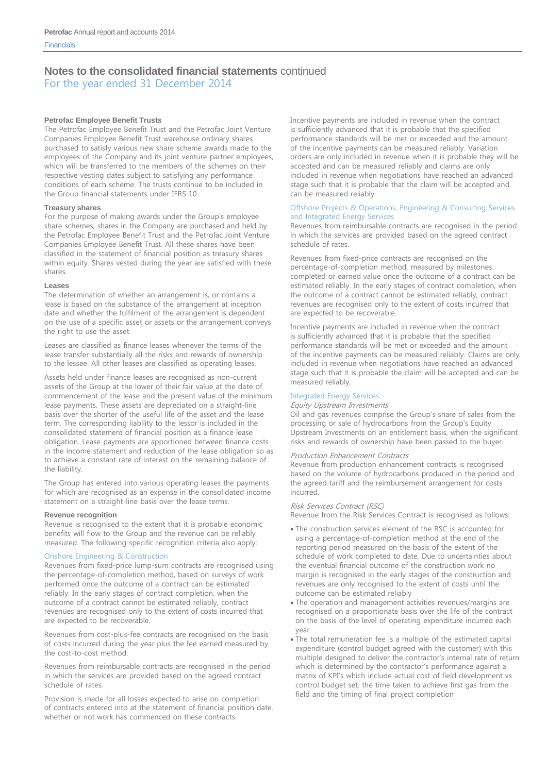For the year ended 31 December 2014

#### **Petrofac Employee Benefit Trusts**

The Petrofac Employee Benefit Trust and the Petrofac Joint Venture Companies Employee Benefit Trust warehouse ordinary shares purchased to satisfy various new share scheme awards made to the employees of the Company and its joint venture partner employees, which will be transferred to the members of the schemes on their respective vesting dates subject to satisfying any performance conditions of each scheme. The trusts continue to be included in the Group financial statements under IFRS 10.

#### **Treasury shares**

For the purpose of making awards under the Group's employee share schemes, shares in the Company are purchased and held by the Petrofac Employee Benefit Trust and the Petrofac Joint Venture Companies Employee Benefit Trust. All these shares have been classified in the statement of financial position as treasury shares within equity. Shares vested during the year are satisfied with these shares.

#### **Leases**

The determination of whether an arrangement is, or contains a lease is based on the substance of the arrangement at inception date and whether the fulfilment of the arrangement is dependent on the use of a specific asset or assets or the arrangement conveys the right to use the asset.

Leases are classified as finance leases whenever the terms of the lease transfer substantially all the risks and rewards of ownership to the lessee. All other leases are classified as operating leases.

Assets held under finance leases are recognised as non-current assets of the Group at the lower of their fair value at the date of commencement of the lease and the present value of the minimum lease payments. These assets are depreciated on a straight-line basis over the shorter of the useful life of the asset and the lease term. The corresponding liability to the lessor is included in the consolidated statement of financial position as a finance lease obligation. Lease payments are apportioned between finance costs in the income statement and reduction of the lease obligation so as to achieve a constant rate of interest on the remaining balance of the liability.

The Group has entered into various operating leases the payments for which are recognised as an expense in the consolidated income statement on a straight-line basis over the lease terms.

#### **Revenue recognition**

Revenue is recognised to the extent that it is probable economic benefits will flow to the Group and the revenue can be reliably measured. The following specific recognition criteria also apply:

#### Onshore Engineering & Construction

Revenues from fixed-price lump-sum contracts are recognised using the percentage-of-completion method, based on surveys of work performed once the outcome of a contract can be estimated reliably. In the early stages of contract completion, when the outcome of a contract cannot be estimated reliably, contract revenues are recognised only to the extent of costs incurred that are expected to be recoverable.

Revenues from cost-plus-fee contracts are recognised on the basis of costs incurred during the year plus the fee earned measured by the cost-to-cost method.

Revenues from reimbursable contracts are recognised in the period in which the services are provided based on the agreed contract schedule of rates.

Provision is made for all losses expected to arise on completion of contracts entered into at the statement of financial position date, whether or not work has commenced on these contracts.

Incentive payments are included in revenue when the contract is sufficiently advanced that it is probable that the specified performance standards will be met or exceeded and the amount of the incentive payments can be measured reliably. Variation orders are only included in revenue when it is probable they will be accepted and can be measured reliably and claims are only included in revenue when negotiations have reached an advanced stage such that it is probable that the claim will be accepted and can be measured reliably.

#### Offshore Projects & Operations, Engineering & Consulting Services and Integrated Energy Services

Revenues from reimbursable contracts are recognised in the period in which the services are provided based on the agreed contract schedule of rates.

Revenues from fixed-price contracts are recognised on the percentage-of-completion method, measured by milestones completed or earned value once the outcome of a contract can be estimated reliably. In the early stages of contract completion, when the outcome of a contract cannot be estimated reliably, contract revenues are recognised only to the extent of costs incurred that are expected to be recoverable.

Incentive payments are included in revenue when the contract is sufficiently advanced that it is probable that the specified performance standards will be met or exceeded and the amount of the incentive payments can be measured reliably. Claims are only included in revenue when negotiations have reached an advanced stage such that it is probable the claim will be accepted and can be measured reliably.

#### Integrated Energy Services

#### Equity Upstream Investments

Oil and gas revenues comprise the Group's share of sales from the processing or sale of hydrocarbons from the Group's Equity Upstream Investments on an entitlement basis, when the significant risks and rewards of ownership have been passed to the buyer.

#### Production Enhancement Contracts

Revenue from production enhancement contracts is recognised based on the volume of hydrocarbons produced in the period and the agreed tariff and the reimbursement arrangement for costs incurred.

#### Risk Services Contract (RSC)

Revenue from the Risk Services Contract is recognised as follows:

- The construction services element of the RSC is accounted for using a percentage-of-completion method at the end of the reporting period measured on the basis of the extent of the schedule of work completed to date. Due to uncertainties about the eventual financial outcome of the construction work no margin is recognised in the early stages of the construction and revenues are only recognised to the extent of costs until the outcome can be estimated reliably
- The operation and management activities revenues/margins are recognised on a proportionate basis over the life of the contract on the basis of the level of operating expenditure incurred each year
- The total remuneration fee is a multiple of the estimated capital expenditure (control budget agreed with the customer) with this multiple designed to deliver the contractor's internal rate of return which is determined by the contractor's performance against a matrix of KPI's which include actual cost of field development vs control budget set, the time taken to achieve first gas from the field and the timing of final project completion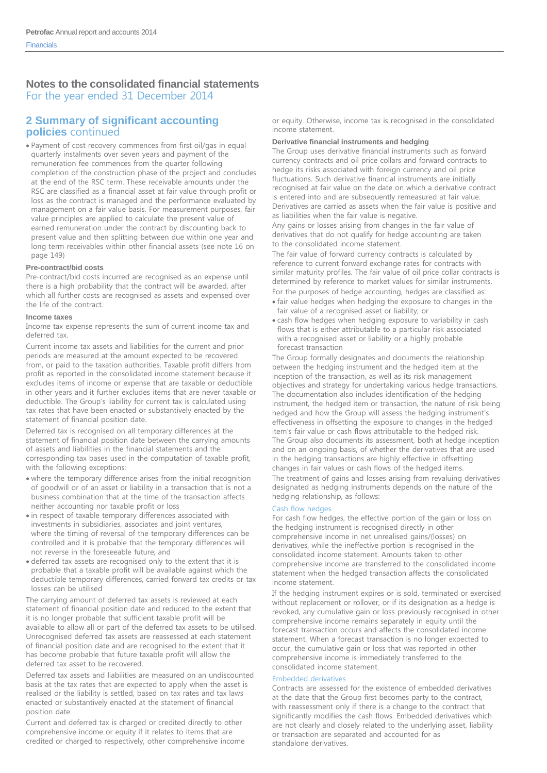### **2 Summary of significant accounting policies** continued

 Payment of cost recovery commences from first oil/gas in equal quarterly instalments over seven years and payment of the remuneration fee commences from the quarter following completion of the construction phase of the project and concludes at the end of the RSC term. These receivable amounts under the RSC are classified as a financial asset at fair value through profit or loss as the contract is managed and the performance evaluated by management on a fair value basis. For measurement purposes, fair value principles are applied to calculate the present value of earned remuneration under the contract by discounting back to present value and then splitting between due within one year and long term receivables within other financial assets (see note 16 on page 149)

#### **Pre-contract/bid costs**

Pre-contract/bid costs incurred are recognised as an expense until there is a high probability that the contract will be awarded, after which all further costs are recognised as assets and expensed over the life of the contract.

#### **Income taxes**

Income tax expense represents the sum of current income tax and deferred tax.

Current income tax assets and liabilities for the current and prior periods are measured at the amount expected to be recovered from, or paid to the taxation authorities. Taxable profit differs from profit as reported in the consolidated income statement because it excludes items of income or expense that are taxable or deductible in other years and it further excludes items that are never taxable or deductible. The Group's liability for current tax is calculated using tax rates that have been enacted or substantively enacted by the statement of financial position date.

Deferred tax is recognised on all temporary differences at the statement of financial position date between the carrying amounts of assets and liabilities in the financial statements and the corresponding tax bases used in the computation of taxable profit, with the following exceptions:

- where the temporary difference arises from the initial recognition of goodwill or of an asset or liability in a transaction that is not a business combination that at the time of the transaction affects neither accounting nor taxable profit or loss
- in respect of taxable temporary differences associated with investments in subsidiaries, associates and joint ventures, where the timing of reversal of the temporary differences can be controlled and it is probable that the temporary differences will not reverse in the foreseeable future; and
- deferred tax assets are recognised only to the extent that it is probable that a taxable profit will be available against which the deductible temporary differences, carried forward tax credits or tax losses can be utilised

The carrying amount of deferred tax assets is reviewed at each statement of financial position date and reduced to the extent that it is no longer probable that sufficient taxable profit will be available to allow all or part of the deferred tax assets to be utilised. Unrecognised deferred tax assets are reassessed at each statement of financial position date and are recognised to the extent that it has become probable that future taxable profit will allow the deferred tax asset to be recovered.

Deferred tax assets and liabilities are measured on an undiscounted basis at the tax rates that are expected to apply when the asset is realised or the liability is settled, based on tax rates and tax laws enacted or substantively enacted at the statement of financial position date.

Current and deferred tax is charged or credited directly to other comprehensive income or equity if it relates to items that are credited or charged to respectively, other comprehensive income or equity. Otherwise, income tax is recognised in the consolidated income statement.

#### **Derivative financial instruments and hedging**

The Group uses derivative financial instruments such as forward currency contracts and oil price collars and forward contracts to hedge its risks associated with foreign currency and oil price fluctuations. Such derivative financial instruments are initially recognised at fair value on the date on which a derivative contract is entered into and are subsequently remeasured at fair value. Derivatives are carried as assets when the fair value is positive and as liabilities when the fair value is negative.

Any gains or losses arising from changes in the fair value of derivatives that do not qualify for hedge accounting are taken to the consolidated income statement.

The fair value of forward currency contracts is calculated by reference to current forward exchange rates for contracts with similar maturity profiles. The fair value of oil price collar contracts is determined by reference to market values for similar instruments. For the purposes of hedge accounting, hedges are classified as:

- fair value hedges when hedging the exposure to changes in the fair value of a recognised asset or liability; or
- cash flow hedges when hedging exposure to variability in cash flows that is either attributable to a particular risk associated with a recognised asset or liability or a highly probable forecast transaction

The Group formally designates and documents the relationship between the hedging instrument and the hedged item at the inception of the transaction, as well as its risk management objectives and strategy for undertaking various hedge transactions. The documentation also includes identification of the hedging instrument, the hedged item or transaction, the nature of risk being hedged and how the Group will assess the hedging instrument's effectiveness in offsetting the exposure to changes in the hedged item's fair value or cash flows attributable to the hedged risk. The Group also documents its assessment, both at hedge inception and on an ongoing basis, of whether the derivatives that are used in the hedging transactions are highly effective in offsetting changes in fair values or cash flows of the hedged items. The treatment of gains and losses arising from revaluing derivatives designated as hedging instruments depends on the nature of the hedging relationship, as follows:

#### Cash flow hedges

For cash flow hedges, the effective portion of the gain or loss on the hedging instrument is recognised directly in other comprehensive income in net unrealised gains/(losses) on derivatives, while the ineffective portion is recognised in the consolidated income statement. Amounts taken to other comprehensive income are transferred to the consolidated income statement when the hedged transaction affects the consolidated income statement.

If the hedging instrument expires or is sold, terminated or exercised without replacement or rollover, or if its designation as a hedge is revoked, any cumulative gain or loss previously recognised in other comprehensive income remains separately in equity until the forecast transaction occurs and affects the consolidated income statement. When a forecast transaction is no longer expected to occur, the cumulative gain or loss that was reported in other comprehensive income is immediately transferred to the consolidated income statement.

#### Embedded derivatives

Contracts are assessed for the existence of embedded derivatives at the date that the Group first becomes party to the contract, with reassessment only if there is a change to the contract that significantly modifies the cash flows. Embedded derivatives which are not clearly and closely related to the underlying asset, liability or transaction are separated and accounted for as standalone derivatives.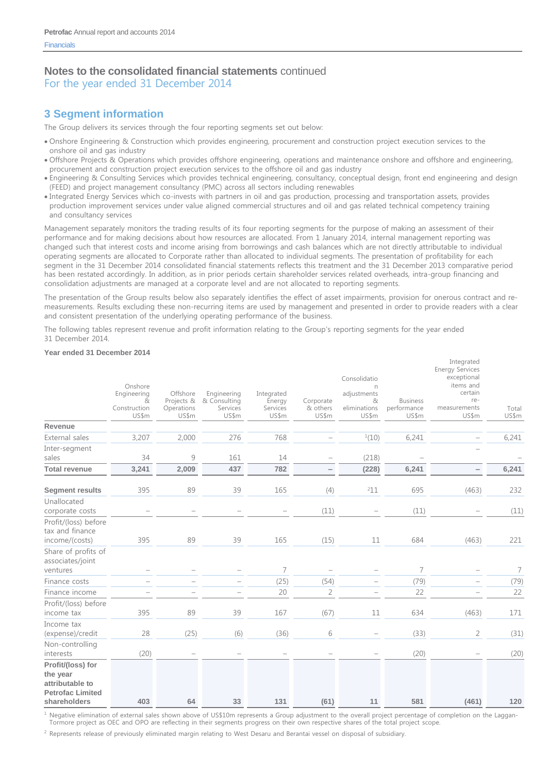For the year ended 31 December 2014

### **3 Segment information**

The Group delivers its services through the four reporting segments set out below:

- Onshore Engineering & Construction which provides engineering, procurement and construction project execution services to the onshore oil and gas industry
- Offshore Projects & Operations which provides offshore engineering, operations and maintenance onshore and offshore and engineering, procurement and construction project execution services to the offshore oil and gas industry
- Engineering & Consulting Services which provides technical engineering, consultancy, conceptual design, front end engineering and design (FEED) and project management consultancy (PMC) across all sectors including renewables
- Integrated Energy Services which co-invests with partners in oil and gas production, processing and transportation assets, provides production improvement services under value aligned commercial structures and oil and gas related technical competency training and consultancy services

Management separately monitors the trading results of its four reporting segments for the purpose of making an assessment of their performance and for making decisions about how resources are allocated. From 1 January 2014, internal management reporting was changed such that interest costs and income arising from borrowings and cash balances which are not directly attributable to individual operating segments are allocated to Corporate rather than allocated to individual segments. The presentation of profitability for each segment in the 31 December 2014 consolidated financial statements reflects this treatment and the 31 December 2013 comparative period has been restated accordingly. In addition, as in prior periods certain shareholder services related overheads, intra-group financing and consolidation adjustments are managed at a corporate level and are not allocated to reporting segments.

The presentation of the Group results below also separately identifies the effect of asset impairments, provision for onerous contract and remeasurements. Results excluding these non-recurring items are used by management and presented in order to provide readers with a clear and consistent presentation of the underlying operating performance of the business.

Integrated

The following tables represent revenue and profit information relating to the Group's reporting segments for the year ended 31 December 2014.

#### **Year ended 31 December 2014**

|                                                                                             | Onshore<br>Engineering<br>&<br>Construction<br>US\$m | Offshore<br>Projects &<br>Operations<br>US\$m | Engineering<br>& Consulting<br>Services<br>US\$m | Integrated<br>Energy<br>Services<br>US\$m | Corporate<br>& others<br>US\$m | Consolidatio<br>n<br>adjustments<br>&<br>eliminations<br>US\$m | <b>Business</b><br>performance<br>US\$m | megiaca<br><b>Energy Services</b><br>exceptional<br>items and<br>certain<br>re-<br>measurements<br>US\$m | Total<br>US\$m |
|---------------------------------------------------------------------------------------------|------------------------------------------------------|-----------------------------------------------|--------------------------------------------------|-------------------------------------------|--------------------------------|----------------------------------------------------------------|-----------------------------------------|----------------------------------------------------------------------------------------------------------|----------------|
| Revenue<br>External sales                                                                   | 3,207                                                | 2,000                                         | 276                                              | 768                                       |                                | 1(10)                                                          | 6,241                                   |                                                                                                          | 6,241          |
|                                                                                             |                                                      |                                               |                                                  |                                           |                                |                                                                |                                         |                                                                                                          |                |
| Inter-segment<br>sales                                                                      | 34                                                   | $\mathcal{G}$                                 | 161                                              | 14                                        |                                | (218)                                                          |                                         |                                                                                                          |                |
| <b>Total revenue</b>                                                                        | 3,241                                                | 2,009                                         | 437                                              | 782                                       | -                              | (228)                                                          | 6,241                                   |                                                                                                          | 6,241          |
| <b>Segment results</b>                                                                      | 395                                                  | 89                                            | 39                                               | 165                                       | (4)                            | $^{2}11$                                                       | 695                                     | (463)                                                                                                    | 232            |
| Unallocated<br>corporate costs                                                              |                                                      |                                               |                                                  |                                           | (11)                           |                                                                | (11)                                    |                                                                                                          | (11)           |
| Profit/(loss) before<br>tax and finance<br>income/(costs)                                   | 395                                                  | 89                                            | 39                                               | 165                                       | (15)                           | 11                                                             | 684                                     | (463)                                                                                                    | 221            |
| Share of profits of<br>associates/joint<br>ventures                                         |                                                      | $\overline{\phantom{0}}$                      | $\overbrace{\phantom{1232211}}$                  | $\overline{7}$                            | Ξ                              |                                                                | 7                                       |                                                                                                          | 7              |
| Finance costs                                                                               | $\overline{\phantom{a}}$                             |                                               |                                                  | (25)                                      | (54)                           |                                                                | (79)                                    |                                                                                                          | (79)           |
| Finance income                                                                              |                                                      |                                               | $\overline{\phantom{0}}$                         | 20                                        | $\overline{2}$                 |                                                                | 22                                      | $\overline{\phantom{0}}$                                                                                 | 22             |
| Profit/(loss) before<br>income tax                                                          | 395                                                  | 89                                            | 39                                               | 167                                       | (67)                           | 11                                                             | 634                                     | (463)                                                                                                    | 171            |
| Income tax<br>(expense)/credit                                                              | 28                                                   | (25)                                          | (6)                                              | (36)                                      | 6                              |                                                                | (33)                                    | 2                                                                                                        | (31)           |
| Non-controlling<br>interests                                                                | (20)                                                 |                                               |                                                  |                                           |                                |                                                                | (20)                                    |                                                                                                          | (20)           |
| Profit/(loss) for<br>the year<br>attributable to<br><b>Petrofac Limited</b><br>shareholders | 403                                                  | 64                                            | 33                                               | 131                                       | (61)                           | 11                                                             | 581                                     | (461)                                                                                                    | 120            |

 $1$  Negative elimination of external sales shown above of US\$10m represents a Group adjustment to the overall project percentage of completion on the Laggan-Tormore project as OEC and OPO are reflecting in their segments progress on their own respective shares of the total project scope.

2 Represents release of previously eliminated margin relating to West Desaru and Berantai vessel on disposal of subsidiary.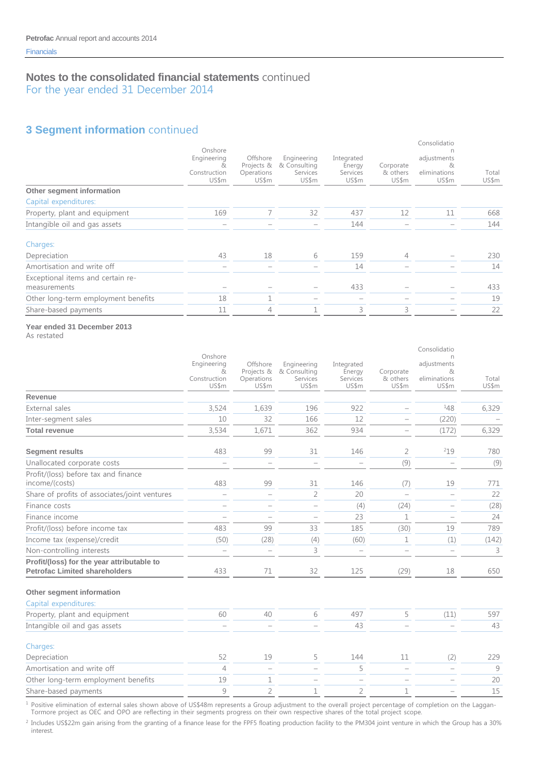For the year ended 31 December 2014

# **3 Segment information** continued

|                                                   | Onshore<br>Engineering<br>&.<br>Construction<br>US\$m | Offshore<br>Projects &<br>Operations<br>US\$m | Engineering<br>& Consulting<br>Services<br>US\$m | Integrated<br>Energy<br>Services<br>US\$m | Corporate<br>& others<br>US\$m | Consolidatio<br>adjustments<br>81<br>eliminations<br>US\$m | Total<br>US\$m |
|---------------------------------------------------|-------------------------------------------------------|-----------------------------------------------|--------------------------------------------------|-------------------------------------------|--------------------------------|------------------------------------------------------------|----------------|
| Other segment information                         |                                                       |                                               |                                                  |                                           |                                |                                                            |                |
| Capital expenditures:                             |                                                       |                                               |                                                  |                                           |                                |                                                            |                |
| Property, plant and equipment                     | 169                                                   |                                               | 32                                               | 437                                       | 12                             | 11                                                         | 668            |
| Intangible oil and gas assets                     |                                                       |                                               |                                                  | 144                                       |                                |                                                            | 144            |
| Charges:                                          |                                                       |                                               |                                                  |                                           |                                |                                                            |                |
| Depreciation                                      | 43                                                    | 18                                            | 6                                                | 159                                       | 4                              |                                                            | 230            |
| Amortisation and write off                        | $\overline{\phantom{a}}$                              |                                               |                                                  | 14                                        |                                |                                                            | 14             |
| Exceptional items and certain re-<br>measurements |                                                       |                                               |                                                  | 433                                       |                                |                                                            | 433            |
| Other long-term employment benefits               | 18                                                    | ┑                                             |                                                  |                                           |                                |                                                            | 19             |
| Share-based payments                              | 11                                                    | 4                                             |                                                  | 3                                         | 3                              |                                                            | 22             |
|                                                   |                                                       |                                               |                                                  |                                           |                                |                                                            |                |

### **Year ended 31 December 2013**

As restated

|                                                                                    | Onshore                                   |                                               |                                                  |                                           |                                | Consolidatio<br>n                         |                |
|------------------------------------------------------------------------------------|-------------------------------------------|-----------------------------------------------|--------------------------------------------------|-------------------------------------------|--------------------------------|-------------------------------------------|----------------|
|                                                                                    | Engineering<br>&<br>Construction<br>US\$m | Offshore<br>Projects &<br>Operations<br>US\$m | Engineering<br>& Consulting<br>Services<br>US\$m | Integrated<br>Energy<br>Services<br>US\$m | Corporate<br>& others<br>US\$m | adjustments<br>&<br>eliminations<br>US\$m | Total<br>US\$m |
| Revenue                                                                            |                                           |                                               |                                                  |                                           |                                |                                           |                |
| External sales                                                                     | 3,524                                     | 1,639                                         | 196                                              | 922                                       |                                | 148                                       | 6,329          |
| Inter-segment sales                                                                | 10                                        | 32                                            | 166                                              | 12                                        |                                | (220)                                     |                |
| <b>Total revenue</b>                                                               | 3,534                                     | 1,671                                         | 362                                              | 934                                       |                                | (172)                                     | 6,329          |
| <b>Segment results</b>                                                             | 483                                       | 99                                            | 31                                               | 146                                       | 2                              | 219                                       | 780            |
| Unallocated corporate costs                                                        |                                           | $\overline{\phantom{m}}$                      |                                                  | $\overline{\phantom{m}}$                  | (9)                            |                                           | (9)            |
| Profit/(loss) before tax and finance<br>income/(costs)                             | 483                                       | 99                                            | 31                                               | 146                                       | (7)                            | 19                                        | 771            |
| Share of profits of associates/joint ventures                                      |                                           |                                               | $\overline{2}$                                   | 20                                        |                                |                                           | 22             |
| Finance costs                                                                      | $\overline{\phantom{0}}$                  | $\overline{\phantom{m}}$                      | $\overline{\phantom{0}}$                         | (4)                                       | (24)                           |                                           | (28)           |
| Finance income                                                                     | $\overline{\phantom{0}}$                  |                                               |                                                  | 23                                        | $\mathbf{1}$                   |                                           | 24             |
| Profit/(loss) before income tax                                                    | 483                                       | 99                                            | 33                                               | 185                                       | (30)                           | 19                                        | 789            |
| Income tax (expense)/credit                                                        | (50)                                      | (28)                                          | (4)                                              | (60)                                      | $\mathbf 1$                    | (1)                                       | (142)          |
| Non-controlling interests                                                          |                                           | $\qquad \qquad -$                             | 3                                                |                                           |                                |                                           | 3              |
| Profit/(loss) for the year attributable to<br><b>Petrofac Limited shareholders</b> | 433                                       | 71                                            | 32                                               | 125                                       | (29)                           | 18                                        | 650            |
| Other segment information                                                          |                                           |                                               |                                                  |                                           |                                |                                           |                |
| Capital expenditures:                                                              |                                           |                                               |                                                  |                                           |                                |                                           |                |
| Property, plant and equipment                                                      | 60                                        | 40                                            | 6                                                | 497                                       | 5                              | (11)                                      | 597            |
| Intangible oil and gas assets                                                      | $\overline{\phantom{0}}$                  | $\overline{\phantom{m}}$                      |                                                  | 43                                        |                                |                                           | 43             |
| Charges:                                                                           |                                           |                                               |                                                  |                                           |                                |                                           |                |
| Depreciation                                                                       | 52                                        | 19                                            | 5                                                | 144                                       | 11                             | (2)                                       | 229            |
| Amortisation and write off                                                         | $\overline{4}$                            | $\overline{\phantom{m}}$                      | $\overline{\phantom{0}}$                         | 5                                         |                                |                                           | 9              |
| Other long-term employment benefits                                                | 19                                        | $\mathbf 1$                                   | $\qquad \qquad -$                                | $\overline{\phantom{a}}$                  |                                |                                           | 20             |
| Share-based payments                                                               | 9                                         | $\overline{2}$                                | $\mathbf 1$                                      | $\overline{2}$                            | $\mathbf 1$                    |                                           | 15             |

 $<sup>1</sup>$  Positive elimination of external sales shown above of US\$48m represents a Group adjustment to the overall project percentage of completion on the Laggan-</sup>

Tormore project as OEC and OPO are reflecting in their segments progress on their own respective shares of the total project scope.

<sup>2</sup> Includes US\$22m gain arising from the granting of a finance lease for the FPF5 floating production facility to the PM304 joint venture in which the Group has a 30% interest.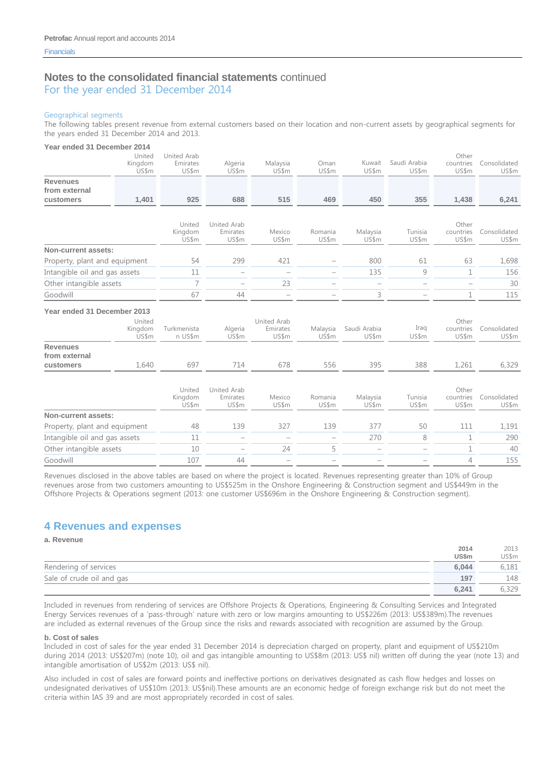For the year ended 31 December 2014

#### Geographical segments

The following tables present revenue from external customers based on their location and non-current assets by geographical segments for the years ended 31 December 2014 and 2013.

#### **Year ended 31 December 2014**

| rear ended 31 December 2014      |                            |                                  |                                  |                                  |                   |                          |                          |                             |                       |
|----------------------------------|----------------------------|----------------------------------|----------------------------------|----------------------------------|-------------------|--------------------------|--------------------------|-----------------------------|-----------------------|
|                                  | United<br>Kingdom<br>US\$m | United Arab<br>Emirates<br>US\$m | Algeria<br>US\$m                 | Malaysia<br>US\$m                | Oman<br>US\$m     | Kuwait<br>US\$m          | Saudi Arabia<br>US\$m    | Other<br>countries<br>US\$m | Consolidated<br>US\$m |
| <b>Revenues</b><br>from external |                            |                                  |                                  |                                  |                   |                          |                          |                             |                       |
| customers                        | 1,401                      | 925                              | 688                              | 515                              | 469               | 450                      | 355                      | 1,438                       | 6,241                 |
|                                  |                            |                                  |                                  |                                  |                   |                          |                          |                             |                       |
|                                  |                            | United<br>Kingdom<br>US\$m       | United Arab<br>Emirates<br>US\$m | Mexico<br>US\$m                  | Romania<br>US\$m  | Malaysia<br>US\$m        | Tunisia<br>US\$m         | Other<br>countries<br>US\$m | Consolidated<br>US\$m |
| Non-current assets:              |                            |                                  |                                  |                                  |                   |                          |                          |                             |                       |
| Property, plant and equipment    |                            | 54                               | 299                              | 421                              |                   | 800                      | 61                       | 63                          | 1,698                 |
| Intangible oil and gas assets    |                            | 11                               |                                  |                                  |                   | 135                      | 9                        | 1                           | 156                   |
| Other intangible assets          |                            | 7                                | $\overline{\phantom{0}}$         | 23                               | ÷                 | $\overline{\phantom{0}}$ | $\overline{\phantom{a}}$ |                             | 30                    |
| Goodwill                         |                            | 67                               | 44                               | $\overline{\phantom{0}}$         |                   | 3                        |                          | 1                           | 115                   |
| Year ended 31 December 2013      |                            |                                  |                                  |                                  |                   |                          |                          |                             |                       |
|                                  | United<br>Kingdom<br>US\$m | Turkmenista<br>n US\$m           | Algeria<br>US\$m                 | United Arab<br>Emirates<br>US\$m | Malaysia<br>US\$m | Saudi Arabia<br>US\$m    | Iraq<br>US\$m            | Other<br>countries<br>US\$m | Consolidated<br>US\$m |
| <b>Revenues</b><br>from external |                            |                                  |                                  |                                  |                   |                          |                          |                             |                       |
| customers                        | 1,640                      | 697                              | 714                              | 678                              | 556               | 395                      | 388                      | 1,261                       | 6,329                 |
|                                  |                            | United<br>Kingdom<br>US\$m       | United Arab<br>Emirates<br>US\$m | Mexico<br>US\$m                  | Romania<br>US\$m  | Malaysia<br>US\$m        | Tunisia<br>US\$m         | Other<br>countries<br>US\$m | Consolidated<br>US\$m |
| Non-current assets:              |                            |                                  |                                  |                                  |                   |                          |                          |                             |                       |
| Property, plant and equipment    |                            | 48                               | 139                              | 327                              | 139               | 377                      | 50                       | 111                         | 1,191                 |
| Intangible oil and gas assets    |                            | 11                               |                                  |                                  |                   | 270                      | 8                        | $\mathbf{1}$                | 290                   |

Revenues disclosed in the above tables are based on where the project is located. Revenues representing greater than 10% of Group revenues arose from two customers amounting to US\$525m in the Onshore Engineering & Construction segment and US\$449m in the Offshore Projects & Operations segment (2013: one customer US\$696m in the Onshore Engineering & Construction segment).

Other intangible assets 10 – 24 5 – – 1 40 Goodwill 107 44 – – – – 4 155

### **4 Revenues and expenses**

**a. Revenue**

|                           | 2014         | 2013  |
|---------------------------|--------------|-------|
|                           | <b>US\$m</b> | US\$m |
| Rendering of services     | 6.044        | 6,181 |
| Sale of crude oil and gas | 197          | 148   |
|                           | 6.241        | 5,329 |

Included in revenues from rendering of services are Offshore Projects & Operations, Engineering & Consulting Services and Integrated Energy Services revenues of a 'pass-through' nature with zero or low margins amounting to US\$226m (2013: US\$389m).The revenues are included as external revenues of the Group since the risks and rewards associated with recognition are assumed by the Group.

#### **b. Cost of sales**

Included in cost of sales for the year ended 31 December 2014 is depreciation charged on property, plant and equipment of US\$210m during 2014 (2013: US\$207m) (note 10), oil and gas intangible amounting to US\$8m (2013: US\$ nil) written off during the year (note 13) and intangible amortisation of US\$2m (2013: US\$ nil).

Also included in cost of sales are forward points and ineffective portions on derivatives designated as cash flow hedges and losses on undesignated derivatives of US\$10m (2013: US\$nil).These amounts are an economic hedge of foreign exchange risk but do not meet the criteria within IAS 39 and are most appropriately recorded in cost of sales.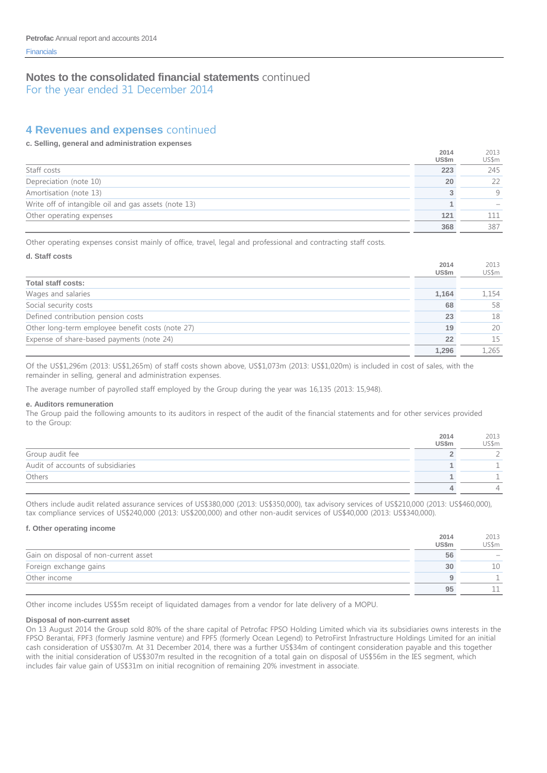For the year ended 31 December 2014

### **4 Revenues and expenses** continued

#### **c. Selling, general and administration expenses**

|                                                      | 2014<br><b>US\$m</b> | 2013<br>US\$m |
|------------------------------------------------------|----------------------|---------------|
| Staff costs                                          | 223                  | 245           |
| Depreciation (note 10)                               | 20                   | 22            |
| Amortisation (note 13)                               |                      | Q             |
| Write off of intangible oil and gas assets (note 13) |                      |               |
| Other operating expenses                             | 121                  |               |
|                                                      | 368                  | 387           |

Other operating expenses consist mainly of office, travel, legal and professional and contracting staff costs.

#### **d. Staff costs**

|                                                  | 2014<br><b>US\$m</b> | 2013<br>US\$m |
|--------------------------------------------------|----------------------|---------------|
| <b>Total staff costs:</b>                        |                      |               |
| Wages and salaries                               | 1.164                | 1.154         |
| Social security costs                            | 68                   | 58            |
| Defined contribution pension costs               | 23                   | 18            |
| Other long-term employee benefit costs (note 27) | 19                   | 20            |
| Expense of share-based payments (note 24)        | 22                   | 15            |
|                                                  | 1.296                | L.265         |

Of the US\$1,296m (2013: US\$1,265m) of staff costs shown above, US\$1,073m (2013: US\$1,020m) is included in cost of sales, with the remainder in selling, general and administration expenses.

The average number of payrolled staff employed by the Group during the year was 16,135 (2013: 15,948).

#### **e. Auditors remuneration**

The Group paid the following amounts to its auditors in respect of the audit of the financial statements and for other services provided to the Group:

|                                   | 2014<br><b>US\$m</b> | 2013<br>US\$m |
|-----------------------------------|----------------------|---------------|
| Group audit fee                   |                      |               |
| Audit of accounts of subsidiaries |                      |               |
| Others                            |                      |               |
|                                   |                      |               |

Others include audit related assurance services of US\$380,000 (2013: US\$350,000), tax advisory services of US\$210,000 (2013: US\$460,000), tax compliance services of US\$240,000 (2013: US\$200,000) and other non-audit services of US\$40,000 (2013: US\$340,000).

#### **f. Other operating income**

|                                       | 2014<br>US\$m | 2013<br>US\$m            |
|---------------------------------------|---------------|--------------------------|
| Gain on disposal of non-current asset | 56            | $\overline{\phantom{a}}$ |
| Foreign exchange gains                | 30            | 10                       |
| Other income                          |               |                          |
|                                       | 95            |                          |

**2014**

2013

Other income includes US\$5m receipt of liquidated damages from a vendor for late delivery of a MOPU.

#### **Disposal of non-current asset**

On 13 August 2014 the Group sold 80% of the share capital of Petrofac FPSO Holding Limited which via its subsidiaries owns interests in the FPSO Berantai, FPF3 (formerly Jasmine venture) and FPF5 (formerly Ocean Legend) to PetroFirst Infrastructure Holdings Limited for an initial cash consideration of US\$307m. At 31 December 2014, there was a further US\$34m of contingent consideration payable and this together with the initial consideration of US\$307m resulted in the recognition of a total gain on disposal of US\$56m in the IES segment, which includes fair value gain of US\$31m on initial recognition of remaining 20% investment in associate.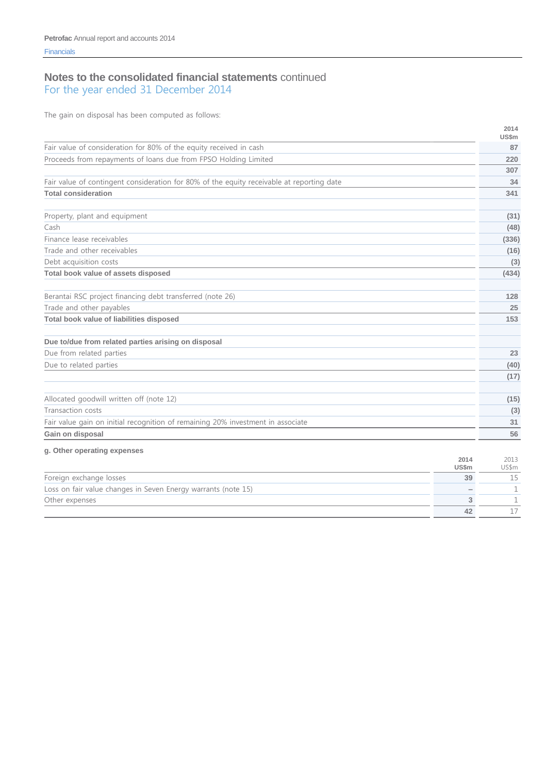The gain on disposal has been computed as follows:

|                                                                                           |                      | 2014<br><b>US\$m</b> |
|-------------------------------------------------------------------------------------------|----------------------|----------------------|
| Fair value of consideration for 80% of the equity received in cash                        |                      | 87                   |
| Proceeds from repayments of loans due from FPSO Holding Limited                           |                      | 220                  |
|                                                                                           |                      | 307                  |
| Fair value of contingent consideration for 80% of the equity receivable at reporting date |                      | 34                   |
| <b>Total consideration</b>                                                                |                      | 341                  |
|                                                                                           |                      |                      |
| Property, plant and equipment                                                             |                      | (31)                 |
| Cash                                                                                      |                      | (48)                 |
| Finance lease receivables                                                                 |                      | (336)                |
| Trade and other receivables                                                               |                      | (16)                 |
| Debt acquisition costs                                                                    |                      | (3)                  |
| Total book value of assets disposed                                                       |                      | (434)                |
| Berantai RSC project financing debt transferred (note 26)                                 |                      | 128                  |
| Trade and other payables                                                                  |                      | 25                   |
| Total book value of liabilities disposed                                                  |                      | 153                  |
| Due to/due from related parties arising on disposal                                       |                      |                      |
| Due from related parties                                                                  |                      | 23                   |
| Due to related parties                                                                    |                      | (40)                 |
|                                                                                           |                      | (17)                 |
| Allocated goodwill written off (note 12)                                                  |                      | (15)                 |
| Transaction costs                                                                         |                      | (3)                  |
| Fair value gain on initial recognition of remaining 20% investment in associate           |                      | 31                   |
| Gain on disposal                                                                          |                      | 56                   |
| g. Other operating expenses                                                               |                      |                      |
|                                                                                           | 2014<br><b>US\$m</b> | 2013<br>US\$m        |
| Foreign exchange losses                                                                   | 39                   | 15                   |
| Loss on fair value changes in Seven Energy warrants (note 15)                             |                      | $\mathbf 1$          |
| Other expenses                                                                            | 3                    | 1                    |
|                                                                                           | 42                   | 17                   |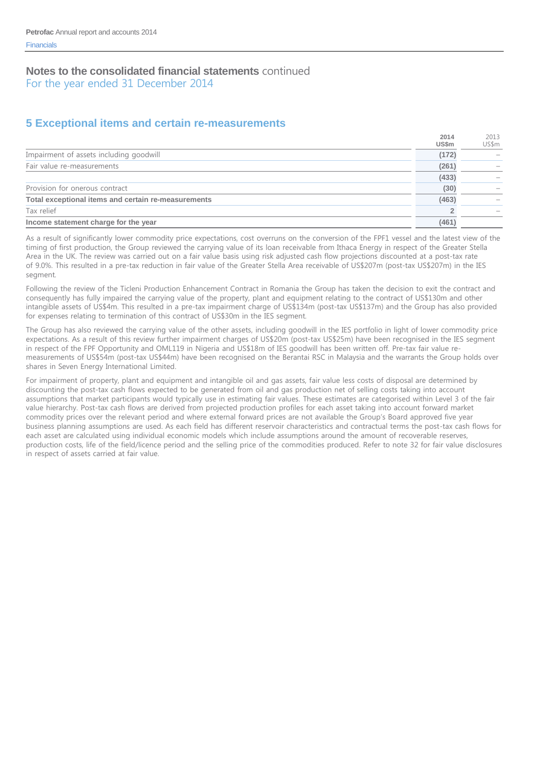For the year ended 31 December 2014

# **5 Exceptional items and certain re-measurements**

|                                                     | 2014  | 2013  |
|-----------------------------------------------------|-------|-------|
|                                                     | US\$m | US\$m |
| Impairment of assets including goodwill             | (172) |       |
| Fair value re-measurements                          | (261) |       |
|                                                     | (433) |       |
| Provision for onerous contract                      | (30)  |       |
| Total exceptional items and certain re-measurements | (463) |       |
| Tax relief                                          |       |       |
| Income statement charge for the year                | (461) |       |

As a result of significantly lower commodity price expectations, cost overruns on the conversion of the FPF1 vessel and the latest view of the timing of first production, the Group reviewed the carrying value of its loan receivable from Ithaca Energy in respect of the Greater Stella Area in the UK. The review was carried out on a fair value basis using risk adjusted cash flow projections discounted at a post-tax rate of 9.0%. This resulted in a pre-tax reduction in fair value of the Greater Stella Area receivable of US\$207m (post-tax US\$207m) in the IES segment.

Following the review of the Ticleni Production Enhancement Contract in Romania the Group has taken the decision to exit the contract and consequently has fully impaired the carrying value of the property, plant and equipment relating to the contract of US\$130m and other intangible assets of US\$4m. This resulted in a pre-tax impairment charge of US\$134m (post-tax US\$137m) and the Group has also provided for expenses relating to termination of this contract of US\$30m in the IES segment.

The Group has also reviewed the carrying value of the other assets, including goodwill in the IES portfolio in light of lower commodity price expectations. As a result of this review further impairment charges of US\$20m (post-tax US\$25m) have been recognised in the IES segment in respect of the FPF Opportunity and OML119 in Nigeria and US\$18m of IES goodwill has been written off. Pre-tax fair value remeasurements of US\$54m (post-tax US\$44m) have been recognised on the Berantai RSC in Malaysia and the warrants the Group holds over shares in Seven Energy International Limited.

For impairment of property, plant and equipment and intangible oil and gas assets, fair value less costs of disposal are determined by discounting the post-tax cash flows expected to be generated from oil and gas production net of selling costs taking into account assumptions that market participants would typically use in estimating fair values. These estimates are categorised within Level 3 of the fair value hierarchy. Post-tax cash flows are derived from projected production profiles for each asset taking into account forward market commodity prices over the relevant period and where external forward prices are not available the Group's Board approved five year business planning assumptions are used. As each field has different reservoir characteristics and contractual terms the post-tax cash flows for each asset are calculated using individual economic models which include assumptions around the amount of recoverable reserves, production costs, life of the field/licence period and the selling price of the commodities produced. Refer to note 32 for fair value disclosures in respect of assets carried at fair value.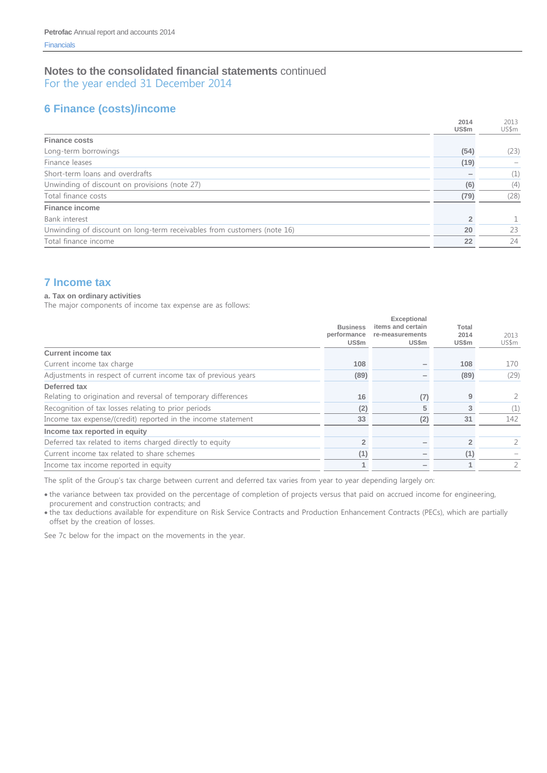For the year ended 31 December 2014

# **6 Finance (costs)/income**

|                                                                         | 2014  | 2013  |
|-------------------------------------------------------------------------|-------|-------|
|                                                                         | US\$m | US\$m |
| <b>Finance costs</b>                                                    |       |       |
| Long-term borrowings                                                    | (54)  | (23)  |
| Finance leases                                                          | (19)  |       |
| Short-term loans and overdrafts                                         |       | (1)   |
| Unwinding of discount on provisions (note 27)                           | (6)   | (4)   |
| Total finance costs                                                     | (79)  | (28)  |
| <b>Finance income</b>                                                   |       |       |
| Bank interest                                                           |       | 1.    |
| Unwinding of discount on long-term receivables from customers (note 16) | 20    | 23    |
| Total finance income                                                    | 22    | 24    |
|                                                                         |       |       |

# **7 Income tax**

#### **a. Tax on ordinary activities**

The major components of income tax expense are as follows:

|                                                                | <b>Business</b><br>performance<br>US\$m | Exceptional<br>items and certain<br>re-measurements<br><b>US\$m</b> | Total<br>2014<br><b>US\$m</b> | 2013<br>US\$m |
|----------------------------------------------------------------|-----------------------------------------|---------------------------------------------------------------------|-------------------------------|---------------|
| <b>Current income tax</b>                                      |                                         |                                                                     |                               |               |
| Current income tax charge                                      | 108                                     |                                                                     | 108                           | 170           |
| Adjustments in respect of current income tax of previous years | (89)                                    |                                                                     | (89)                          | (29)          |
| Deferred tax                                                   |                                         |                                                                     |                               |               |
| Relating to origination and reversal of temporary differences  | 16                                      | (7)                                                                 | 9                             |               |
| Recognition of tax losses relating to prior periods            | (2)                                     | 5                                                                   |                               | (1)           |
| Income tax expense/(credit) reported in the income statement   | 33                                      | (2)                                                                 | 31                            | 142           |
| Income tax reported in equity                                  |                                         |                                                                     |                               |               |
| Deferred tax related to items charged directly to equity       | $\overline{2}$                          |                                                                     |                               |               |
| Current income tax related to share schemes                    | (1)                                     |                                                                     | (1)                           |               |
| Income tax income reported in equity                           | 1                                       |                                                                     |                               |               |

The split of the Group's tax charge between current and deferred tax varies from year to year depending largely on:

 the variance between tax provided on the percentage of completion of projects versus that paid on accrued income for engineering, procurement and construction contracts; and

 the tax deductions available for expenditure on Risk Service Contracts and Production Enhancement Contracts (PECs), which are partially offset by the creation of losses.

See 7c below for the impact on the movements in the year.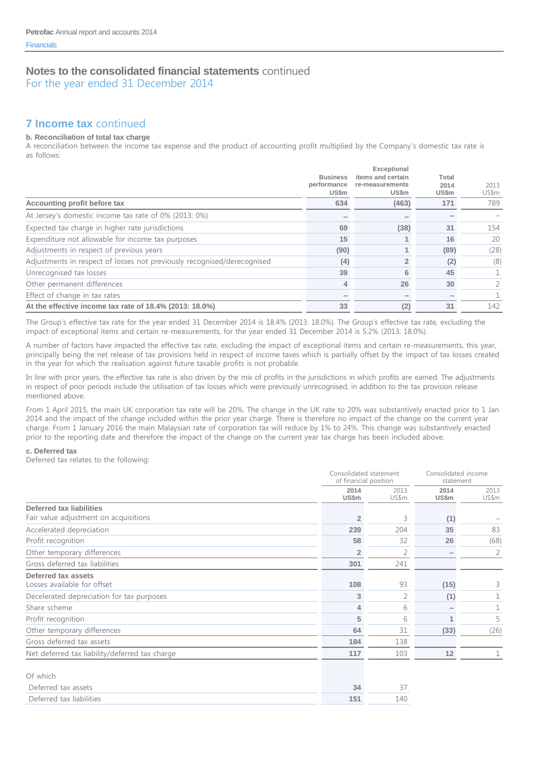For the year ended 31 December 2014

# **7 Income tax** continued

#### **b. Reconciliation of total tax charge**

A reconciliation between the income tax expense and the product of accounting profit multiplied by the Company's domestic tax rate is as follows:

|                                                                         | <b>Business</b><br>performance<br><b>US\$m</b> | Exceptional<br>items and certain<br>re-measurements<br><b>US\$m</b> | Total<br>2014<br>US\$m | 2013<br>US\$m |
|-------------------------------------------------------------------------|------------------------------------------------|---------------------------------------------------------------------|------------------------|---------------|
| Accounting profit before tax                                            | 634                                            | (463)                                                               | 171                    | 789           |
| At Jersey's domestic income tax rate of 0% (2013: 0%)                   |                                                |                                                                     |                        |               |
| Expected tax charge in higher rate jurisdictions                        | 69                                             | (38)                                                                | 31                     | 154           |
| Expenditure not allowable for income tax purposes                       | 15                                             |                                                                     | 16                     | 20            |
| Adjustments in respect of previous years                                | (90)                                           |                                                                     | (89)                   | (28)          |
| Adjustments in respect of losses not previously recognised/derecognised | (4)                                            | $\overline{2}$                                                      | (2)                    | (8)           |
| Unrecognised tax losses                                                 | 39                                             | 6                                                                   | 45                     |               |
| Other permanent differences                                             | 4                                              | 26                                                                  | 30                     |               |
| Effect of change in tax rates                                           |                                                |                                                                     |                        |               |
| At the effective income tax rate of 18.4% (2013: 18.0%)                 | 33                                             | (2)                                                                 | 31                     | 142           |

The Group's effective tax rate for the year ended 31 December 2014 is 18.4% (2013: 18.0%). The Group's effective tax rate, excluding the impact of exceptional items and certain re-measurements, for the year ended 31 December 2014 is 5.2% (2013: 18.0%).

A number of factors have impacted the effective tax rate, excluding the impact of exceptional items and certain re-measurements, this year, principally being the net release of tax provisions held in respect of income taxes which is partially offset by the impact of tax losses created in the year for which the realisation against future taxable profits is not probable.

In line with prior years, the effective tax rate is also driven by the mix of profits in the jurisdictions in which profits are earned. The adjustments in respect of prior periods include the utilisation of tax losses which were previously unrecognised, in addition to the tax provision release mentioned above.

From 1 April 2015, the main UK corporation tax rate will be 20%. The change in the UK rate to 20% was substantively enacted prior to 1 Jan 2014 and the impact of the change included within the prior year charge. There is therefore no impact of the change on the current year charge. From 1 January 2016 the main Malaysian rate of corporation tax will reduce by 1% to 24%. This change was substantively enacted prior to the reporting date and therefore the impact of the change on the current year tax charge has been included above.

#### **c. Deferred tax**

Deferred tax relates to the following:

|                                                                          |                | Consolidated statement<br>of financial position |               | Consolidated income<br>statement |
|--------------------------------------------------------------------------|----------------|-------------------------------------------------|---------------|----------------------------------|
|                                                                          | 2014<br>US\$m  | 2013<br>US\$m                                   | 2014<br>US\$m | 2013<br>US\$m                    |
| <b>Deferred tax liabilities</b><br>Fair value adjustment on acquisitions | $\overline{2}$ | 3                                               | (1)           |                                  |
| Accelerated depreciation                                                 | 239            | 204                                             | 35            | 83                               |
| Profit recognition                                                       | 58             | 32                                              | 26            | (68)                             |
| Other temporary differences                                              | $\overline{2}$ | $\overline{2}$                                  |               | 2                                |
| Gross deferred tax liabilities                                           | 301            | 241                                             |               |                                  |
| Deferred tax assets<br>Losses available for offset                       | 108            | 93                                              | (15)          | 3                                |
| Decelerated depreciation for tax purposes                                | 3              | 2                                               | (1)           |                                  |
| Share scheme                                                             | 4              | 6                                               |               |                                  |
| Profit recognition                                                       | 5              | 6                                               |               | 5                                |
| Other temporary differences                                              | 64             | 31                                              | (33)          | (26)                             |
| Gross deferred tax assets                                                | 184            | 138                                             |               |                                  |
| Net deferred tax liability/deferred tax charge                           | 117            | 103                                             | 12            |                                  |
| Of which                                                                 |                |                                                 |               |                                  |
| Deferred tax assets                                                      | 34             | 37                                              |               |                                  |
| Deferred tax liabilities                                                 | 151            | 140                                             |               |                                  |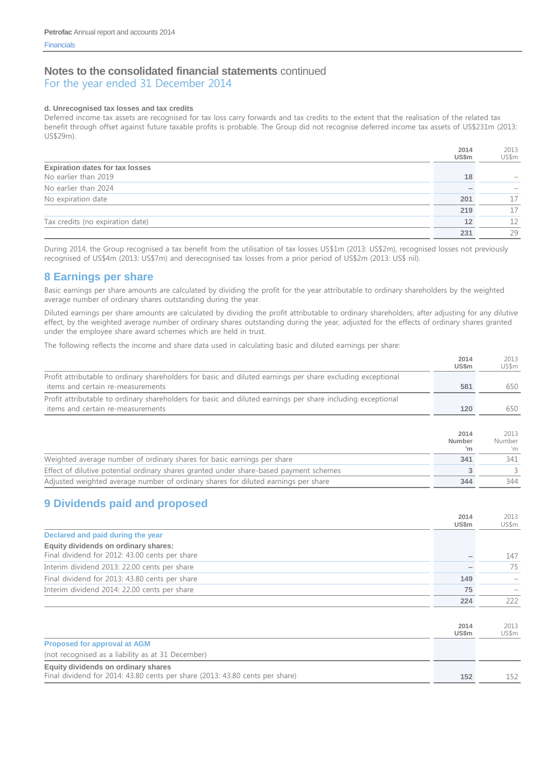For the year ended 31 December 2014

#### **d. Unrecognised tax losses and tax credits**

Deferred income tax assets are recognised for tax loss carry forwards and tax credits to the extent that the realisation of the related tax benefit through offset against future taxable profits is probable. The Group did not recognise deferred income tax assets of US\$231m (2013: US\$29m).

|                                        | 2014  | 2013  |
|----------------------------------------|-------|-------|
|                                        | US\$m | US\$m |
| <b>Expiration dates for tax losses</b> |       |       |
| No earlier than 2019                   | 18    |       |
| No earlier than 2024                   |       |       |
| No expiration date                     | 201   | 17    |
|                                        | 219   | 17    |
| Tax credits (no expiration date)       | 12    | 12    |
|                                        | 231   | 29    |

During 2014, the Group recognised a tax benefit from the utilisation of tax losses US\$1m (2013: US\$2m), recognised losses not previously recognised of US\$4m (2013: US\$7m) and derecognised tax losses from a prior period of US\$2m (2013: US\$ nil).

### **8 Earnings per share**

Basic earnings per share amounts are calculated by dividing the profit for the year attributable to ordinary shareholders by the weighted average number of ordinary shares outstanding during the year.

Diluted earnings per share amounts are calculated by dividing the profit attributable to ordinary shareholders, after adjusting for any dilutive effect, by the weighted average number of ordinary shares outstanding during the year, adjusted for the effects of ordinary shares granted under the employee share award schemes which are held in trust.

The following reflects the income and share data used in calculating basic and diluted earnings per share:

|                                                                                                             | 2014<br>US\$m | 2013<br>US\$m |
|-------------------------------------------------------------------------------------------------------------|---------------|---------------|
| Profit attributable to ordinary shareholders for basic and diluted earnings per share excluding exceptional |               |               |
| items and certain re-measurements                                                                           | 581           | 650-          |
| Profit attributable to ordinary shareholders for basic and diluted earnings per share including exceptional |               |               |
| items and certain re-measurements                                                                           | 120           | 650           |
|                                                                                                             |               |               |

|                                                                                        | 2014<br>Number<br>'n | 2013<br>Number<br>'m |
|----------------------------------------------------------------------------------------|----------------------|----------------------|
| Weighted average number of ordinary shares for basic earnings per share                | 341                  | 341                  |
| Effect of dilutive potential ordinary shares granted under share-based payment schemes |                      |                      |
| Adjusted weighted average number of ordinary shares for diluted earnings per share     | 344                  | 344                  |

### **9 Dividends paid and proposed**

|                                                                                        | 2014<br>US\$m | 2013<br>US\$m |
|----------------------------------------------------------------------------------------|---------------|---------------|
| Declared and paid during the year                                                      |               |               |
| Equity dividends on ordinary shares:<br>Final dividend for 2012: 43.00 cents per share |               | 147           |
| Interim dividend 2013: 22.00 cents per share                                           |               | 75            |
| Final dividend for 2013: 43.80 cents per share                                         | 149           |               |
| Interim dividend 2014: 22.00 cents per share                                           | 75            |               |
|                                                                                        | 224           | 222           |

|                                                                              | 2014<br><b>US\$m</b> | 2013<br>US\$m |
|------------------------------------------------------------------------------|----------------------|---------------|
| <b>Proposed for approval at AGM</b>                                          |                      |               |
| (not recognised as a liability as at 31 December)                            |                      |               |
| Equity dividends on ordinary shares                                          |                      |               |
| Final dividend for 2014: 43.80 cents per share (2013: 43.80 cents per share) | 152                  | 152           |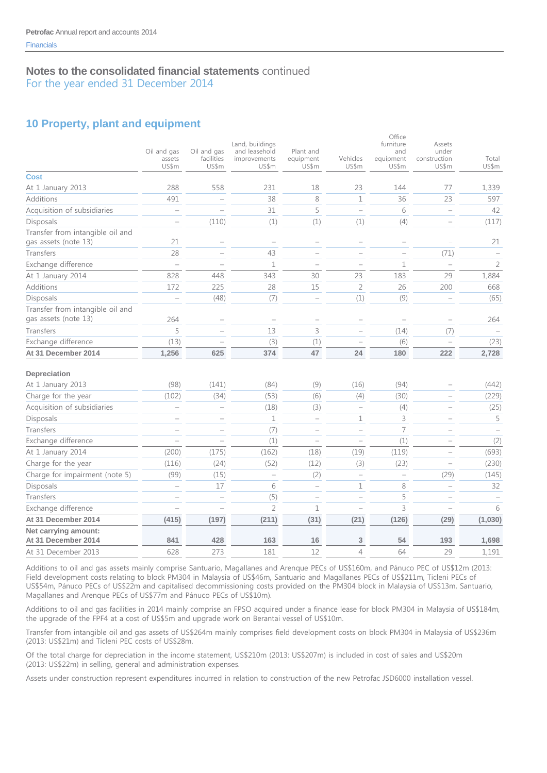For the year ended 31 December 2014

# **10 Property, plant and equipment**

|                                                          | Oil and gas<br>assets<br>US\$m | Oil and gas<br>facilities<br>US\$m | Land, buildings<br>and leasehold<br>improvements<br>US\$m | Plant and<br>equipment<br>US\$m | Vehicles<br>US\$m                 | Office<br>furniture<br>and<br>equipment<br>US\$m | Assets<br>under<br>construction<br>US\$m | Total<br>US\$m |
|----------------------------------------------------------|--------------------------------|------------------------------------|-----------------------------------------------------------|---------------------------------|-----------------------------------|--------------------------------------------------|------------------------------------------|----------------|
| <b>Cost</b>                                              |                                |                                    |                                                           |                                 |                                   |                                                  |                                          |                |
| At 1 January 2013                                        | 288                            | 558                                | 231                                                       | 18                              | 23                                | 144                                              | 77                                       | 1,339          |
| Additions                                                | 491                            |                                    | 38                                                        | 8                               | $\mathbf 1$                       | 36                                               | 23                                       | 597            |
| Acquisition of subsidiaries                              | $\overline{\phantom{a}}$       |                                    | 31                                                        | 5                               | $\overline{\phantom{0}}$          | 6                                                | $\overline{\phantom{0}}$                 | 42             |
| Disposals                                                |                                | (110)                              | (1)                                                       | (1)                             | (1)                               | (4)                                              |                                          | (117)          |
| Transfer from intangible oil and<br>gas assets (note 13) | 21                             |                                    |                                                           |                                 | $\overline{\phantom{a}}$          |                                                  |                                          | 21             |
| Transfers                                                | 28                             |                                    | 43                                                        |                                 | $\overline{\phantom{a}}$          |                                                  | (71)                                     |                |
| Exchange difference                                      |                                |                                    | $\mathbf 1$                                               |                                 | $\overline{\phantom{a}}$          | $\mathbf 1$                                      | L.                                       | $\overline{2}$ |
| At 1 January 2014                                        | 828                            | 448                                | 343                                                       | 30                              | 23                                | 183                                              | 29                                       | 1,884          |
| Additions                                                | 172                            | 225                                | 28                                                        | 15                              | $\overline{2}$                    | 26                                               | 200                                      | 668            |
| Disposals                                                |                                | (48)                               | (7)                                                       |                                 | (1)                               | (9)                                              |                                          | (65)           |
| Transfer from intangible oil and<br>gas assets (note 13) | 264                            |                                    |                                                           |                                 | $\overline{\phantom{0}}$          | $\overline{\phantom{0}}$                         | $\overline{\phantom{0}}$                 | 264            |
| Transfers                                                | 5                              |                                    | 13                                                        | 3                               | L.                                | (14)                                             | (7)                                      |                |
| Exchange difference                                      | (13)                           |                                    | (3)                                                       | (1)                             |                                   | (6)                                              |                                          | (23)           |
| At 31 December 2014                                      | 1,256                          | 625                                | 374                                                       | 47                              | 24                                | 180                                              | 222                                      | 2,728          |
| Depreciation                                             |                                |                                    |                                                           |                                 |                                   |                                                  |                                          |                |
| At 1 January 2013                                        | (98)                           | (141)                              | (84)                                                      | (9)                             | (16)                              | (94)                                             |                                          | (442)          |
| Charge for the year                                      | (102)                          | (34)                               | (53)                                                      | (6)                             | (4)                               | (30)                                             | $\qquad \qquad -$                        | (229)          |
| Acquisition of subsidiaries                              | $\overline{\phantom{0}}$       | $\qquad \qquad -$                  | (18)                                                      | (3)                             | $\hspace{1.0cm} - \hspace{1.0cm}$ | (4)                                              | ۰                                        | (25)           |
| Disposals                                                |                                | $\qquad \qquad -$                  | $\mathbf 1$                                               | $\overline{\phantom{0}}$        | $\mathbf 1$                       | 3                                                | $\overline{\phantom{0}}$                 | 5              |
| Transfers                                                |                                | $\overline{\phantom{0}}$           | (7)                                                       | $\overline{\phantom{m}}$        | $\overline{\phantom{0}}$          | $\overline{7}$                                   | $\overline{\phantom{a}}$                 |                |
| Exchange difference                                      | L.                             |                                    | (1)                                                       | $\overline{\phantom{0}}$        | $\overline{\phantom{0}}$          | (1)                                              | Ē.                                       | (2)            |
| At 1 January 2014                                        | (200)                          | (175)                              | (162)                                                     | (18)                            | (19)                              | (119)                                            | $\overline{\phantom{0}}$                 | (693)          |
| Charge for the year                                      | (116)                          | (24)                               | (52)                                                      | (12)                            | (3)                               | (23)                                             | Ē.                                       | (230)          |
| Charge for impairment (note 5)                           | (99)                           | (15)                               | $\qquad \qquad -$                                         | (2)                             | $\hspace{1.0cm} - \hspace{1.0cm}$ | $\qquad \qquad -$                                | (29)                                     | (145)          |
| Disposals                                                | $\overline{\phantom{a}}$       | 17                                 | 6                                                         | $\overline{\phantom{0}}$        | $\mathbf 1$                       | 8                                                | $\overline{\phantom{0}}$                 | 32             |
| Transfers                                                |                                |                                    | (5)                                                       | $\overline{\phantom{a}}$        | $\overline{\phantom{0}}$          | 5                                                |                                          |                |
| Exchange difference                                      |                                |                                    | $\overline{2}$                                            | $\mathbf{1}$                    | $\overline{\phantom{0}}$          | 3                                                |                                          | 6              |
| At 31 December 2014                                      | (415)                          | (197)                              | (211)                                                     | (31)                            | (21)                              | (126)                                            | (29)                                     | (1,030)        |
| Net carrying amount:<br>At 31 December 2014              | 841                            | 428                                | 163                                                       | 16                              | $\ensuremath{\mathsf{3}}$         | 54                                               | 193                                      | 1,698          |
| At 31 December 2013                                      | 628                            | 273                                | 181                                                       | 12                              | $\overline{4}$                    | 64                                               | 29                                       | 1,191          |

Additions to oil and gas assets mainly comprise Santuario, Magallanes and Arenque PECs of US\$160m, and Pánuco PEC of US\$12m (2013: Field development costs relating to block PM304 in Malaysia of US\$46m, Santuario and Magallanes PECs of US\$211m, Ticleni PECs of US\$54m, Pánuco PECs of US\$22m and capitalised decommissioning costs provided on the PM304 block in Malaysia of US\$13m, Santuario, Magallanes and Arenque PECs of US\$77m and Pánuco PECs of US\$10m).

Additions to oil and gas facilities in 2014 mainly comprise an FPSO acquired under a finance lease for block PM304 in Malaysia of US\$184m, the upgrade of the FPF4 at a cost of US\$5m and upgrade work on Berantai vessel of US\$10m.

Transfer from intangible oil and gas assets of US\$264m mainly comprises field development costs on block PM304 in Malaysia of US\$236m (2013: US\$21m) and Ticleni PEC costs of US\$28m.

Of the total charge for depreciation in the income statement, US\$210m (2013: US\$207m) is included in cost of sales and US\$20m (2013: US\$22m) in selling, general and administration expenses.

Assets under construction represent expenditures incurred in relation to construction of the new Petrofac JSD6000 installation vessel.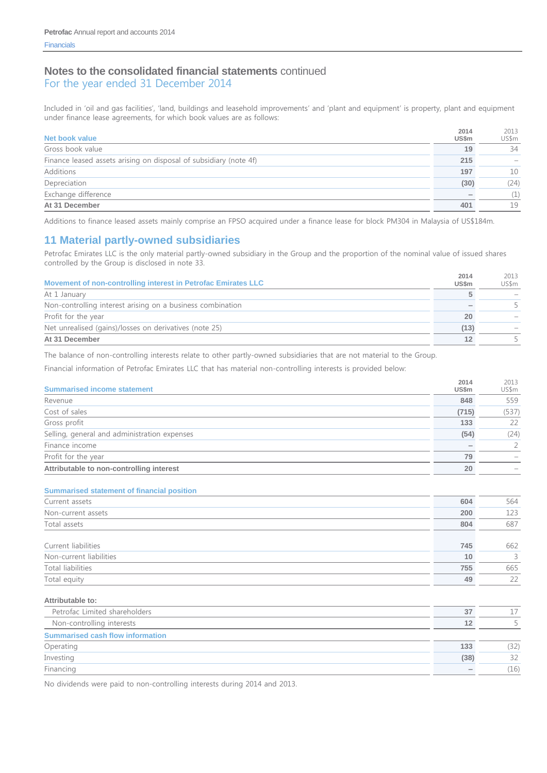For the year ended 31 December 2014

Included in 'oil and gas facilities', 'land, buildings and leasehold improvements' and 'plant and equipment' is property, plant and equipment under finance lease agreements, for which book values are as follows:

| Net book value                                                    | 2014<br>US\$m | 2013<br>US\$m |
|-------------------------------------------------------------------|---------------|---------------|
| Gross book value                                                  | 19            | 34            |
| Finance leased assets arising on disposal of subsidiary (note 4f) | 215           |               |
| Additions                                                         | 197           | 10            |
| Depreciation                                                      | (30)          | (24)          |
| Exchange difference                                               |               | (1)           |
| At 31 December                                                    | 401           | 19            |

Additions to finance leased assets mainly comprise an FPSO acquired under a finance lease for block PM304 in Malaysia of US\$184m.

### **11 Material partly-owned subsidiaries**

Petrofac Emirates LLC is the only material partly-owned subsidiary in the Group and the proportion of the nominal value of issued shares controlled by the Group is disclosed in note 33.

| Movement of non-controlling interest in Petrofac Emirates LLC | 2014<br><b>US\$m</b> | 2013<br>US\$m |
|---------------------------------------------------------------|----------------------|---------------|
| At 1 January                                                  |                      |               |
| Non-controlling interest arising on a business combination    |                      |               |
| Profit for the year                                           | 20                   |               |
| Net unrealised (gains)/losses on derivatives (note 25)        | (13)                 |               |
| At 31 December                                                | 12                   |               |

The balance of non-controlling interests relate to other partly-owned subsidiaries that are not material to the Group.

Financial information of Petrofac Emirates LLC that has material non-controlling interests is provided below:

| <b>Summarised income statement</b>           | 2014<br>US\$m | 2013<br>US\$m |
|----------------------------------------------|---------------|---------------|
| Revenue                                      | 848           | 559           |
| Cost of sales                                | (715)         | (537)         |
| Gross profit                                 | 133           | 22            |
| Selling, general and administration expenses | (54)          | (24)          |
| Finance income                               |               |               |
| Profit for the year                          | 79            |               |
| Attributable to non-controlling interest     | 20            |               |

#### **Summarised statement of financial position**

| 604 | 564           |
|-----|---------------|
| 200 | 123           |
| 804 | 687           |
|     |               |
| 745 | 662           |
| 10  | $\mathcal{L}$ |
| 755 | 665           |
| 49  | 22            |
|     |               |

#### **Attributable to:**

| Petrofac Limited shareholders           | 37                       |     |
|-----------------------------------------|--------------------------|-----|
| Non-controlling interests               | 12                       |     |
| <b>Summarised cash flow information</b> |                          |     |
| Operating                               | 133                      | 32) |
| Investing                               | (38)                     | 32  |
| Financing                               | $\overline{\phantom{a}}$ | 16) |

No dividends were paid to non-controlling interests during 2014 and 2013.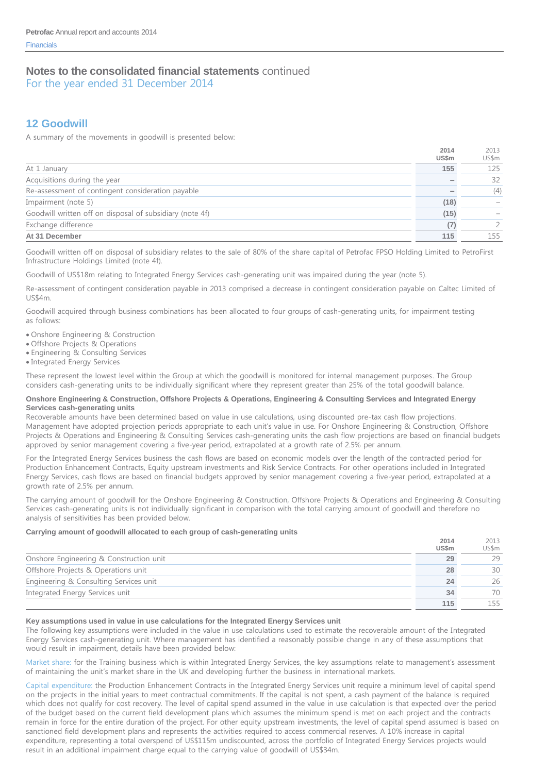For the year ended 31 December 2014

# **12 Goodwill**

A summary of the movements in goodwill is presented below:

|                                                          | 2014  | 2013  |
|----------------------------------------------------------|-------|-------|
|                                                          | US\$m | US\$m |
| At 1 January                                             | 155   | 125   |
| Acquisitions during the year                             |       | 32    |
| Re-assessment of contingent consideration payable        |       | (4)   |
| Impairment (note 5)                                      | (18)  |       |
| Goodwill written off on disposal of subsidiary (note 4f) | (15)  |       |
| Exchange difference                                      | (7)   |       |
| At 31 December                                           | 115   | 155   |

Goodwill written off on disposal of subsidiary relates to the sale of 80% of the share capital of Petrofac FPSO Holding Limited to PetroFirst Infrastructure Holdings Limited (note 4f).

Goodwill of US\$18m relating to Integrated Energy Services cash-generating unit was impaired during the year (note 5).

Re-assessment of contingent consideration payable in 2013 comprised a decrease in contingent consideration payable on Caltec Limited of US\$4m.

Goodwill acquired through business combinations has been allocated to four groups of cash-generating units, for impairment testing as follows:

- Onshore Engineering & Construction
- Offshore Projects & Operations
- Engineering & Consulting Services
- Integrated Energy Services

These represent the lowest level within the Group at which the goodwill is monitored for internal management purposes. The Group considers cash-generating units to be individually significant where they represent greater than 25% of the total goodwill balance.

#### **Onshore Engineering & Construction, Offshore Projects & Operations, Engineering & Consulting Services and Integrated Energy Services cash-generating units**

Recoverable amounts have been determined based on value in use calculations, using discounted pre-tax cash flow projections. Management have adopted projection periods appropriate to each unit's value in use. For Onshore Engineering & Construction, Offshore Projects & Operations and Engineering & Consulting Services cash-generating units the cash flow projections are based on financial budgets approved by senior management covering a five-year period, extrapolated at a growth rate of 2.5% per annum.

For the Integrated Energy Services business the cash flows are based on economic models over the length of the contracted period for Production Enhancement Contracts, Equity upstream investments and Risk Service Contracts. For other operations included in Integrated Energy Services, cash flows are based on financial budgets approved by senior management covering a five-year period, extrapolated at a growth rate of 2.5% per annum.

The carrying amount of goodwill for the Onshore Engineering & Construction, Offshore Projects & Operations and Engineering & Consulting Services cash-generating units is not individually significant in comparison with the total carrying amount of goodwill and therefore no analysis of sensitivities has been provided below.

#### **Carrying amount of goodwill allocated to each group of cash-generating units**

|                                         | 2014<br><b>US\$m</b> | 2013<br>US\$m |
|-----------------------------------------|----------------------|---------------|
| Onshore Engineering & Construction unit | 29                   | 29            |
| Offshore Projects & Operations unit     | 28                   | 30            |
| Engineering & Consulting Services unit  | 24                   | 26            |
| Integrated Energy Services unit         | 34                   | 70            |
|                                         | 115                  | 155           |

#### **Key assumptions used in value in use calculations for the Integrated Energy Services unit**

The following key assumptions were included in the value in use calculations used to estimate the recoverable amount of the Integrated Energy Services cash-generating unit. Where management has identified a reasonably possible change in any of these assumptions that would result in impairment, details have been provided below:

Market share: for the Training business which is within Integrated Energy Services, the key assumptions relate to management's assessment of maintaining the unit's market share in the UK and developing further the business in international markets.

Capital expenditure: the Production Enhancement Contracts in the Integrated Energy Services unit require a minimum level of capital spend on the projects in the initial years to meet contractual commitments. If the capital is not spent, a cash payment of the balance is required which does not qualify for cost recovery. The level of capital spend assumed in the value in use calculation is that expected over the period of the budget based on the current field development plans which assumes the minimum spend is met on each project and the contracts remain in force for the entire duration of the project. For other equity upstream investments, the level of capital spend assumed is based on sanctioned field development plans and represents the activities required to access commercial reserves. A 10% increase in capital expenditure, representing a total overspend of US\$115m undiscounted, across the portfolio of Integrated Energy Services projects would result in an additional impairment charge equal to the carrying value of goodwill of US\$34m.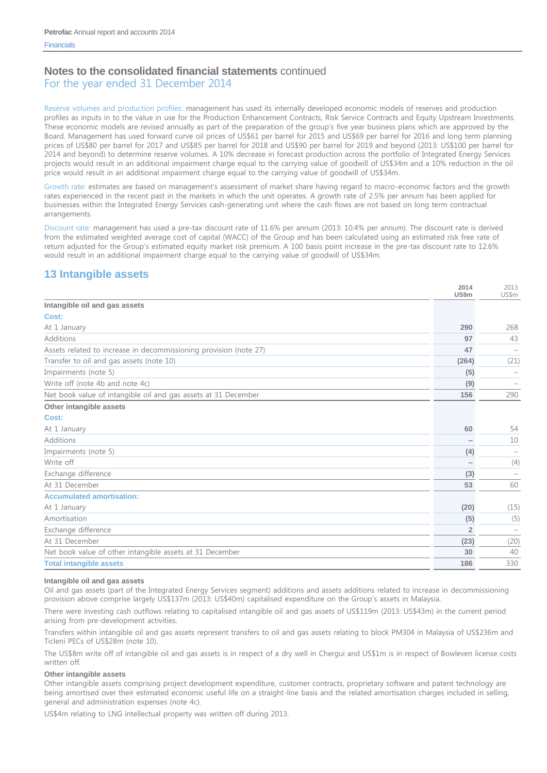For the year ended 31 December 2014

Reserve volumes and production profiles: management has used its internally developed economic models of reserves and production profiles as inputs in to the value in use for the Production Enhancement Contracts, Risk Service Contracts and Equity Upstream Investments. These economic models are revised annually as part of the preparation of the group's five year business plans which are approved by the Board. Management has used forward curve oil prices of US\$61 per barrel for 2015 and US\$69 per barrel for 2016 and long term planning prices of US\$80 per barrel for 2017 and US\$85 per barrel for 2018 and US\$90 per barrel for 2019 and beyond (2013: US\$100 per barrel for 2014 and beyond) to determine reserve volumes. A 10% decrease in forecast production across the portfolio of Integrated Energy Services projects would result in an additional impairment charge equal to the carrying value of goodwill of US\$34m and a 10% reduction in the oil price would result in an additional impairment charge equal to the carrying value of goodwill of US\$34m.

Growth rate: estimates are based on management's assessment of market share having regard to macro-economic factors and the growth rates experienced in the recent past in the markets in which the unit operates. A growth rate of 2.5% per annum has been applied for businesses within the Integrated Energy Services cash-generating unit where the cash flows are not based on long term contractual arrangements.

Discount rate: management has used a pre-tax discount rate of 11.6% per annum (2013: 10.4% per annum). The discount rate is derived from the estimated weighted average cost of capital (WACC) of the Group and has been calculated using an estimated risk free rate of return adjusted for the Group's estimated equity market risk premium. A 100 basis point increase in the pre-tax discount rate to 12.6% would result in an additional impairment charge equal to the carrying value of goodwill of US\$34m.

# **13 Intangible assets**

|                                                                   | 2014<br><b>US\$m</b> | 2013<br>US\$m |
|-------------------------------------------------------------------|----------------------|---------------|
| Intangible oil and gas assets                                     |                      |               |
| Cost:                                                             |                      |               |
| At 1 January                                                      | 290                  | 268           |
| <b>Additions</b>                                                  | 97                   | 43            |
| Assets related to increase in decommissioning provision (note 27) | 47                   |               |
| Transfer to oil and gas assets (note 10)                          | (264)                | (21)          |
| Impairments (note 5)                                              | (5)                  |               |
| Write off (note 4b and note 4c)                                   | (9)                  |               |
| Net book value of intangible oil and gas assets at 31 December    | 156                  | 290           |
| Other intangible assets                                           |                      |               |
| Cost:                                                             |                      |               |
| At 1 January                                                      | 60                   | 54            |
| <b>Additions</b>                                                  |                      | 10            |
| Impairments (note 5)                                              | (4)                  |               |
| Write off                                                         |                      | (4)           |
| Exchange difference                                               | (3)                  |               |
| At 31 December                                                    | 53                   | 60            |
| <b>Accumulated amortisation:</b>                                  |                      |               |
| At 1 January                                                      | (20)                 | (15)          |
| Amortisation                                                      | (5)                  | (5)           |
| Exchange difference                                               | $\overline{2}$       |               |
| At 31 December                                                    | (23)                 | (20)          |
| Net book value of other intangible assets at 31 December          | 30                   | 40            |
| <b>Total intangible assets</b>                                    | 186                  | 330           |

#### **Intangible oil and gas assets**

Oil and gas assets (part of the Integrated Energy Services segment) additions and assets additions related to increase in decommissioning provision above comprise largely US\$137m (2013: US\$40m) capitalised expenditure on the Group's assets in Malaysia.

There were investing cash outflows relating to capitalised intangible oil and gas assets of US\$119m (2013: US\$43m) in the current period arising from pre-development activities.

Transfers within intangible oil and gas assets represent transfers to oil and gas assets relating to block PM304 in Malaysia of US\$236m and Ticleni PECs of US\$28m (note 10).

The US\$8m write off of intangible oil and gas assets is in respect of a dry well in Chergui and US\$1m is in respect of Bowleven license costs written off.

#### **Other intangible assets**

Other intangible assets comprising project development expenditure, customer contracts, proprietary software and patent technology are being amortised over their estimated economic useful life on a straight-line basis and the related amortisation charges included in selling, general and administration expenses (note 4c).

US\$4m relating to LNG intellectual property was written off during 2013.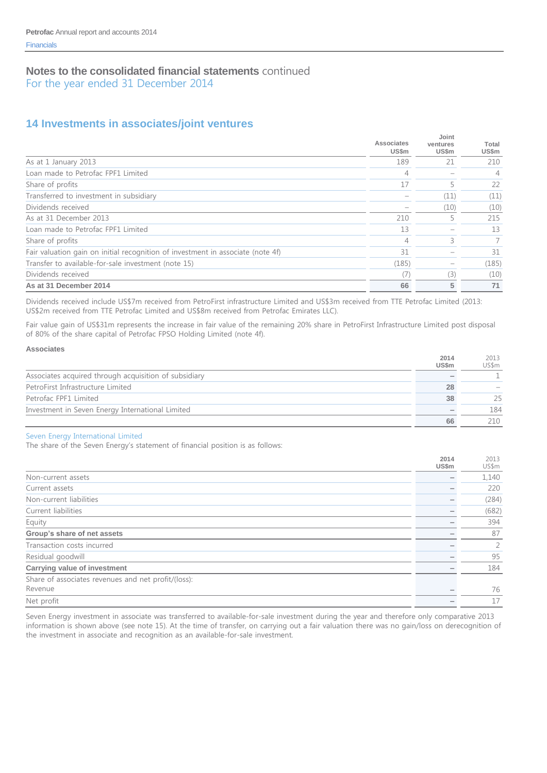For the year ended 31 December 2014

# **14 Investments in associates/joint ventures**

|                                                                                 | Associates<br><b>US\$m</b> | Joint<br>ventures<br>US\$m | Total<br>US\$m |
|---------------------------------------------------------------------------------|----------------------------|----------------------------|----------------|
| As at 1 January 2013                                                            | 189                        | 21                         | 210            |
| Loan made to Petrofac FPF1 Limited                                              | 4                          |                            | 4              |
| Share of profits                                                                | 17                         |                            | 22             |
| Transferred to investment in subsidiary                                         |                            | (11)                       | (11)           |
| Dividends received                                                              |                            | (10)                       | (10)           |
| As at 31 December 2013                                                          | 210                        |                            | 215            |
| Loan made to Petrofac FPF1 Limited                                              | 13                         |                            | 13             |
| Share of profits                                                                | 4                          | 3                          |                |
| Fair valuation gain on initial recognition of investment in associate (note 4f) | 31                         |                            | 31             |
| Transfer to available-for-sale investment (note 15)                             | (185)                      |                            | (185)          |
| Dividends received                                                              | $\left($ /                 | (3)                        | (10)           |
| As at 31 December 2014                                                          | 66                         | 5                          | 71             |

Dividends received include US\$7m received from PetroFirst infrastructure Limited and US\$3m received from TTE Petrofac Limited (2013: US\$2m received from TTE Petrofac Limited and US\$8m received from Petrofac Emirates LLC).

Fair value gain of US\$31m represents the increase in fair value of the remaining 20% share in PetroFirst Infrastructure Limited post disposal of 80% of the share capital of Petrofac FPSO Holding Limited (note 4f).

#### **Associates**

|                                                       | 2014<br><b>US\$m</b> | 2013<br>US\$m |
|-------------------------------------------------------|----------------------|---------------|
| Associates acquired through acquisition of subsidiary |                      |               |
| PetroFirst Infrastructure Limited                     | 28                   |               |
| Petrofac FPF1 Limited                                 | 38                   | 25            |
| Investment in Seven Energy International Limited      |                      | 184           |
|                                                       | 66                   | 210           |

#### Seven Energy International Limited

The share of the Seven Energy's statement of financial position is as follows:

|                                                     | 2014<br>US\$m | 2013<br>US\$m  |
|-----------------------------------------------------|---------------|----------------|
| Non-current assets                                  |               | 1,140          |
| Current assets                                      |               | 220            |
| Non-current liabilities                             |               | (284)          |
| Current liabilities                                 |               | (682)          |
| Equity                                              |               | 394            |
| Group's share of net assets                         |               | 87             |
| Transaction costs incurred                          |               | $\overline{2}$ |
| Residual goodwill                                   |               | 95             |
| <b>Carrying value of investment</b>                 |               | 184            |
| Share of associates revenues and net profit/(loss): |               |                |
| Revenue                                             |               | 76             |
| Net profit                                          |               | 17             |

Seven Energy investment in associate was transferred to available-for-sale investment during the year and therefore only comparative 2013 information is shown above (see note 15). At the time of transfer, on carrying out a fair valuation there was no gain/loss on derecognition of the investment in associate and recognition as an available-for-sale investment.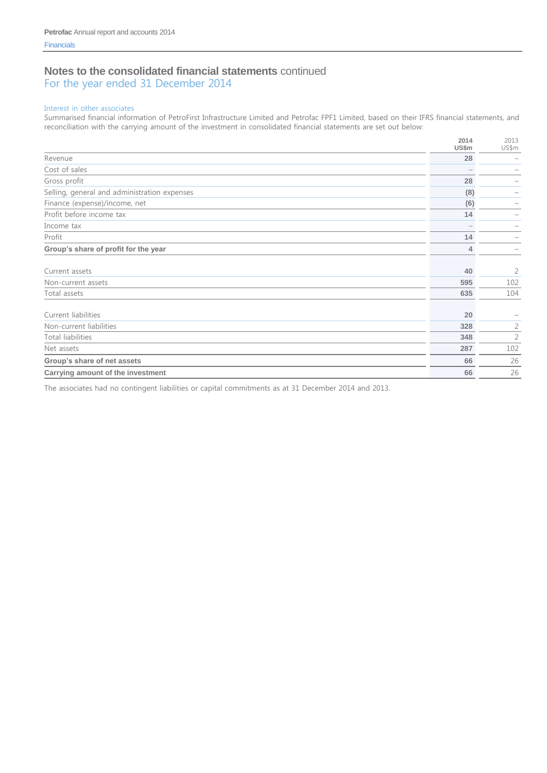For the year ended 31 December 2014

#### Interest in other associates

Summarised financial information of PetroFirst Infrastructure Limited and Petrofac FPF1 Limited, based on their IFRS financial statements, and reconciliation with the carrying amount of the investment in consolidated financial statements are set out below:

|                                              | 2014<br>US\$m | 2013<br>US\$m  |
|----------------------------------------------|---------------|----------------|
| Revenue                                      | 28            |                |
| Cost of sales                                |               |                |
| Gross profit                                 | 28            |                |
| Selling, general and administration expenses | (8)           | -              |
| Finance (expense)/income, net                | (6)           | -              |
| Profit before income tax                     | 14            |                |
| Income tax                                   |               |                |
| Profit                                       | 14            |                |
| Group's share of profit for the year         | 4             |                |
| Current assets                               | 40            | $\overline{2}$ |
| Non-current assets                           | 595           | 102            |
| Total assets                                 | 635           | 104            |
| Current liabilities                          | 20            |                |
| Non-current liabilities                      | 328           | $\overline{2}$ |
| <b>Total liabilities</b>                     | 348           | $\overline{2}$ |
| Net assets                                   | 287           | 102            |
| Group's share of net assets                  | 66            | 26             |
| Carrying amount of the investment            | 66            | 26             |

The associates had no contingent liabilities or capital commitments as at 31 December 2014 and 2013.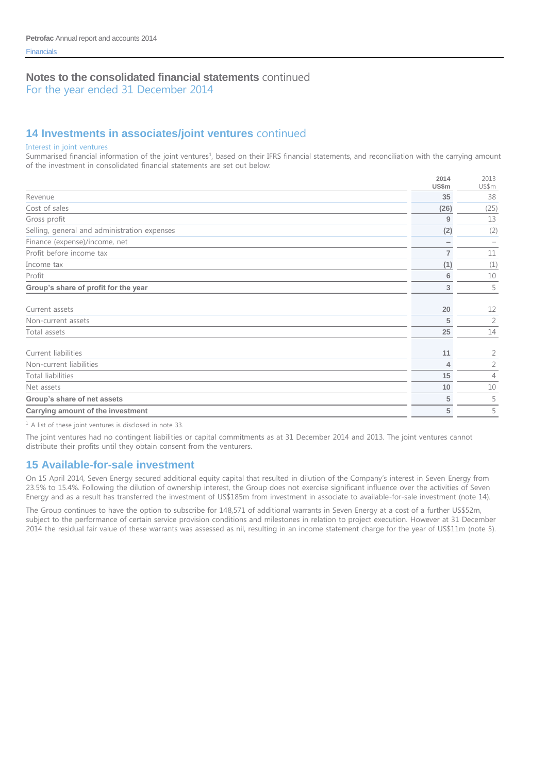For the year ended 31 December 2014

# **14 Investments in associates/joint ventures** continued

#### Interest in joint ventures

Summarised financial information of the joint ventures<sup>1</sup>, based on their IFRS financial statements, and reconciliation with the carrying amount of the investment in consolidated financial statements are set out below:

**2014**

 $2012$ 

| 35<br>Revenue<br>Cost of sales<br>(26)<br>Gross profit<br>9<br>Selling, general and administration expenses<br>(2)<br>Finance (expense)/income, net<br>Profit before income tax<br>$\overline{7}$<br>Income tax<br>(1)<br>Profit<br>6<br>Group's share of profit for the year<br>3<br>20<br>Current assets<br>5<br>Non-current assets<br>Total assets<br>25<br>Current liabilities<br>11<br>Non-current liabilities<br>4<br><b>Total liabilities</b><br>15<br>10<br>Net assets<br>5<br>Group's share of net assets<br>5<br>Carrying amount of the investment | ZU 14<br><b>US\$m</b> | ZUIJ<br>US\$m  |
|--------------------------------------------------------------------------------------------------------------------------------------------------------------------------------------------------------------------------------------------------------------------------------------------------------------------------------------------------------------------------------------------------------------------------------------------------------------------------------------------------------------------------------------------------------------|-----------------------|----------------|
|                                                                                                                                                                                                                                                                                                                                                                                                                                                                                                                                                              |                       | 38             |
|                                                                                                                                                                                                                                                                                                                                                                                                                                                                                                                                                              |                       | (25)           |
|                                                                                                                                                                                                                                                                                                                                                                                                                                                                                                                                                              |                       | 13             |
|                                                                                                                                                                                                                                                                                                                                                                                                                                                                                                                                                              |                       | (2)            |
|                                                                                                                                                                                                                                                                                                                                                                                                                                                                                                                                                              |                       |                |
|                                                                                                                                                                                                                                                                                                                                                                                                                                                                                                                                                              |                       | 11             |
|                                                                                                                                                                                                                                                                                                                                                                                                                                                                                                                                                              |                       | (1)            |
|                                                                                                                                                                                                                                                                                                                                                                                                                                                                                                                                                              |                       | 10             |
|                                                                                                                                                                                                                                                                                                                                                                                                                                                                                                                                                              |                       | 5              |
|                                                                                                                                                                                                                                                                                                                                                                                                                                                                                                                                                              |                       | 12             |
|                                                                                                                                                                                                                                                                                                                                                                                                                                                                                                                                                              |                       | $\overline{2}$ |
|                                                                                                                                                                                                                                                                                                                                                                                                                                                                                                                                                              |                       | 14             |
|                                                                                                                                                                                                                                                                                                                                                                                                                                                                                                                                                              |                       | 2              |
|                                                                                                                                                                                                                                                                                                                                                                                                                                                                                                                                                              |                       | $\overline{2}$ |
|                                                                                                                                                                                                                                                                                                                                                                                                                                                                                                                                                              |                       | $\overline{4}$ |
|                                                                                                                                                                                                                                                                                                                                                                                                                                                                                                                                                              |                       | 10             |
|                                                                                                                                                                                                                                                                                                                                                                                                                                                                                                                                                              |                       | 5              |
|                                                                                                                                                                                                                                                                                                                                                                                                                                                                                                                                                              |                       | 5              |

<sup>1</sup> A list of these joint ventures is disclosed in note 33.

The joint ventures had no contingent liabilities or capital commitments as at 31 December 2014 and 2013. The joint ventures cannot distribute their profits until they obtain consent from the venturers.

### **15 Available-for-sale investment**

On 15 April 2014, Seven Energy secured additional equity capital that resulted in dilution of the Company's interest in Seven Energy from 23.5% to 15.4%. Following the dilution of ownership interest, the Group does not exercise significant influence over the activities of Seven Energy and as a result has transferred the investment of US\$185m from investment in associate to available-for-sale investment (note 14).

The Group continues to have the option to subscribe for 148,571 of additional warrants in Seven Energy at a cost of a further US\$52m, subject to the performance of certain service provision conditions and milestones in relation to project execution. However at 31 December 2014 the residual fair value of these warrants was assessed as nil, resulting in an income statement charge for the year of US\$11m (note 5).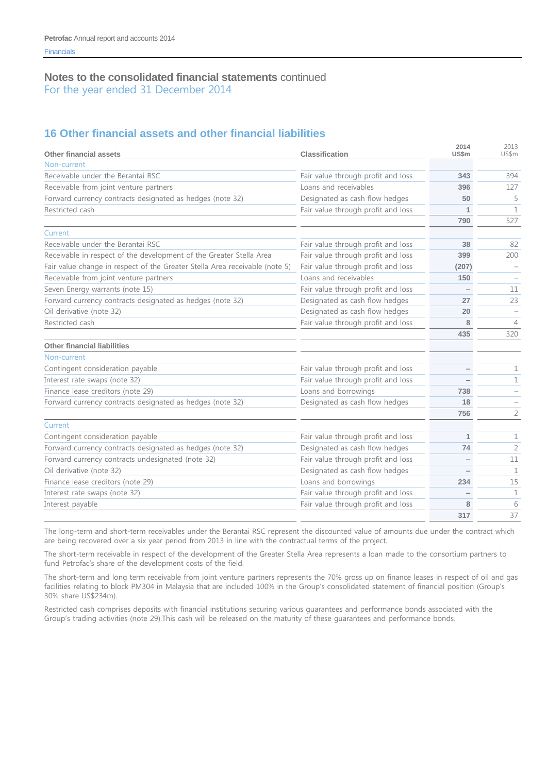# **16 Other financial assets and other financial liabilities**

| <b>Other financial assets</b>                                               | <b>Classification</b>              | 2014<br><b>US\$m</b> | 2013<br>US\$m  |
|-----------------------------------------------------------------------------|------------------------------------|----------------------|----------------|
| Non-current                                                                 |                                    |                      |                |
| Receivable under the Berantai RSC                                           | Fair value through profit and loss | 343                  | 394            |
| Receivable from joint venture partners                                      | Loans and receivables              | 396                  | 127            |
| Forward currency contracts designated as hedges (note 32)                   | Designated as cash flow hedges     | 50                   | 5              |
| Restricted cash                                                             | Fair value through profit and loss | $\mathbf 1$          | $\mathbf{1}$   |
|                                                                             |                                    | 790                  | 527            |
| Current                                                                     |                                    |                      |                |
| Receivable under the Berantai RSC                                           | Fair value through profit and loss | 38                   | 82             |
| Receivable in respect of the development of the Greater Stella Area         | Fair value through profit and loss | 399                  | 200            |
| Fair value change in respect of the Greater Stella Area receivable (note 5) | Fair value through profit and loss | (207)                |                |
| Receivable from joint venture partners                                      | Loans and receivables              | 150                  |                |
| Seven Energy warrants (note 15)                                             | Fair value through profit and loss |                      | 11             |
| Forward currency contracts designated as hedges (note 32)                   | Designated as cash flow hedges     | 27                   | 23             |
| Oil derivative (note 32)                                                    | Designated as cash flow hedges     | 20                   |                |
| Restricted cash                                                             | Fair value through profit and loss | 8                    | 4              |
|                                                                             |                                    | 435                  | 320            |
| Other financial liabilities                                                 |                                    |                      |                |
| Non-current                                                                 |                                    |                      |                |
| Contingent consideration payable                                            | Fair value through profit and loss |                      | 1              |
| Interest rate swaps (note 32)                                               | Fair value through profit and loss |                      | 1              |
| Finance lease creditors (note 29)                                           | Loans and borrowings               | 738                  |                |
| Forward currency contracts designated as hedges (note 32)                   | Designated as cash flow hedges     | 18                   |                |
|                                                                             |                                    | 756                  | $\overline{2}$ |
| Current                                                                     |                                    |                      |                |
| Contingent consideration payable                                            | Fair value through profit and loss | 1                    | $\mathbf 1$    |
| Forward currency contracts designated as hedges (note 32)                   | Designated as cash flow hedges     | 74                   | $\overline{2}$ |
| Forward currency contracts undesignated (note 32)                           | Fair value through profit and loss |                      | 11             |
| Oil derivative (note 32)                                                    | Designated as cash flow hedges     |                      | 1              |
| Finance lease creditors (note 29)                                           | Loans and borrowings               | 234                  | 15             |
| Interest rate swaps (note 32)                                               | Fair value through profit and loss |                      | 1              |
| Interest payable                                                            | Fair value through profit and loss | 8                    | 6              |
|                                                                             |                                    | 317                  | 37             |

The long-term and short-term receivables under the Berantai RSC represent the discounted value of amounts due under the contract which are being recovered over a six year period from 2013 in line with the contractual terms of the project.

The short-term receivable in respect of the development of the Greater Stella Area represents a loan made to the consortium partners to fund Petrofac's share of the development costs of the field.

The short-term and long term receivable from joint venture partners represents the 70% gross up on finance leases in respect of oil and gas facilities relating to block PM304 in Malaysia that are included 100% in the Group's consolidated statement of financial position (Group's 30% share US\$234m).

Restricted cash comprises deposits with financial institutions securing various guarantees and performance bonds associated with the Group's trading activities (note 29).This cash will be released on the maturity of these guarantees and performance bonds.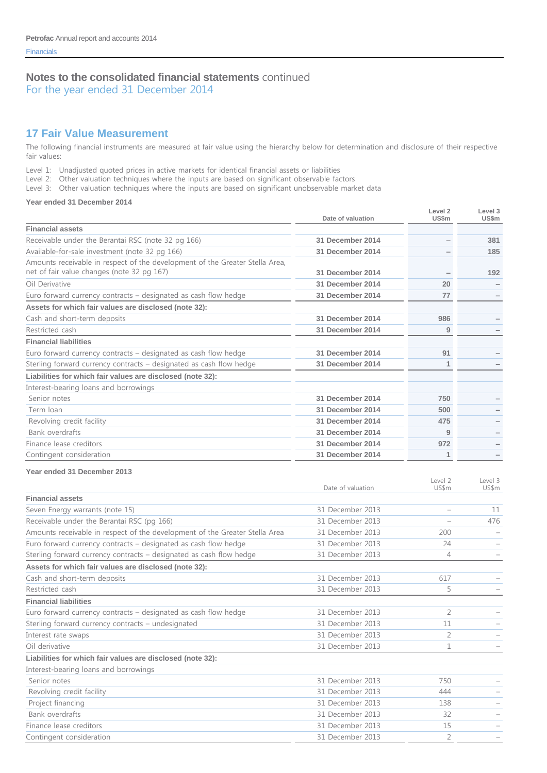### **17 Fair Value Measurement**

The following financial instruments are measured at fair value using the hierarchy below for determination and disclosure of their respective fair values:

Level 1: Unadjusted quoted prices in active markets for identical financial assets or liabilities

Level 2: Other valuation techniques where the inputs are based on significant observable factors

Level 3: Other valuation techniques where the inputs are based on significant unobservable market data

#### **Year ended 31 December 2014**

|                                                                                                                            | Date of valuation | Level 2<br><b>US\$m</b>  | Level 3<br><b>US\$m</b> |
|----------------------------------------------------------------------------------------------------------------------------|-------------------|--------------------------|-------------------------|
| <b>Financial assets</b>                                                                                                    |                   |                          |                         |
| Receivable under the Berantai RSC (note 32 pg 166)                                                                         | 31 December 2014  | $\overline{\phantom{0}}$ | 381                     |
| Available-for-sale investment (note 32 pg 166)                                                                             | 31 December 2014  |                          | 185                     |
| Amounts receivable in respect of the development of the Greater Stella Area,<br>net of fair value changes (note 32 pg 167) | 31 December 2014  |                          | 192                     |
| Oil Derivative                                                                                                             | 31 December 2014  | 20                       |                         |
| Euro forward currency contracts – designated as cash flow hedge                                                            | 31 December 2014  | 77                       |                         |
| Assets for which fair values are disclosed (note 32):                                                                      |                   |                          |                         |
| Cash and short-term deposits                                                                                               | 31 December 2014  | 986                      |                         |
| Restricted cash                                                                                                            | 31 December 2014  | 9                        |                         |
| <b>Financial liabilities</b>                                                                                               |                   |                          |                         |
| Euro forward currency contracts – designated as cash flow hedge                                                            | 31 December 2014  | 91                       |                         |
| Sterling forward currency contracts – designated as cash flow hedge                                                        | 31 December 2014  | 1                        |                         |
| Liabilities for which fair values are disclosed (note 32):                                                                 |                   |                          |                         |
| Interest-bearing loans and borrowings                                                                                      |                   |                          |                         |
| Senior notes                                                                                                               | 31 December 2014  | 750                      |                         |
| Term Ioan                                                                                                                  | 31 December 2014  | 500                      |                         |
| Revolving credit facility                                                                                                  | 31 December 2014  | 475                      |                         |
| <b>Bank overdrafts</b>                                                                                                     | 31 December 2014  | 9                        |                         |
| Finance lease creditors                                                                                                    | 31 December 2014  | 972                      |                         |
| Contingent consideration                                                                                                   | 31 December 2014  | 1                        |                         |

#### **Year ended 31 December 2013**

|                                                                             | Date of valuation | Level 2<br>US\$m | Level 3<br>US\$m |
|-----------------------------------------------------------------------------|-------------------|------------------|------------------|
| <b>Financial assets</b>                                                     |                   |                  |                  |
| Seven Energy warrants (note 15)                                             | 31 December 2013  |                  | 11               |
| Receivable under the Berantai RSC (pg 166)                                  | 31 December 2013  |                  | 476              |
| Amounts receivable in respect of the development of the Greater Stella Area | 31 December 2013  | 200              |                  |
| Euro forward currency contracts – designated as cash flow hedge             | 31 December 2013  | 24               |                  |
| Sterling forward currency contracts – designated as cash flow hedge         | 31 December 2013  | $\overline{4}$   |                  |
| Assets for which fair values are disclosed (note 32):                       |                   |                  |                  |
| Cash and short-term deposits                                                | 31 December 2013  | 617              |                  |
| Restricted cash                                                             | 31 December 2013  | 5                |                  |
| <b>Financial liabilities</b>                                                |                   |                  |                  |
| Euro forward currency contracts – designated as cash flow hedge             | 31 December 2013  | 2                |                  |
| Sterling forward currency contracts - undesignated                          | 31 December 2013  | 11               |                  |
| Interest rate swaps                                                         | 31 December 2013  | $\overline{2}$   |                  |
| Oil derivative                                                              | 31 December 2013  | 1                |                  |
| Liabilities for which fair values are disclosed (note 32):                  |                   |                  |                  |
| Interest-bearing loans and borrowings                                       |                   |                  |                  |
| Senior notes                                                                | 31 December 2013  | 750              |                  |
| Revolving credit facility                                                   | 31 December 2013  | 444              |                  |
| Project financing                                                           | 31 December 2013  | 138              |                  |
| Bank overdrafts                                                             | 31 December 2013  | 32               |                  |
| Finance lease creditors                                                     | 31 December 2013  | 15               |                  |
| Contingent consideration                                                    | 31 December 2013  | $\overline{2}$   |                  |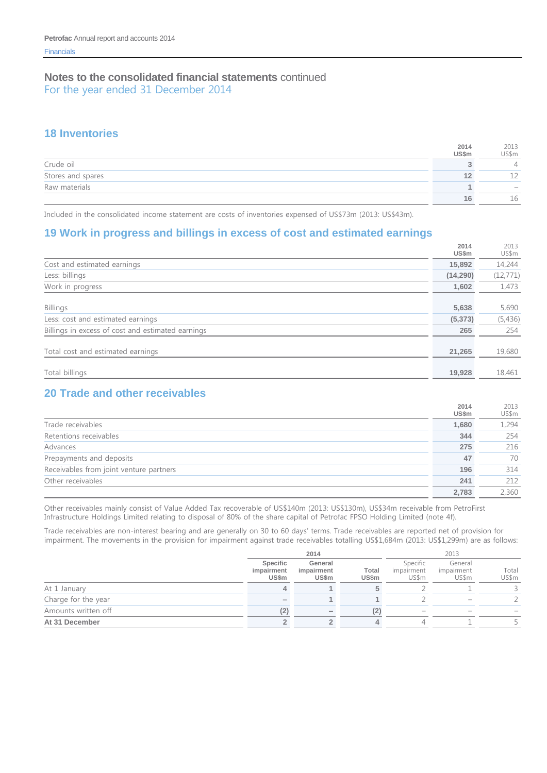### **18 Inventories**

|                   | 2014<br>US\$m | 2013<br>US\$m            |
|-------------------|---------------|--------------------------|
| Crude oil         |               |                          |
| Stores and spares |               | <u>_</u>                 |
| Raw materials     |               | $\overline{\phantom{a}}$ |
|                   | 16.           | 16                       |

Included in the consolidated income statement are costs of inventories expensed of US\$73m (2013: US\$43m).

# **19 Work in progress and billings in excess of cost and estimated earnings**

|                                                   | 2014<br>US\$m | 2013<br>US\$m |
|---------------------------------------------------|---------------|---------------|
| Cost and estimated earnings                       | 15,892        | 14,244        |
| Less: billings                                    | (14, 290)     | (12, 771)     |
| Work in progress                                  | 1.602         | 1,473         |
|                                                   |               |               |
| <b>Billings</b>                                   | 5,638         | 5,690         |
| Less: cost and estimated earnings                 | (5, 373)      | (5,436)       |
| Billings in excess of cost and estimated earnings | 265           | 254           |
|                                                   |               |               |
| Total cost and estimated earnings                 | 21,265        | 19,680        |
|                                                   |               |               |
| Total billings                                    | 19,928        | 18,461        |

# **20 Trade and other receivables**

|                                         | 2014  | 2013  |
|-----------------------------------------|-------|-------|
|                                         | US\$m | US\$m |
| Trade receivables                       | 1,680 | 1,294 |
| Retentions receivables                  | 344   | 254   |
| Advances                                | 275   | 216   |
| Prepayments and deposits                | 47    | 70    |
| Receivables from joint venture partners | 196   | 314   |
| Other receivables                       | 241   | 212   |
|                                         | 2.783 | 2,360 |

Other receivables mainly consist of Value Added Tax recoverable of US\$140m (2013: US\$130m), US\$34m receivable from PetroFirst Infrastructure Holdings Limited relating to disposal of 80% of the share capital of Petrofac FPSO Holding Limited (note 4f).

Trade receivables are non-interest bearing and are generally on 30 to 60 days' terms. Trade receivables are reported net of provision for impairment. The movements in the provision for impairment against trade receivables totalling US\$1,684m (2013: US\$1,299m) are as follows:

|                     |                                 | 2014                                  |                | 2013                            |                                |                |
|---------------------|---------------------------------|---------------------------------------|----------------|---------------------------------|--------------------------------|----------------|
|                     | Specific<br>impairment<br>US\$m | General<br>impairment<br><b>US\$m</b> | Total<br>US\$m | Specific<br>impairment<br>US\$m | General<br>impairment<br>US\$m | Total<br>US\$m |
| At 1 January        |                                 |                                       |                |                                 |                                |                |
| Charge for the year | $\overline{\phantom{a}}$        |                                       |                |                                 |                                |                |
| Amounts written off | (2)                             |                                       | (2)            |                                 |                                |                |
| At 31 December      |                                 |                                       |                |                                 |                                |                |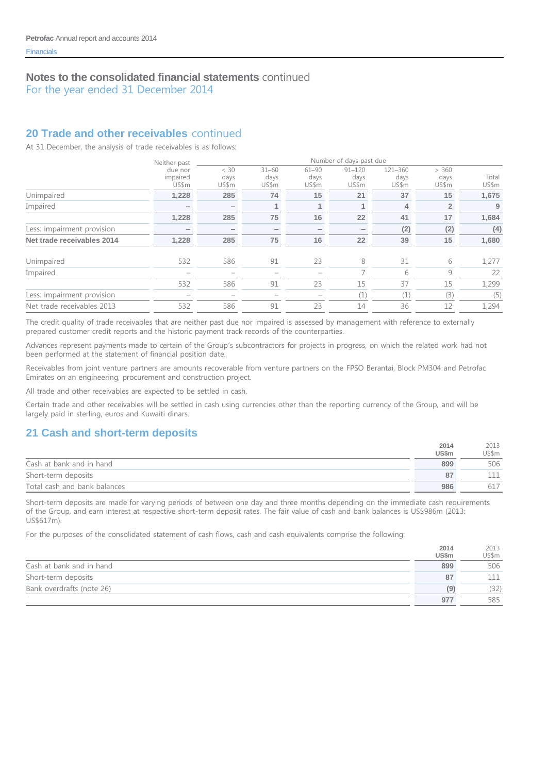For the year ended 31 December 2014

# **20 Trade and other receivables** continued

At 31 December, the analysis of trade receivables is as follows:

|                            | Neither past                 | Number of days past due |                            |                            |                             |                          |                        |                |  |
|----------------------------|------------------------------|-------------------------|----------------------------|----------------------------|-----------------------------|--------------------------|------------------------|----------------|--|
|                            | due nor<br>impaired<br>US\$m | < 30<br>days<br>US\$m   | $31 - 60$<br>days<br>US\$m | $61 - 90$<br>days<br>US\$m | $91 - 120$<br>days<br>US\$m | 121-360<br>days<br>US\$m | > 360<br>days<br>US\$m | Total<br>US\$m |  |
| Unimpaired                 | 1,228                        | 285                     | 74                         | 15                         | 21                          | 37                       | 15                     | 1,675          |  |
| Impaired                   | -                            |                         |                            | $\mathbf{1}$               |                             | 4                        | $\overline{2}$         | 9              |  |
|                            | 1,228                        | 285                     | 75                         | 16                         | 22                          | 41                       | 17                     | 1,684          |  |
| Less: impairment provision |                              |                         | $\overline{\phantom{a}}$   | $\overline{\phantom{0}}$   |                             | (2)                      | (2)                    | (4)            |  |
| Net trade receivables 2014 | 1,228                        | 285                     | 75                         | 16                         | 22                          | 39                       | 15                     | 1,680          |  |
| Unimpaired                 | 532                          | 586                     | 91                         | 23                         | 8                           | 31                       | 6                      | 1,277          |  |
| Impaired                   |                              |                         |                            |                            |                             | 6                        | 9                      | 22             |  |
|                            | 532                          | 586                     | 91                         | 23                         | 15                          | 37                       | 15                     | 1,299          |  |
| Less: impairment provision |                              |                         |                            |                            | $(\perp)$                   | (1)                      | (3)                    | (5)            |  |
| Net trade receivables 2013 | 532                          | 586                     | 91                         | 23                         | 14                          | 36                       | 12                     | 1,294          |  |

The credit quality of trade receivables that are neither past due nor impaired is assessed by management with reference to externally prepared customer credit reports and the historic payment track records of the counterparties.

Advances represent payments made to certain of the Group's subcontractors for projects in progress, on which the related work had not been performed at the statement of financial position date.

Receivables from joint venture partners are amounts recoverable from venture partners on the FPSO Berantai, Block PM304 and Petrofac Emirates on an engineering, procurement and construction project.

All trade and other receivables are expected to be settled in cash.

Certain trade and other receivables will be settled in cash using currencies other than the reporting currency of the Group, and will be largely paid in sterling, euros and Kuwaiti dinars.

# **21 Cash and short-term deposits**

|                              | 2014         | 2013  |
|------------------------------|--------------|-------|
|                              | <b>US\$m</b> | US\$m |
| Cash at bank and in hand     | 899          | 506   |
| Short-term deposits          | 87           |       |
| Total cash and bank balances | 986          |       |

Short-term deposits are made for varying periods of between one day and three months depending on the immediate cash requirements of the Group, and earn interest at respective short-term deposit rates. The fair value of cash and bank balances is US\$986m (2013: US\$617m).

For the purposes of the consolidated statement of cash flows, cash and cash equivalents comprise the following:

|                           | 2014         | 2013  |
|---------------------------|--------------|-------|
|                           | <b>US\$m</b> | US\$m |
| Cash at bank and in hand  | 899          | 506   |
| Short-term deposits       | 87           |       |
| Bank overdrafts (note 26) | ۵)           | (32)  |
|                           | 977          | 585   |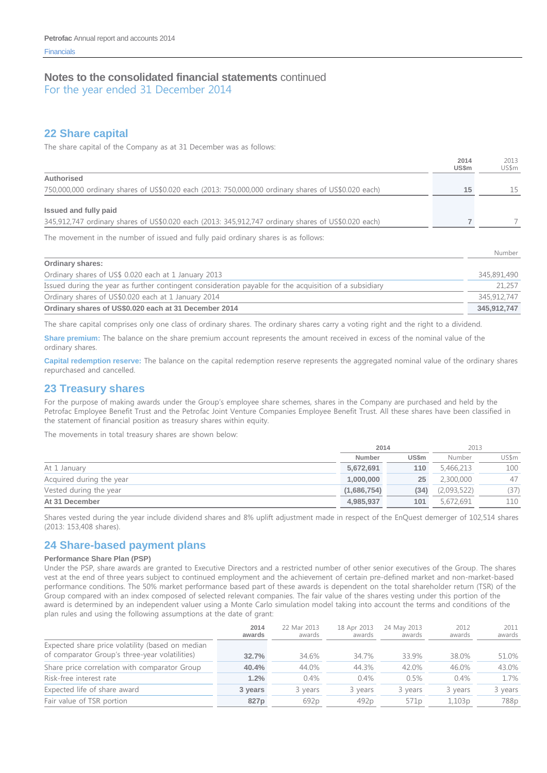For the year ended 31 December 2014

### **22 Share capital**

The share capital of the Company as at 31 December was as follows:

|                                                                                                                              | 2014<br><b>US\$m</b> | 2013<br>US\$m |
|------------------------------------------------------------------------------------------------------------------------------|----------------------|---------------|
| Authorised                                                                                                                   |                      |               |
| 750,000,000 ordinary shares of US\$0.020 each (2013: 750,000,000 ordinary shares of US\$0.020 each)                          | 15                   | 15            |
| Issued and fully paid<br>345,912,747 ordinary shares of US\$0.020 each (2013: 345,912,747 ordinary shares of US\$0.020 each) |                      |               |
| The movement in the number of issued and fully paid ordinary shares is as follows:                                           |                      |               |
|                                                                                                                              |                      | Number        |
| <b>Ordinary shares:</b>                                                                                                      |                      |               |
| Ordinary shares of US\$ 0.020 each at 1 January 2013                                                                         |                      | 345,891,490   |
|                                                                                                                              |                      |               |

Issued during the year as further contingent consideration payable for the acquisition of a subsidiary 21,257 Ordinary shares of US\$0.020 each at 1 January 2014 345,912,747 **Ordinary shares of US\$0.020 each at 31 December 2014 345,912,747**

The share capital comprises only one class of ordinary shares. The ordinary shares carry a voting right and the right to a dividend.

**Share premium:** The balance on the share premium account represents the amount received in excess of the nominal value of the ordinary shares.

**Capital redemption reserve:** The balance on the capital redemption reserve represents the aggregated nominal value of the ordinary shares repurchased and cancelled.

### **23 Treasury shares**

For the purpose of making awards under the Group's employee share schemes, shares in the Company are purchased and held by the Petrofac Employee Benefit Trust and the Petrofac Joint Venture Companies Employee Benefit Trust. All these shares have been classified in the statement of financial position as treasury shares within equity.

The movements in total treasury shares are shown below:

|                          |             | 2014         | 2013        |       |
|--------------------------|-------------|--------------|-------------|-------|
|                          | Number      | <b>US\$m</b> | Number      | US\$m |
| At 1 January             | 5,672,691   | 110          | 5,466,213   | 100   |
| Acquired during the year | 1,000,000   | 25           | 2,300,000   | 47    |
| Vested during the year   | (1,686,754) | (34)         | (2,093,522) | (37)  |
| At 31 December           | 4,985,937   | 101          | 5,672,691   | 110   |

Shares vested during the year include dividend shares and 8% uplift adjustment made in respect of the EnQuest demerger of 102,514 shares (2013: 153,408 shares).

### **24 Share-based payment plans**

#### **Performance Share Plan (PSP)**

Under the PSP, share awards are granted to Executive Directors and a restricted number of other senior executives of the Group. The shares vest at the end of three years subject to continued employment and the achievement of certain pre-defined market and non-market-based performance conditions. The 50% market performance based part of these awards is dependent on the total shareholder return (TSR) of the Group compared with an index composed of selected relevant companies. The fair value of the shares vesting under this portion of the award is determined by an independent valuer using a Monte Carlo simulation model taking into account the terms and conditions of the plan rules and using the following assumptions at the date of grant:

|                                                                                                    | 2014<br>awards | 22 Mar 2013<br>awards | 18 Apr 2013<br>awards | 24 May 2013<br>awards | 2012<br>awards | 2011<br>awards |
|----------------------------------------------------------------------------------------------------|----------------|-----------------------|-----------------------|-----------------------|----------------|----------------|
| Expected share price volatility (based on median<br>of comparator Group's three-year volatilities) | 32.7%          | 34.6%                 | 34.7%                 | 33.9%                 | 38.0%          | 51.0%          |
| Share price correlation with comparator Group                                                      | 40.4%          | 44.0%                 | 44.3%                 | 42.0%                 | 46.0%          | 43.0%          |
| Risk-free interest rate                                                                            | 1.2%           | 0.4%                  | 0.4%                  | 0.5%                  | 0.4%           | 1.7%           |
| Expected life of share award                                                                       | 3 years        | 3 years               | 3 years               | 3 years               | 3 years        | 3 years        |
| Fair value of TSR portion                                                                          | 827p           | 692 <sub>p</sub>      | 492 <sub>p</sub>      | 571 <sub>p</sub>      | 1,103p         | 788p           |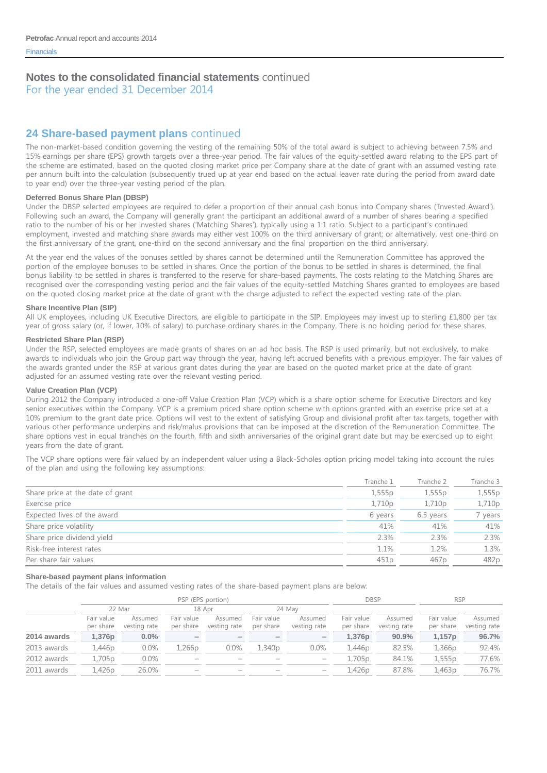For the year ended 31 December 2014

# **24 Share-based payment plans** continued

The non-market-based condition governing the vesting of the remaining 50% of the total award is subject to achieving between 7.5% and 15% earnings per share (EPS) growth targets over a three-year period. The fair values of the equity-settled award relating to the EPS part of the scheme are estimated, based on the quoted closing market price per Company share at the date of grant with an assumed vesting rate per annum built into the calculation (subsequently trued up at year end based on the actual leaver rate during the period from award date to year end) over the three-year vesting period of the plan.

#### **Deferred Bonus Share Plan (DBSP)**

Under the DBSP selected employees are required to defer a proportion of their annual cash bonus into Company shares ('Invested Award'). Following such an award, the Company will generally grant the participant an additional award of a number of shares bearing a specified ratio to the number of his or her invested shares ('Matching Shares'), typically using a 1:1 ratio. Subject to a participant's continued employment, invested and matching share awards may either vest 100% on the third anniversary of grant; or alternatively, vest one-third on the first anniversary of the grant, one-third on the second anniversary and the final proportion on the third anniversary.

At the year end the values of the bonuses settled by shares cannot be determined until the Remuneration Committee has approved the portion of the employee bonuses to be settled in shares. Once the portion of the bonus to be settled in shares is determined, the final bonus liability to be settled in shares is transferred to the reserve for share-based payments. The costs relating to the Matching Shares are recognised over the corresponding vesting period and the fair values of the equity-settled Matching Shares granted to employees are based on the quoted closing market price at the date of grant with the charge adjusted to reflect the expected vesting rate of the plan.

#### **Share Incentive Plan (SIP)**

All UK employees, including UK Executive Directors, are eligible to participate in the SIP. Employees may invest up to sterling £1,800 per tax year of gross salary (or, if lower, 10% of salary) to purchase ordinary shares in the Company. There is no holding period for these shares.

#### **Restricted Share Plan (RSP)**

Under the RSP, selected employees are made grants of shares on an ad hoc basis. The RSP is used primarily, but not exclusively, to make awards to individuals who join the Group part way through the year, having left accrued benefits with a previous employer. The fair values of the awards granted under the RSP at various grant dates during the year are based on the quoted market price at the date of grant adjusted for an assumed vesting rate over the relevant vesting period.

#### **Value Creation Plan (VCP)**

During 2012 the Company introduced a one-off Value Creation Plan (VCP) which is a share option scheme for Executive Directors and key senior executives within the Company. VCP is a premium priced share option scheme with options granted with an exercise price set at a 10% premium to the grant date price. Options will vest to the extent of satisfying Group and divisional profit after tax targets, together with various other performance underpins and risk/malus provisions that can be imposed at the discretion of the Remuneration Committee. The share options vest in equal tranches on the fourth, fifth and sixth anniversaries of the original grant date but may be exercised up to eight years from the date of grant.

The VCP share options were fair valued by an independent valuer using a Black-Scholes option pricing model taking into account the rules of the plan and using the following key assumptions:

|                                  | Tranche 1 | Tranche 2        | Tranche 3 |
|----------------------------------|-----------|------------------|-----------|
| Share price at the date of grant | 1,555p    | 1,555p           | 1,555p    |
| Exercise price                   | 1,710p    | 1,710p           | 1,710p    |
| Expected lives of the award      | 6 years   | 6.5 years        | 7 years   |
| Share price volatility           | 41%       | 41%              | 41%       |
| Share price dividend yield       | 2.3%      | 2.3%             | 2.3%      |
| Risk-free interest rates         | 1.1%      | 1.2%             | 1.3%      |
| Per share fair values            | 451p      | 467 <sub>p</sub> | 482p      |

#### **Share-based payment plans information**

The details of the fair values and assumed vesting rates of the share-based payment plans are below:

|             |                         | PSP (EPS portion)       |                          |                          |                          |                          |                         |                         | <b>RSP</b>              |                         |
|-------------|-------------------------|-------------------------|--------------------------|--------------------------|--------------------------|--------------------------|-------------------------|-------------------------|-------------------------|-------------------------|
|             | 22 Mar                  |                         | 18 Apr                   |                          | 24 May                   |                          |                         |                         |                         |                         |
|             | Fair value<br>per share | Assumed<br>vesting rate | Fair value<br>per share  | Assumed<br>vesting rate  | Fair value<br>per share  | Assumed<br>vesting rate  | Fair value<br>per share | Assumed<br>vesting rate | Fair value<br>per share | Assumed<br>vesting rate |
| 2014 awards | 1,376p                  | $0.0\%$                 | $\overline{\phantom{a}}$ | $\overline{\phantom{a}}$ | $\overline{\phantom{a}}$ | $\overline{\phantom{a}}$ | 1.376 <sub>p</sub>      | 90.9%                   | 1,157p                  | 96.7%                   |
| 2013 awards | 1,446p                  | $0.0\%$                 | 1,266p                   | 0.0%                     | 1,340p                   | $0.0\%$                  | 1,446p                  | 82.5%                   | 1,366p                  | 92.4%                   |
| 2012 awards | 1,705p                  | $0.0\%$                 | $\hspace{0.05cm}$        | -                        | $\overline{\phantom{a}}$ | $\overline{\phantom{a}}$ | 1,705p                  | 84.1%                   | 1,555p                  | 77.6%                   |
| 2011 awards | 1,426p                  | 26.0%                   |                          |                          |                          |                          | 1.426p                  | 87.8%                   | 1,463p                  | 76.7%                   |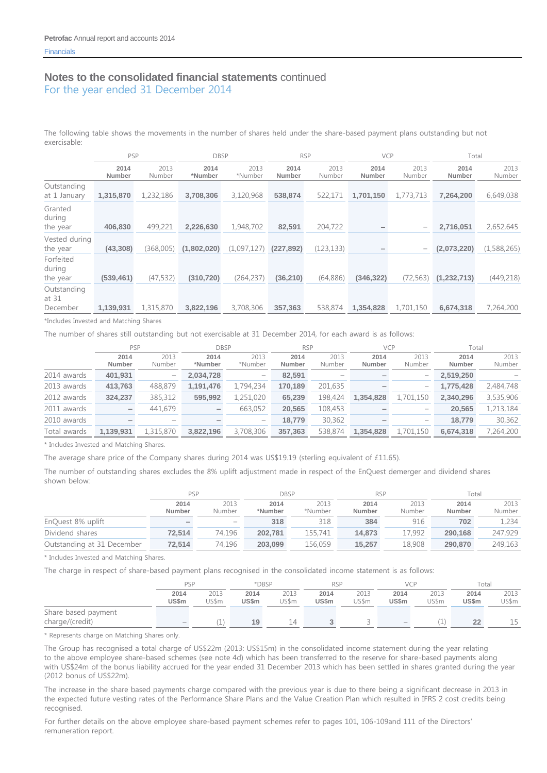The following table shows the movements in the number of shares held under the share-based payment plans outstanding but not exercisable:

|                                  | PSP                   |                | <b>DBSP</b>     |                 | <b>RSP</b>     |                | <b>VCP</b>     |                | Total          |                |
|----------------------------------|-----------------------|----------------|-----------------|-----------------|----------------|----------------|----------------|----------------|----------------|----------------|
|                                  | 2014<br><b>Number</b> | 2013<br>Number | 2014<br>*Number | 2013<br>*Number | 2014<br>Number | 2013<br>Number | 2014<br>Number | 2013<br>Number | 2014<br>Number | 2013<br>Number |
| Outstanding<br>at 1 January      | 1,315,870             | 1,232,186      | 3,708,306       | 3,120,968       | 538,874        | 522,171        | 1,701,150      | 1,773,713      | 7,264,200      | 6,649,038      |
| Granted<br>during<br>the year    | 406,830               | 499,221        | 2,226,630       | 1,948,702       | 82,591         | 204,722        |                |                | 2,716,051      | 2,652,645      |
| Vested during<br>the year        | (43,308)              | (368,005)      | (1,802,020)     | (1,097,127)     | (227, 892)     | (123, 133)     |                |                | (2,073,220)    | (1,588,265)    |
| Forfeited<br>during<br>the year  | (539, 461)            | (47, 532)      | (310, 720)      | (264, 237)      | (36, 210)      | (64, 886)      | (346, 322)     | (72, 563)      | (1, 232, 713)  | (449, 218)     |
| Outstanding<br>at 31<br>December | 1,139,931             | 1,315,870      | 3,822,196       | 3,708,306       | 357,363        | 538,874        | 1,354,828      | 1,701,150      | 6,674,318      | 7,264,200      |

\*Includes Invested and Matching Shares

The number of shares still outstanding but not exercisable at 31 December 2014, for each award is as follows:

|              | <b>PSP</b>               |                                                                           | <b>DBSP</b>     |                                                                           | <b>RSP</b>     |                | <b>VCP</b>     |                | Total          |                |
|--------------|--------------------------|---------------------------------------------------------------------------|-----------------|---------------------------------------------------------------------------|----------------|----------------|----------------|----------------|----------------|----------------|
|              | 2014<br>Number           | 2013<br>Number                                                            | 2014<br>*Number | 2013<br>*Number                                                           | 2014<br>Number | 2013<br>Number | 2014<br>Number | 2013<br>Number | 2014<br>Number | 2013<br>Number |
| 2014 awards  | 401,931                  | $\overline{\phantom{0}}$                                                  | 2,034,728       | $\hspace{1.0cm} \rule{1.5cm}{0.15cm} \hspace{1.0cm} \rule{1.5cm}{0.15cm}$ | 82,591         |                |                |                | 2,519,250      |                |
| 2013 awards  | 413,763                  | 488,879                                                                   | 1.191.476       | 1,794,234                                                                 | 170.189        | 201,635        |                | -              | 1.775.428      | 2,484,748      |
| 2012 awards  | 324,237                  | 385,312                                                                   | 595,992         | 1,251,020                                                                 | 65,239         | 198,424        | 1.354.828      | 1,701,150      | 2,340,296      | 3,535,906      |
| 2011 awards  | $\overline{\phantom{0}}$ | 441,679                                                                   | -               | 663,052                                                                   | 20,565         | 108,453        |                |                | 20,565         | 1,213,184      |
| 2010 awards  |                          | $\hspace{1.0cm} \rule{1.5cm}{0.15cm} \hspace{1.0cm} \rule{1.5cm}{0.15cm}$ |                 | $\hspace{1.0cm} \rule{1.5cm}{0.15cm} \hspace{1.0cm} \rule{1.5cm}{0.15cm}$ | 18,779         | 30,362         |                |                | 18.779         | 30,362         |
| Total awards | 1,139,931                | 1,315,870                                                                 | 3,822,196       | 3,708,306                                                                 | 357,363        | 538,874        | 1.354.828      | 1,701,150      | 6,674,318      | 7,264,200      |

\* Includes Invested and Matching Shares.

The average share price of the Company shares during 2014 was US\$19.19 (sterling equivalent of £11.65).

The number of outstanding shares excludes the 8% uplift adjustment made in respect of the EnQuest demerger and dividend shares shown below:

|                            | PSP                      |                          | <b>DBSP</b>     |                 | <b>RSP</b>            |                | Total                 |                |
|----------------------------|--------------------------|--------------------------|-----------------|-----------------|-----------------------|----------------|-----------------------|----------------|
|                            | 2014<br>Number           | 2013<br>Number           | 2014<br>*Number | 2013<br>*Number | 2014<br><b>Number</b> | 2013<br>Number | 2014<br><b>Number</b> | 2013<br>Number |
| EnQuest 8% uplift          | $\overline{\phantom{a}}$ | $\overline{\phantom{a}}$ | 318             | 318             | 384                   | 916            | 702                   | 1,234          |
| Dividend shares            | 72.514                   | 74.196                   | 202.781         | 155,741         | 14.873                | .7.992         | 290.168               | 247,929        |
| Outstanding at 31 December | 72.514                   | 74.196                   | 203.099         | 156,059         | 15.257                | 18,908         | 290,870               | 249,163        |

\* Includes Invested and Matching Shares.

The charge in respect of share-based payment plans recognised in the consolidated income statement is as follows:

|                     | <b>PSP</b>           |               | *DBSP                |                |                      | <b>RSP</b>    |                      | VCP           |                      | Total         |
|---------------------|----------------------|---------------|----------------------|----------------|----------------------|---------------|----------------------|---------------|----------------------|---------------|
|                     | 2014<br><b>US\$m</b> | 2013<br>JS\$m | 2014<br><b>US\$m</b> | 2013<br>US\$m  | 2014<br><b>US\$m</b> | 2013<br>US\$m | 2014<br><b>US\$m</b> | 2013<br>US\$m | 2014<br><b>US\$m</b> | 2013<br>US\$m |
| Share based payment |                      |               |                      |                |                      |               |                      |               |                      |               |
| charge/(credit)     |                      | and a         | 19                   | $\overline{4}$ |                      |               | $-$                  | ۔ سالت        | --                   |               |

\* Represents charge on Matching Shares only.

The Group has recognised a total charge of US\$22m (2013: US\$15m) in the consolidated income statement during the year relating to the above employee share-based schemes (see note 4d) which has been transferred to the reserve for share-based payments along with US\$24m of the bonus liability accrued for the year ended 31 December 2013 which has been settled in shares granted during the year (2012 bonus of US\$22m).

The increase in the share based payments charge compared with the previous year is due to there being a significant decrease in 2013 in the expected future vesting rates of the Performance Share Plans and the Value Creation Plan which resulted in IFRS 2 cost credits being recognised.

For further details on the above employee share-based payment schemes refer to pages 101, 106-109and 111 of the Directors' remuneration report.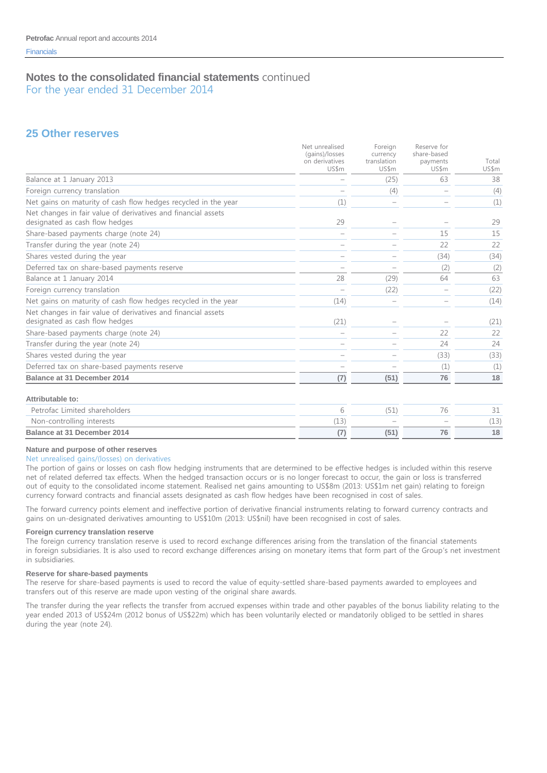**25 Other reserves**

|                                                                                                 | Net unrealised<br>(gains)/losses<br>on derivatives<br>US\$m | Foreign<br>currency<br>translation<br>US\$m | Reserve for<br>share-based<br>payments<br>US\$m | Total<br>US\$m |
|-------------------------------------------------------------------------------------------------|-------------------------------------------------------------|---------------------------------------------|-------------------------------------------------|----------------|
| Balance at 1 January 2013                                                                       |                                                             | (25)                                        | 63                                              | 38             |
| Foreign currency translation                                                                    |                                                             | (4)                                         |                                                 | (4)            |
| Net gains on maturity of cash flow hedges recycled in the year                                  | (1)                                                         |                                             |                                                 | (1)            |
| Net changes in fair value of derivatives and financial assets<br>designated as cash flow hedges | 29                                                          |                                             |                                                 | 29             |
| Share-based payments charge (note 24)                                                           |                                                             |                                             | 15                                              | 15             |
| Transfer during the year (note 24)                                                              |                                                             |                                             | 22                                              | 22             |
| Shares vested during the year                                                                   |                                                             |                                             | (34)                                            | (34)           |
| Deferred tax on share-based payments reserve                                                    |                                                             |                                             | (2)                                             | (2)            |
| Balance at 1 January 2014                                                                       | 28                                                          | (29)                                        | 64                                              | 63             |
| Foreign currency translation                                                                    |                                                             | (22)                                        |                                                 | (22)           |
| Net gains on maturity of cash flow hedges recycled in the year                                  | (14)                                                        |                                             |                                                 | (14)           |
| Net changes in fair value of derivatives and financial assets<br>designated as cash flow hedges | (21)                                                        |                                             |                                                 | (21)           |
| Share-based payments charge (note 24)                                                           |                                                             |                                             | 22                                              | 22             |
| Transfer during the year (note 24)                                                              |                                                             |                                             | 24                                              | 24             |
| Shares vested during the year                                                                   |                                                             |                                             | (33)                                            | (33)           |
| Deferred tax on share-based payments reserve                                                    |                                                             |                                             | (1)                                             | (1)            |
| <b>Balance at 31 December 2014</b>                                                              | (7)                                                         | (51)                                        | 76                                              | 18             |
| Attributable to:                                                                                |                                                             |                                             |                                                 |                |
| Petrofac Limited shareholders                                                                   | 6                                                           | (51)                                        | 76                                              | 31             |
| Non-controlling interests                                                                       | (13)                                                        |                                             |                                                 | (13)           |
| Balance at 31 December 2014                                                                     | (7)                                                         | (51)                                        | 76                                              | 18             |

# **Nature and purpose of other reserves**

#### Net unrealised gains/(losses) on derivatives

The portion of gains or losses on cash flow hedging instruments that are determined to be effective hedges is included within this reserve net of related deferred tax effects. When the hedged transaction occurs or is no longer forecast to occur, the gain or loss is transferred out of equity to the consolidated income statement. Realised net gains amounting to US\$8m (2013: US\$1m net gain) relating to foreign currency forward contracts and financial assets designated as cash flow hedges have been recognised in cost of sales.

The forward currency points element and ineffective portion of derivative financial instruments relating to forward currency contracts and gains on un-designated derivatives amounting to US\$10m (2013: US\$nil) have been recognised in cost of sales.

#### **Foreign currency translation reserve**

The foreign currency translation reserve is used to record exchange differences arising from the translation of the financial statements in foreign subsidiaries. It is also used to record exchange differences arising on monetary items that form part of the Group's net investment in subsidiaries.

#### **Reserve for share-based payments**

The reserve for share-based payments is used to record the value of equity-settled share-based payments awarded to employees and transfers out of this reserve are made upon vesting of the original share awards.

The transfer during the year reflects the transfer from accrued expenses within trade and other payables of the bonus liability relating to the year ended 2013 of US\$24m (2012 bonus of US\$22m) which has been voluntarily elected or mandatorily obliged to be settled in shares during the year (note 24).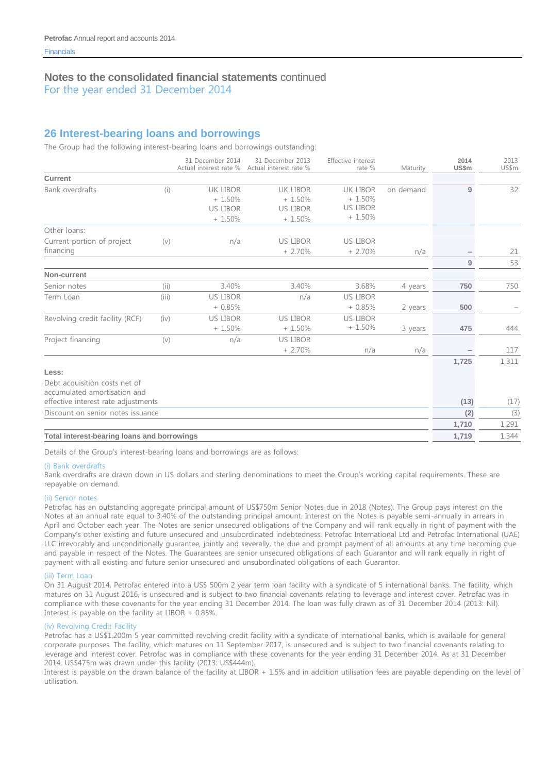For the year ended 31 December 2014

# **26 Interest-bearing loans and borrowings**

The Group had the following interest-bearing loans and borrowings outstanding:

|                                                               |       | 31 December 2014<br>Actual interest rate %                 | 31 December 2013<br>Actual interest rate %                   | Effective interest<br>rate %                        | Maturity  | 2014<br>US\$m | 2013<br>US\$m |
|---------------------------------------------------------------|-------|------------------------------------------------------------|--------------------------------------------------------------|-----------------------------------------------------|-----------|---------------|---------------|
| Current                                                       |       |                                                            |                                                              |                                                     |           |               |               |
| Bank overdrafts                                               | (i)   | <b>UK LIBOR</b><br>$+1.50%$<br><b>US LIBOR</b><br>$+1.50%$ | <b>UK LIBOR</b><br>$+1.50\%$<br><b>US LIBOR</b><br>$+1.50\%$ | UK LIBOR<br>$+1.50%$<br><b>US LIBOR</b><br>$+1.50%$ | on demand | 9             | 32            |
| Other loans:                                                  |       |                                                            |                                                              |                                                     |           |               |               |
| Current portion of project<br>financing                       | (v)   | n/a                                                        | <b>US LIBOR</b><br>$+2.70%$                                  | <b>US LIBOR</b><br>$+2.70%$                         | n/a       | 9             | 21<br>53      |
| Non-current                                                   |       |                                                            |                                                              |                                                     |           |               |               |
| Senior notes                                                  | (ii)  | 3.40%                                                      | 3.40%                                                        | 3.68%                                               | 4 years   | 750           | 750           |
| Term Loan                                                     | (iii) | <b>US LIBOR</b><br>$+0.85%$                                | n/a                                                          | <b>US LIBOR</b><br>$+0.85%$                         | 2 years   | 500           |               |
| Revolving credit facility (RCF)                               | (iv)  | <b>US LIBOR</b><br>$+1.50%$                                | <b>US LIBOR</b><br>$+1.50%$                                  | <b>US LIBOR</b><br>$+1.50%$                         | 3 years   | 475           | 444           |
| Project financing                                             | (v)   | n/a                                                        | <b>US LIBOR</b><br>$+2.70%$                                  | n/a                                                 | n/a       |               | 117           |
| Less:                                                         |       |                                                            |                                                              |                                                     |           | 1,725         | 1,311         |
| Debt acquisition costs net of<br>accumulated amortisation and |       |                                                            |                                                              |                                                     |           |               |               |
| effective interest rate adjustments                           |       |                                                            |                                                              |                                                     |           | (13)          | (17)          |
| Discount on senior notes issuance                             |       |                                                            |                                                              |                                                     |           | (2)           | (3)           |
|                                                               |       |                                                            |                                                              |                                                     |           | 1,710         | 1,291         |
| Total interest-bearing loans and borrowings                   |       |                                                            |                                                              |                                                     |           | 1,719         | 1,344         |

Details of the Group's interest-bearing loans and borrowings are as follows:

#### (i) Bank overdrafts

Bank overdrafts are drawn down in US dollars and sterling denominations to meet the Group's working capital requirements. These are repayable on demand.

#### (ii) Senior notes

Petrofac has an outstanding aggregate principal amount of US\$750m Senior Notes due in 2018 (Notes). The Group pays interest on the Notes at an annual rate equal to 3.40% of the outstanding principal amount. Interest on the Notes is payable semi-annually in arrears in April and October each year. The Notes are senior unsecured obligations of the Company and will rank equally in right of payment with the Company's other existing and future unsecured and unsubordinated indebtedness. Petrofac International Ltd and Petrofac International (UAE) LLC irrevocably and unconditionally guarantee, jointly and severally, the due and prompt payment of all amounts at any time becoming due and payable in respect of the Notes. The Guarantees are senior unsecured obligations of each Guarantor and will rank equally in right of payment with all existing and future senior unsecured and unsubordinated obligations of each Guarantor.

#### (iii) Term Loan

On 31 August 2014, Petrofac entered into a US\$ 500m 2 year term loan facility with a syndicate of 5 international banks. The facility, which matures on 31 August 2016, is unsecured and is subject to two financial covenants relating to leverage and interest cover. Petrofac was in compliance with these covenants for the year ending 31 December 2014. The loan was fully drawn as of 31 December 2014 (2013: Nil). Interest is payable on the facility at LIBOR + 0.85%.

#### (iv) Revolving Credit Facility

Petrofac has a US\$1,200m 5 year committed revolving credit facility with a syndicate of international banks, which is available for general corporate purposes. The facility, which matures on 11 September 2017, is unsecured and is subject to two financial covenants relating to leverage and interest cover. Petrofac was in compliance with these covenants for the year ending 31 December 2014. As at 31 December 2014, US\$475m was drawn under this facility (2013: US\$444m).

Interest is payable on the drawn balance of the facility at LIBOR + 1.5% and in addition utilisation fees are payable depending on the level of utilisation.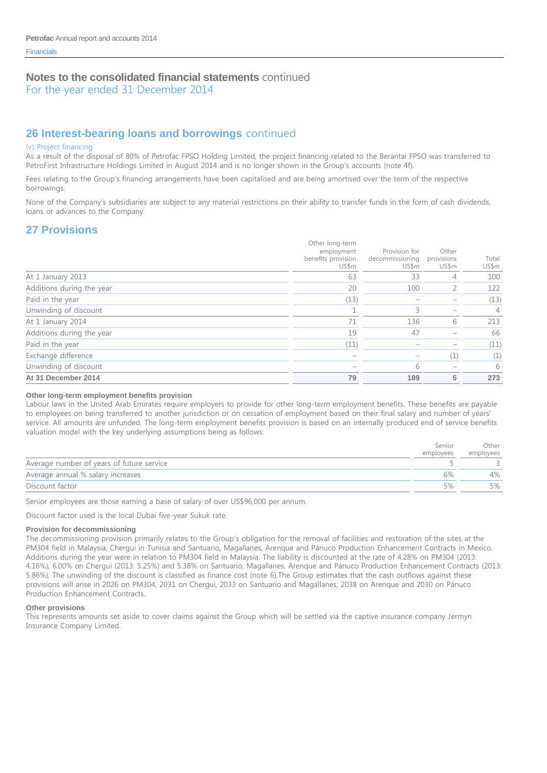For the year ended 31 December 2014

# **26 Interest-bearing loans and borrowings** continued

#### (v) Project financing

As a result of the disposal of 80% of Petrofac FPSO Holding Limited, the project financing related to the Berantai FPSO was transferred to PetroFirst Infrastructure Holdings Limited in August 2014 and is no longer shown in the Group's accounts (note 4f).

Fees relating to the Group's financing arrangements have been capitalised and are being amortised over the term of the respective borrowings.

None of the Company's subsidiaries are subject to any material restrictions on their ability to transfer funds in the form of cash dividends, loans or advances to the Company.

### **27 Provisions**

|                           | Other long-term<br>employment<br>benefits provision<br>US\$m | Provision for<br>decommissioning<br>US\$m | Other<br>provisions<br>US\$m | Total<br>US\$m |
|---------------------------|--------------------------------------------------------------|-------------------------------------------|------------------------------|----------------|
| At 1 January 2013         | 63                                                           | 33                                        | 4                            | 100            |
| Additions during the year | 20                                                           | 100                                       |                              | 122            |
| Paid in the year          | (13)                                                         |                                           |                              | (13)           |
| Unwinding of discount     |                                                              | 3                                         |                              | 4              |
| At 1 January 2014         | 71                                                           | 136                                       | 6                            | 213            |
| Additions during the year | 19                                                           | 47                                        |                              | 66             |
| Paid in the year          | (11)                                                         |                                           |                              | (11)           |
| Exchange difference       |                                                              |                                           | $\perp$                      | (1)            |
| Unwinding of discount     |                                                              | 6                                         |                              | 6              |
| At 31 December 2014       | 79                                                           | 189                                       | 5                            | 273            |

#### **Other long-term employment benefits provision**

Labour laws in the United Arab Emirates require employers to provide for other long-term employment benefits. These benefits are payable to employees on being transferred to another jurisdiction or on cessation of employment based on their final salary and number of years' service. All amounts are unfunded. The long-term employment benefits provision is based on an internally produced end of service benefits valuation model with the key underlying assumptions being as follows:

|                                           | Senior    | Other     |
|-------------------------------------------|-----------|-----------|
|                                           | employees | employees |
| Average number of years of future service |           |           |
| Average annual % salary increases         | 6%        | 4%        |
| Discount factor                           | 5%        | 5%        |

Senior employees are those earning a base of salary of over US\$96,000 per annum.

Discount factor used is the local Dubai five-year Sukuk rate.

#### **Provision for decommissioning**

The decommissioning provision primarily relates to the Group's obligation for the removal of facilities and restoration of the sites at the PM304 field in Malaysia, Chergui in Tunisia and Santuario, Magallanes, Arenque and Pánuco Production Enhancement Contracts in Mexico. Additions during the year were in relation to PM304 field in Malaysia. The liability is discounted at the rate of 4.28% on PM304 (2013: 4.16%), 6.00% on Chergui (2013: 5.25%) and 5.38% on Santuario, Magallanes, Arenque and Pánuco Production Enhancement Contracts (2013: 5.86%). The unwinding of the discount is classified as finance cost (note 6).The Group estimates that the cash outflows against these provisions will arise in 2026 on PM304, 2031 on Chergui, 2033 on Santuario and Magallanes, 2038 on Arenque and 2030 on Pánuco Production Enhancement Contracts.

#### **Other provisions**

This represents amounts set aside to cover claims against the Group which will be settled via the captive insurance company Jermyn Insurance Company Limited.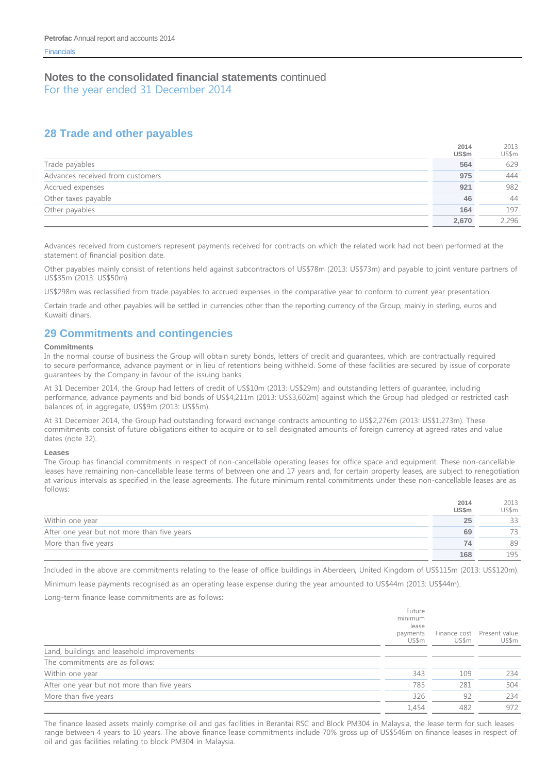# **28 Trade and other payables**

|                                  | 2014<br>US\$m | 2013<br>US\$m |
|----------------------------------|---------------|---------------|
| Trade payables                   | 564           | 629           |
| Advances received from customers | 975           | 444           |
| Accrued expenses                 | 921           | 982           |
| Other taxes payable              | 46            | 44            |
| Other payables                   | 164           | 197           |
|                                  | 2,670         | 2,296         |

Advances received from customers represent payments received for contracts on which the related work had not been performed at the statement of financial position date.

Other payables mainly consist of retentions held against subcontractors of US\$78m (2013: US\$73m) and payable to joint venture partners of US\$35m (2013: US\$50m).

US\$298m was reclassified from trade payables to accrued expenses in the comparative year to conform to current year presentation.

Certain trade and other payables will be settled in currencies other than the reporting currency of the Group, mainly in sterling, euros and Kuwaiti dinars.

### **29 Commitments and contingencies**

#### **Commitments**

In the normal course of business the Group will obtain surety bonds, letters of credit and guarantees, which are contractually required to secure performance, advance payment or in lieu of retentions being withheld. Some of these facilities are secured by issue of corporate guarantees by the Company in favour of the issuing banks.

At 31 December 2014, the Group had letters of credit of US\$10m (2013: US\$29m) and outstanding letters of guarantee, including performance, advance payments and bid bonds of US\$4,211m (2013: US\$3,602m) against which the Group had pledged or restricted cash balances of, in aggregate, US\$9m (2013: US\$5m).

At 31 December 2014, the Group had outstanding forward exchange contracts amounting to US\$2,276m (2013: US\$1,273m). These commitments consist of future obligations either to acquire or to sell designated amounts of foreign currency at agreed rates and value dates (note 32).

#### **Leases**

The Group has financial commitments in respect of non-cancellable operating leases for office space and equipment. These non-cancellable leases have remaining non-cancellable lease terms of between one and 17 years and, for certain property leases, are subject to renegotiation at various intervals as specified in the lease agreements. The future minimum rental commitments under these non-cancellable leases are as follows:

|                                             | 2014<br><b>US\$m</b> | 2013<br>US\$m |
|---------------------------------------------|----------------------|---------------|
| Within one year                             | 25                   | 33            |
| After one year but not more than five years | 69                   |               |
| More than five years                        | 74                   | 89            |
|                                             | 168                  | 195           |

Included in the above are commitments relating to the lease of office buildings in Aberdeen, United Kingdom of US\$115m (2013: US\$120m).

Minimum lease payments recognised as an operating lease expense during the year amounted to US\$44m (2013: US\$44m).

#### Long-term finance lease commitments are as follows:

|                                             | Future<br>minimum<br>lease<br>payments<br>US\$m | Finance cost<br>US\$m | Present value<br>US\$m |
|---------------------------------------------|-------------------------------------------------|-----------------------|------------------------|
| Land, buildings and leasehold improvements  |                                                 |                       |                        |
| The commitments are as follows:             |                                                 |                       |                        |
| Within one year                             | 343                                             | 109                   | 234                    |
| After one year but not more than five years | 785                                             | 281                   | 504                    |
| More than five years                        | 326                                             | 92                    | 234                    |
|                                             | 1.454                                           | 482                   | 972                    |

The finance leased assets mainly comprise oil and gas facilities in Berantai RSC and Block PM304 in Malaysia, the lease term for such leases range between 4 years to 10 years. The above finance lease commitments include 70% gross up of US\$546m on finance leases in respect of oil and gas facilities relating to block PM304 in Malaysia.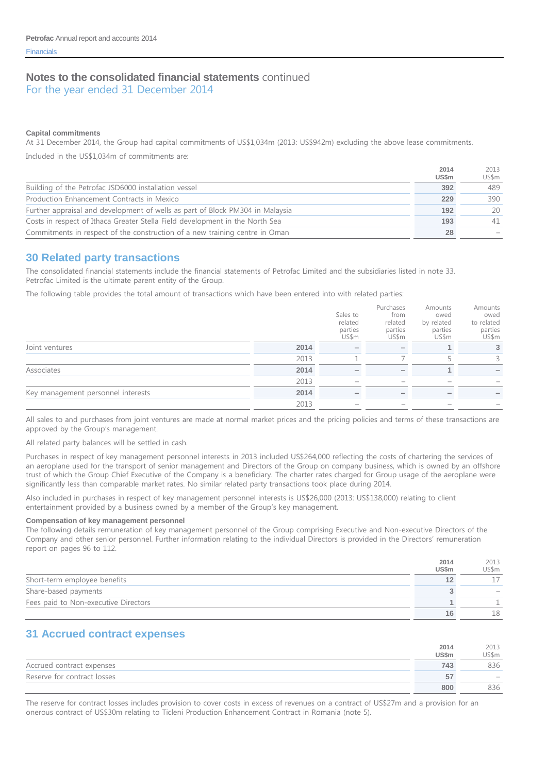For the year ended 31 December 2014

#### **Capital commitments**

At 31 December 2014, the Group had capital commitments of US\$1,034m (2013: US\$942m) excluding the above lease commitments.

Included in the US\$1,034m of commitments are:

|                                                                               | 2014<br><b>US\$m</b> | 2013<br>US\$m |
|-------------------------------------------------------------------------------|----------------------|---------------|
| Building of the Petrofac JSD6000 installation vessel                          | 392                  | 489           |
| Production Enhancement Contracts in Mexico                                    | 229                  | 390           |
| Further appraisal and development of wells as part of Block PM304 in Malaysia | 192                  | 20            |
| Costs in respect of Ithaca Greater Stella Field development in the North Sea  | 193                  | 41            |
| Commitments in respect of the construction of a new training centre in Oman   | 28                   |               |

### **30 Related party transactions**

The consolidated financial statements include the financial statements of Petrofac Limited and the subsidiaries listed in note 33. Petrofac Limited is the ultimate parent entity of the Group.

The following table provides the total amount of transactions which have been entered into with related parties:

|                                    |      | Sales to<br>related<br>parties<br>US\$m | Purchases<br>from<br>related<br>parties<br>US\$m | Amounts<br>owed<br>by related<br>parties<br>US\$m | Amounts<br>owed<br>to related<br>parties<br>US\$m |
|------------------------------------|------|-----------------------------------------|--------------------------------------------------|---------------------------------------------------|---------------------------------------------------|
| Joint ventures                     | 2014 |                                         | $\overline{\phantom{a}}$                         |                                                   | 3                                                 |
|                                    | 2013 |                                         |                                                  |                                                   | 3                                                 |
| Associates                         | 2014 |                                         | $\overline{\phantom{0}}$                         |                                                   |                                                   |
|                                    | 2013 |                                         |                                                  |                                                   |                                                   |
| Key management personnel interests | 2014 |                                         |                                                  |                                                   |                                                   |
|                                    | 2013 |                                         |                                                  |                                                   |                                                   |

All sales to and purchases from joint ventures are made at normal market prices and the pricing policies and terms of these transactions are approved by the Group's management.

All related party balances will be settled in cash.

Purchases in respect of key management personnel interests in 2013 included US\$264,000 reflecting the costs of chartering the services of an aeroplane used for the transport of senior management and Directors of the Group on company business, which is owned by an offshore trust of which the Group Chief Executive of the Company is a beneficiary. The charter rates charged for Group usage of the aeroplane were significantly less than comparable market rates. No similar related party transactions took place during 2014.

Also included in purchases in respect of key management personnel interests is US\$26,000 (2013: US\$138,000) relating to client entertainment provided by a business owned by a member of the Group's key management.

#### **Compensation of key management personnel**

The following details remuneration of key management personnel of the Group comprising Executive and Non-executive Directors of the Company and other senior personnel. Further information relating to the individual Directors is provided in the Directors' remuneration report on pages 96 to 112.

|                                      | 2014<br><b>US\$m</b> | 2013<br>US\$m |
|--------------------------------------|----------------------|---------------|
| Short-term employee benefits         |                      |               |
| Share-based payments                 |                      |               |
| Fees paid to Non-executive Directors |                      |               |
|                                      |                      | 18            |

### **31 Accrued contract expenses**

|                             | 2014         | 2013                     |
|-----------------------------|--------------|--------------------------|
|                             | <b>US\$m</b> | US\$m                    |
| Accrued contract expenses   | 743          | 836                      |
| Reserve for contract losses | 57           | $\overline{\phantom{a}}$ |
|                             | 800          | 836                      |

The reserve for contract losses includes provision to cover costs in excess of revenues on a contract of US\$27m and a provision for an onerous contract of US\$30m relating to Ticleni Production Enhancement Contract in Romania (note 5).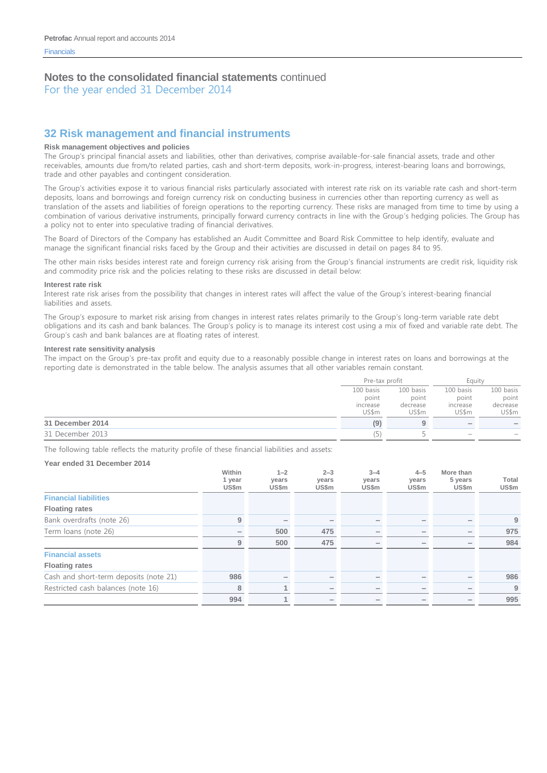For the year ended 31 December 2014

# **32 Risk management and financial instruments**

#### **Risk management objectives and policies**

The Group's principal financial assets and liabilities, other than derivatives, comprise available-for-sale financial assets, trade and other receivables, amounts due from/to related parties, cash and short-term deposits, work-in-progress, interest-bearing loans and borrowings, trade and other payables and contingent consideration.

The Group's activities expose it to various financial risks particularly associated with interest rate risk on its variable rate cash and short-term deposits, loans and borrowings and foreign currency risk on conducting business in currencies other than reporting currency as well as translation of the assets and liabilities of foreign operations to the reporting currency. These risks are managed from time to time by using a combination of various derivative instruments, principally forward currency contracts in line with the Group's hedging policies. The Group has a policy not to enter into speculative trading of financial derivatives.

The Board of Directors of the Company has established an Audit Committee and Board Risk Committee to help identify, evaluate and manage the significant financial risks faced by the Group and their activities are discussed in detail on pages 84 to 95.

The other main risks besides interest rate and foreign currency risk arising from the Group's financial instruments are credit risk, liquidity risk and commodity price risk and the policies relating to these risks are discussed in detail below:

#### **Interest rate risk**

Interest rate risk arises from the possibility that changes in interest rates will affect the value of the Group's interest-bearing financial liabilities and assets.

The Group's exposure to market risk arising from changes in interest rates relates primarily to the Group's long-term variable rate debt obligations and its cash and bank balances. The Group's policy is to manage its interest cost using a mix of fixed and variable rate debt. The Group's cash and bank balances are at floating rates of interest.

#### **Interest rate sensitivity analysis**

The impact on the Group's pre-tax profit and equity due to a reasonably possible change in interest rates on loans and borrowings at the reporting date is demonstrated in the table below. The analysis assumes that all other variables remain constant.

|                  |           | Pre-tax profit |                          | Eauitv                   |  |
|------------------|-----------|----------------|--------------------------|--------------------------|--|
|                  | 100 basis | 100 basis      | 100 basis                | 100 basis                |  |
|                  | point     | point          | point                    | point                    |  |
|                  | increase  | decrease       | increase                 | decrease                 |  |
|                  | US\$m     | US\$m          | US\$m                    | US\$m                    |  |
| 31 December 2014 | (9)       | 9              | $\overline{\phantom{a}}$ | $\overline{\phantom{a}}$ |  |
| 31 December 2013 |           |                | $\sim$                   | $\overline{\phantom{a}}$ |  |

The following table reflects the maturity profile of these financial liabilities and assets:

#### **Year ended 31 December 2014**

|                                        | Within<br>1 year<br>US\$m | $1 - 2$<br>years<br>US\$m | $2 - 3$<br>years<br>US\$m | $3 - 4$<br>years<br>US\$m | $4 - 5$<br>years<br>US\$m | More than<br>5 years<br>US\$m | Total<br>US\$m |
|----------------------------------------|---------------------------|---------------------------|---------------------------|---------------------------|---------------------------|-------------------------------|----------------|
| <b>Financial liabilities</b>           |                           |                           |                           |                           |                           |                               |                |
| <b>Floating rates</b>                  |                           |                           |                           |                           |                           |                               |                |
| Bank overdrafts (note 26)              | 9                         |                           |                           |                           |                           |                               | 9              |
| Term loans (note 26)                   |                           | 500                       | 475                       | $\overline{\phantom{a}}$  |                           |                               | 975            |
|                                        | 9                         | 500                       | 475                       | $\overline{\phantom{0}}$  | -                         |                               | 984            |
| <b>Financial assets</b>                |                           |                           |                           |                           |                           |                               |                |
| <b>Floating rates</b>                  |                           |                           |                           |                           |                           |                               |                |
| Cash and short-term deposits (note 21) | 986                       |                           |                           |                           |                           |                               | 986            |
| Restricted cash balances (note 16)     | 8                         | 4                         |                           |                           |                           |                               | 9              |
|                                        | 994                       | 4                         |                           | $\overline{\phantom{a}}$  |                           |                               | 995            |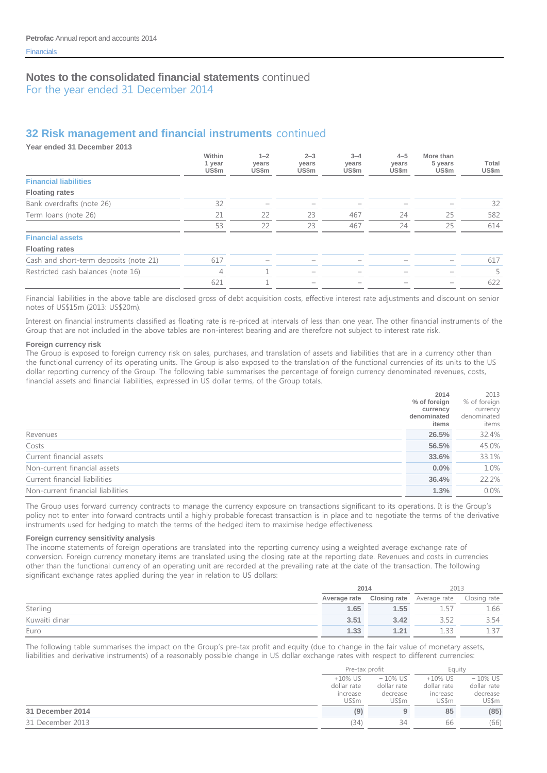For the year ended 31 December 2014

# **32 Risk management and financial instruments** continued

**Year ended 31 December 2013**

|                                        | Within<br>1 year<br>US\$m | $1 - 2$<br>years<br>US\$m | $2 - 3$<br>years<br>US\$m | $3 - 4$<br>years<br>US\$m | $4 - 5$<br>years<br>US\$m | More than<br>5 years<br>US\$m | Total<br>US\$m |
|----------------------------------------|---------------------------|---------------------------|---------------------------|---------------------------|---------------------------|-------------------------------|----------------|
| <b>Financial liabilities</b>           |                           |                           |                           |                           |                           |                               |                |
| <b>Floating rates</b>                  |                           |                           |                           |                           |                           |                               |                |
| Bank overdrafts (note 26)              | 32                        | $\overline{\phantom{a}}$  |                           |                           |                           |                               | 32             |
| Term loans (note 26)                   | 21                        | 22                        | 23                        | 467                       | 24                        | 25                            | 582            |
|                                        | 53                        | 22                        | 23                        | 467                       | 24                        | 25                            | 614            |
| <b>Financial assets</b>                |                           |                           |                           |                           |                           |                               |                |
| <b>Floating rates</b>                  |                           |                           |                           |                           |                           |                               |                |
| Cash and short-term deposits (note 21) | 617                       |                           |                           |                           |                           |                               | 617            |
| Restricted cash balances (note 16)     | 4                         |                           | $\overline{\phantom{a}}$  | $\overline{\phantom{a}}$  |                           | $\overline{\phantom{a}}$      | 5              |
|                                        | 621                       |                           | $\overline{\phantom{a}}$  | $\overline{\phantom{a}}$  |                           |                               | 622            |

Financial liabilities in the above table are disclosed gross of debt acquisition costs, effective interest rate adjustments and discount on senior notes of US\$15m (2013: US\$20m).

Interest on financial instruments classified as floating rate is re-priced at intervals of less than one year. The other financial instruments of the Group that are not included in the above tables are non-interest bearing and are therefore not subject to interest rate risk.

#### **Foreign currency risk**

The Group is exposed to foreign currency risk on sales, purchases, and translation of assets and liabilities that are in a currency other than the functional currency of its operating units. The Group is also exposed to the translation of the functional currencies of its units to the US dollar reporting currency of the Group. The following table summarises the percentage of foreign currency denominated revenues, costs, financial assets and financial liabilities, expressed in US dollar terms, of the Group totals.

|                                   | 2014         | 2013         |
|-----------------------------------|--------------|--------------|
|                                   | % of foreign | % of foreign |
|                                   | currency     | currency     |
|                                   | denominated  | denominated  |
|                                   | items        | items        |
| Revenues                          | 26.5%        | 32.4%        |
| Costs                             | 56.5%        | 45.0%        |
| Current financial assets          | 33.6%        | 33.1%        |
| Non-current financial assets      | $0.0\%$      | 1.0%         |
| Current financial liabilities     | 36.4%        | 22.2%        |
| Non-current financial liabilities | 1.3%         | $0.0\%$      |

The Group uses forward currency contracts to manage the currency exposure on transactions significant to its operations. It is the Group's policy not to enter into forward contracts until a highly probable forecast transaction is in place and to negotiate the terms of the derivative instruments used for hedging to match the terms of the hedged item to maximise hedge effectiveness.

#### **Foreign currency sensitivity analysis**

The income statements of foreign operations are translated into the reporting currency using a weighted average exchange rate of conversion. Foreign currency monetary items are translated using the closing rate at the reporting date. Revenues and costs in currencies other than the functional currency of an operating unit are recorded at the prevailing rate at the date of the transaction. The following significant exchange rates applied during the year in relation to US dollars:

|               |              | 2014                |                           | 2013 |
|---------------|--------------|---------------------|---------------------------|------|
|               | Average rate | <b>Closing rate</b> | Average rate Closing rate |      |
| Sterling      | 1.65         | 1.55                |                           | 1.66 |
| Kuwaiti dinar | 3.51         | 3.42                |                           | 3.54 |
| Euro          | 1.33         | 1.21                |                           |      |

The following table summarises the impact on the Group's pre-tax profit and equity (due to change in the fair value of monetary assets, liabilities and derivative instruments) of a reasonably possible change in US dollar exchange rates with respect to different currencies:

|                  | Pre-tax profit                                 |                                                | Eauity                                         |                                                |
|------------------|------------------------------------------------|------------------------------------------------|------------------------------------------------|------------------------------------------------|
|                  | $+10\%$ US<br>dollar rate<br>increase<br>US\$m | $-10\%$ US<br>dollar rate<br>decrease<br>US\$m | $+10\%$ US<br>dollar rate<br>increase<br>US\$m | $-10\%$ US<br>dollar rate<br>decrease<br>US\$m |
| 31 December 2014 | (9)                                            |                                                | 85                                             | (85)                                           |
| 31 December 2013 | (34)                                           | ΡΔ                                             | 66                                             | (66)                                           |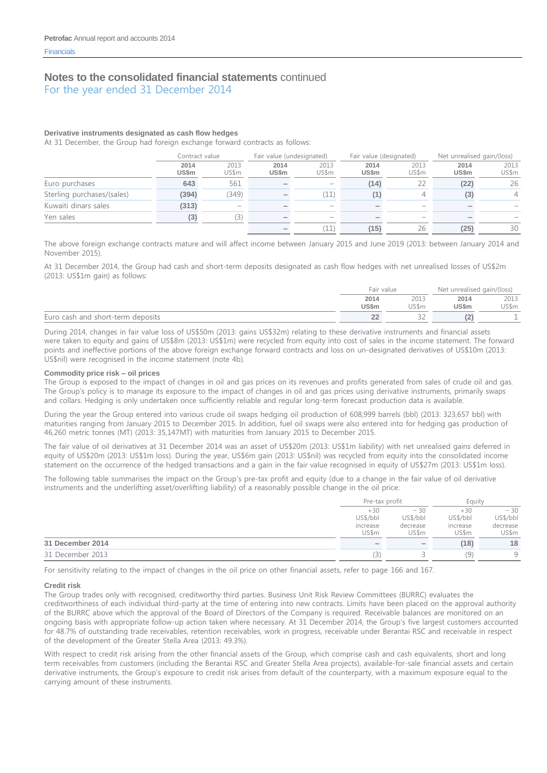#### **Derivative instruments designated as cash flow hedges**

At 31 December, the Group had foreign exchange forward contracts as follows:

|                            |                      | Contract value |                      | Fair value (undesignated) |                          | Fair value (designated) |                      | Net unrealised gain/(loss) |  |
|----------------------------|----------------------|----------------|----------------------|---------------------------|--------------------------|-------------------------|----------------------|----------------------------|--|
|                            | 2014<br><b>US\$m</b> | 2013<br>US\$m  | 2014<br><b>US\$m</b> | 2013<br>US\$m             | 2014<br><b>US\$m</b>     | 2013<br>US\$m           | 2014<br><b>US\$m</b> | 2013<br>US\$m              |  |
| Euro purchases             | 643                  | 561            |                      | $\overline{\phantom{a}}$  | (14)                     |                         | (22)                 | 26                         |  |
| Sterling purchases/(sales) | (394)                | (349)          |                      | (11)                      | [1]                      |                         | (3)                  | $\overline{4}$             |  |
| Kuwaiti dinars sales       | (313)                |                |                      | $\sim$                    |                          | $\sim$                  |                      |                            |  |
| Yen sales                  | (3)                  | (3)            |                      | $\overline{\phantom{a}}$  | $\overline{\phantom{a}}$ | -                       |                      |                            |  |
|                            |                      |                |                      | (11)                      | (15)                     | 26                      | (25)                 | 30                         |  |

The above foreign exchange contracts mature and will affect income between January 2015 and June 2019 (2013: between January 2014 and November 2015).

At 31 December 2014, the Group had cash and short-term deposits designated as cash flow hedges with net unrealised losses of US\$2m (2013: US\$1m gain) as follows:

|                                   | Fair value           |               | Net unrealised gain/(loss) |               |
|-----------------------------------|----------------------|---------------|----------------------------|---------------|
|                                   | 2014<br><b>US\$m</b> | 2013<br>US\$m | 2014<br><b>US\$m</b>       | 2013<br>US\$m |
| Euro cash and short-term deposits | --                   |               |                            |               |

During 2014, changes in fair value loss of US\$50m (2013: gains US\$32m) relating to these derivative instruments and financial assets were taken to equity and gains of US\$8m (2013: US\$1m) were recycled from equity into cost of sales in the income statement. The forward points and ineffective portions of the above foreign exchange forward contracts and loss on un-designated derivatives of US\$10m (2013: US\$nil) were recognised in the income statement (note 4b).

#### **Commodity price risk – oil prices**

The Group is exposed to the impact of changes in oil and gas prices on its revenues and profits generated from sales of crude oil and gas. The Group's policy is to manage its exposure to the impact of changes in oil and gas prices using derivative instruments, primarily swaps and collars. Hedging is only undertaken once sufficiently reliable and regular long-term forecast production data is available.

During the year the Group entered into various crude oil swaps hedging oil production of 608,999 barrels (bbl) (2013: 323,657 bbl) with maturities ranging from January 2015 to December 2015. In addition, fuel oil swaps were also entered into for hedging gas production of 46,260 metric tonnes (MT) (2013: 35,147MT) with maturities from January 2015 to December 2015.

The fair value of oil derivatives at 31 December 2014 was an asset of US\$20m (2013: US\$1m liability) with net unrealised gains deferred in equity of US\$20m (2013: US\$1m loss). During the year, US\$6m gain (2013: US\$nil) was recycled from equity into the consolidated income statement on the occurrence of the hedged transactions and a gain in the fair value recognised in equity of US\$27m (2013: US\$1m loss).

The following table summarises the impact on the Group's pre-tax profit and equity (due to a change in the fair value of oil derivative instruments and the underlifting asset/overlifting liability) of a reasonably possible change in the oil price:

|                  | Pre-tax profit                         |                                        | Eauity                                 |                                        |
|------------------|----------------------------------------|----------------------------------------|----------------------------------------|----------------------------------------|
|                  | $+30$<br>US\$/bbl<br>increase<br>US\$m | $-30$<br>US\$/bbl<br>decrease<br>US\$m | $+30$<br>US\$/bbl<br>increase<br>US\$m | $-30$<br>US\$/bbl<br>decrease<br>US\$m |
| 31 December 2014 | $\hspace{0.1mm}$                       | $\hspace{0.1mm}$                       | (18)                                   | 18                                     |
| 31 December 2013 | 3)                                     |                                        | Ω,                                     | Q                                      |

For sensitivity relating to the impact of changes in the oil price on other financial assets, refer to page 166 and 167.

#### **Credit risk**

The Group trades only with recognised, creditworthy third parties. Business Unit Risk Review Committees (BURRC) evaluates the creditworthiness of each individual third-party at the time of entering into new contracts. Limits have been placed on the approval authority of the BURRC above which the approval of the Board of Directors of the Company is required. Receivable balances are monitored on an ongoing basis with appropriate follow-up action taken where necessary. At 31 December 2014, the Group's five largest customers accounted for 48.7% of outstanding trade receivables, retention receivables, work in progress, receivable under Berantai RSC and receivable in respect of the development of the Greater Stella Area (2013: 49.3%).

With respect to credit risk arising from the other financial assets of the Group, which comprise cash and cash equivalents, short and long term receivables from customers (including the Berantai RSC and Greater Stella Area projects), available-for-sale financial assets and certain derivative instruments, the Group's exposure to credit risk arises from default of the counterparty, with a maximum exposure equal to the carrying amount of these instruments.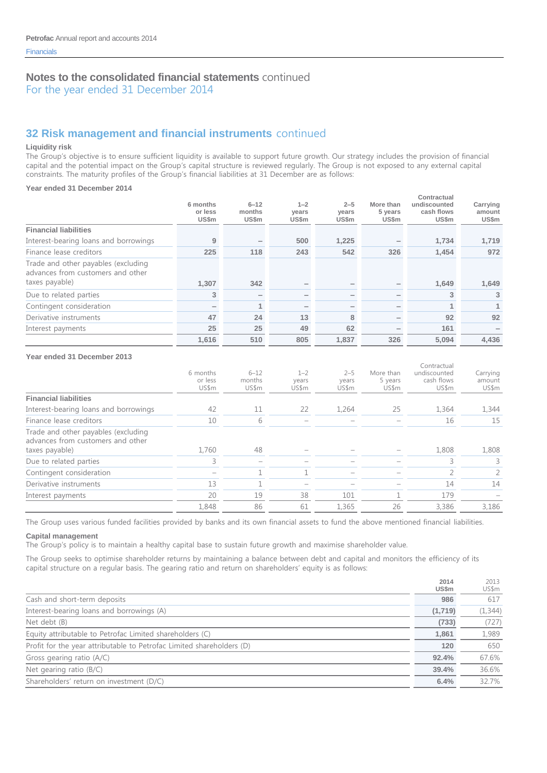For the year ended 31 December 2014

# **32 Risk management and financial instruments** continued

#### **Liquidity risk**

The Group's objective is to ensure sufficient liquidity is available to support future growth. Our strategy includes the provision of financial capital and the potential impact on the Group's capital structure is reviewed regularly. The Group is not exposed to any external capital constraints. The maturity profiles of the Group's financial liabilities at 31 December are as follows:

#### **Year ended 31 December 2014**

|                                                                          |                              | $6 - 12$        | $1 - 2$        | $2 - 5$        | More than                | Contractual<br>undiscounted |                             |
|--------------------------------------------------------------------------|------------------------------|-----------------|----------------|----------------|--------------------------|-----------------------------|-----------------------------|
|                                                                          | 6 months<br>or less<br>US\$m | months<br>US\$m | years<br>US\$m | years<br>US\$m | 5 years<br>US\$m         | cash flows<br>US\$m         | Carrying<br>amount<br>US\$m |
| <b>Financial liabilities</b>                                             |                              |                 |                |                |                          |                             |                             |
| Interest-bearing loans and borrowings                                    | 9                            |                 | 500            | 1,225          | $\overline{\phantom{a}}$ | 1,734                       | 1,719                       |
| Finance lease creditors                                                  | 225                          | 118             | 243            | 542            | 326                      | 1,454                       | 972                         |
| Trade and other payables (excluding<br>advances from customers and other |                              |                 |                |                |                          |                             |                             |
| taxes payable)                                                           | 1,307                        | 342             |                |                | $\overline{\phantom{a}}$ | 1,649                       | 1,649                       |
| Due to related parties                                                   | 3                            |                 |                |                | $\overline{\phantom{a}}$ | 3                           | 3                           |
| Contingent consideration                                                 |                              |                 |                |                | $\overline{\phantom{a}}$ |                             | 1                           |
| Derivative instruments                                                   | 47                           | 24              | 13             | 8              | $\overline{\phantom{a}}$ | 92                          | 92                          |
| Interest payments                                                        | 25                           | 25              | 49             | 62             | $\overline{\phantom{a}}$ | 161                         |                             |
|                                                                          | 1.616                        | 510             | 805            | 1.837          | 326                      | 5.094                       | 4,436                       |

#### **Year ended 31 December 2013**

|                                                                                            | 6 months<br>or less<br>US\$m | $6 - 12$<br>months<br>US\$m | $1 - 2$<br>vears<br>US\$m | $2 - 5$<br>vears<br>US\$m | More than<br>5 years<br>US\$m | Contractual<br>undiscounted<br>cash flows<br>US\$m | Carrying<br>amount<br>US\$m |
|--------------------------------------------------------------------------------------------|------------------------------|-----------------------------|---------------------------|---------------------------|-------------------------------|----------------------------------------------------|-----------------------------|
| <b>Financial liabilities</b>                                                               |                              |                             |                           |                           |                               |                                                    |                             |
| Interest-bearing loans and borrowings                                                      | 42                           | 11                          | 22                        | 1,264                     | 25                            | 1.364                                              | 1,344                       |
| Finance lease creditors                                                                    | 10                           | 6                           |                           |                           |                               | 16                                                 | 15                          |
| Trade and other payables (excluding<br>advances from customers and other<br>taxes payable) | 1,760                        | 48                          |                           |                           |                               | 1,808                                              | 1,808                       |
| Due to related parties                                                                     | 3                            |                             |                           |                           |                               |                                                    | 3                           |
| Contingent consideration                                                                   |                              |                             |                           |                           |                               |                                                    | $\overline{2}$              |
| Derivative instruments                                                                     | 13                           |                             |                           |                           |                               | 14                                                 | 14                          |
| Interest payments                                                                          | 20                           | 19                          | 38                        | 101                       |                               | 179                                                |                             |
|                                                                                            | 1,848                        | 86                          | 61                        | 1.365                     | 26                            | 3,386                                              | 3.186                       |

The Group uses various funded facilities provided by banks and its own financial assets to fund the above mentioned financial liabilities.

#### **Capital management**

The Group's policy is to maintain a healthy capital base to sustain future growth and maximise shareholder value.

The Group seeks to optimise shareholder returns by maintaining a balance between debt and capital and monitors the efficiency of its capital structure on a regular basis. The gearing ratio and return on shareholders' equity is as follows:

|                                                                       | 2014<br><b>US\$m</b> | 2013<br>US\$m |
|-----------------------------------------------------------------------|----------------------|---------------|
| Cash and short-term deposits                                          | 986                  | 617           |
| Interest-bearing loans and borrowings (A)                             | (1,719)              | (1, 344)      |
| Net debt (B)                                                          | (733)                | (727)         |
| Equity attributable to Petrofac Limited shareholders (C)              | 1,861                | 1,989         |
| Profit for the year attributable to Petrofac Limited shareholders (D) | 120                  | 650           |
| Gross gearing ratio (A/C)                                             | 92.4%                | 67.6%         |
| Net gearing ratio $(B/C)$                                             | 39.4%                | 36.6%         |
| Shareholders' return on investment (D/C)                              | 6.4%                 | 32.7%         |
|                                                                       |                      |               |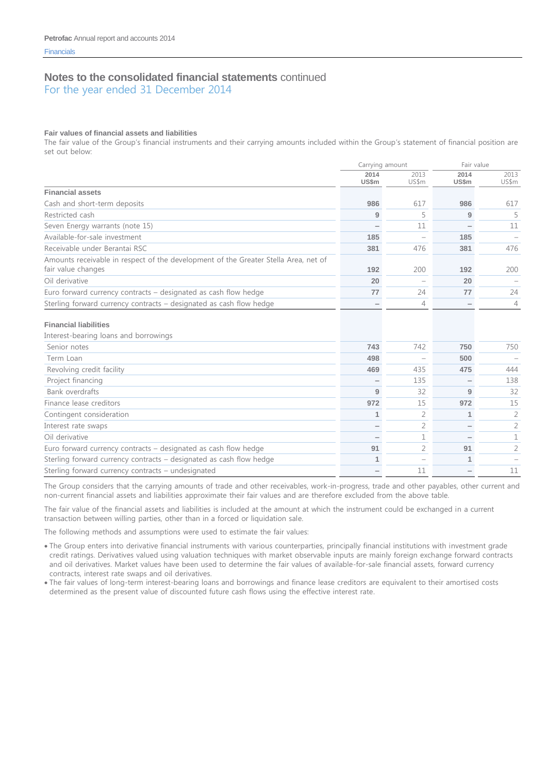For the year ended 31 December 2014

#### **Fair values of financial assets and liabilities**

The fair value of the Group's financial instruments and their carrying amounts included within the Group's statement of financial position are set out below:

|                                                                                                           | Carrying amount |                | Fair value    |                |
|-----------------------------------------------------------------------------------------------------------|-----------------|----------------|---------------|----------------|
|                                                                                                           | 2014<br>US\$m   | 2013<br>US\$m  | 2014<br>US\$m | 2013<br>US\$m  |
| <b>Financial assets</b>                                                                                   |                 |                |               |                |
| Cash and short-term deposits                                                                              | 986             | 617            | 986           | 617            |
| Restricted cash                                                                                           | 9               | 5              | 9             | 5              |
| Seven Energy warrants (note 15)                                                                           |                 | 11             |               | 11             |
| Available-for-sale investment                                                                             | 185             |                | 185           |                |
| Receivable under Berantai RSC                                                                             | 381             | 476            | 381           | 476            |
| Amounts receivable in respect of the development of the Greater Stella Area, net of<br>fair value changes | 192             | 200            | 192           | 200            |
| Oil derivative                                                                                            | 20              |                | 20            |                |
| Euro forward currency contracts – designated as cash flow hedge                                           | 77              | 24             | 77            | 24             |
| Sterling forward currency contracts - designated as cash flow hedge                                       |                 | $\overline{4}$ |               | $\overline{4}$ |
| <b>Financial liabilities</b>                                                                              |                 |                |               |                |
| Interest-bearing loans and borrowings                                                                     |                 |                |               |                |
| Senior notes                                                                                              | 743             | 742            | 750           | 750            |
| Term Loan                                                                                                 | 498             |                | 500           |                |
| Revolving credit facility                                                                                 | 469             | 435            | 475           | 444            |
| Project financing                                                                                         |                 | 135            |               | 138            |
| Bank overdrafts                                                                                           | 9               | 32             | 9             | 32             |
| Finance lease creditors                                                                                   | 972             | 15             | 972           | 15             |
| Contingent consideration                                                                                  | 1               | 2              | 1             | 2              |
| Interest rate swaps                                                                                       |                 | 2              |               | $\overline{2}$ |
| Oil derivative                                                                                            |                 | 1              |               | 1              |
| Euro forward currency contracts - designated as cash flow hedge                                           | 91              | 2              | 91            | 2              |
| Sterling forward currency contracts - designated as cash flow hedge                                       | 1               |                |               |                |
| Sterling forward currency contracts - undesignated                                                        |                 | 11             |               | 11             |

The Group considers that the carrying amounts of trade and other receivables, work-in-progress, trade and other payables, other current and non-current financial assets and liabilities approximate their fair values and are therefore excluded from the above table.

The fair value of the financial assets and liabilities is included at the amount at which the instrument could be exchanged in a current transaction between willing parties, other than in a forced or liquidation sale.

The following methods and assumptions were used to estimate the fair values:

- The Group enters into derivative financial instruments with various counterparties, principally financial institutions with investment grade credit ratings. Derivatives valued using valuation techniques with market observable inputs are mainly foreign exchange forward contracts and oil derivatives. Market values have been used to determine the fair values of available-for-sale financial assets, forward currency contracts, interest rate swaps and oil derivatives.
- The fair values of long-term interest-bearing loans and borrowings and finance lease creditors are equivalent to their amortised costs determined as the present value of discounted future cash flows using the effective interest rate.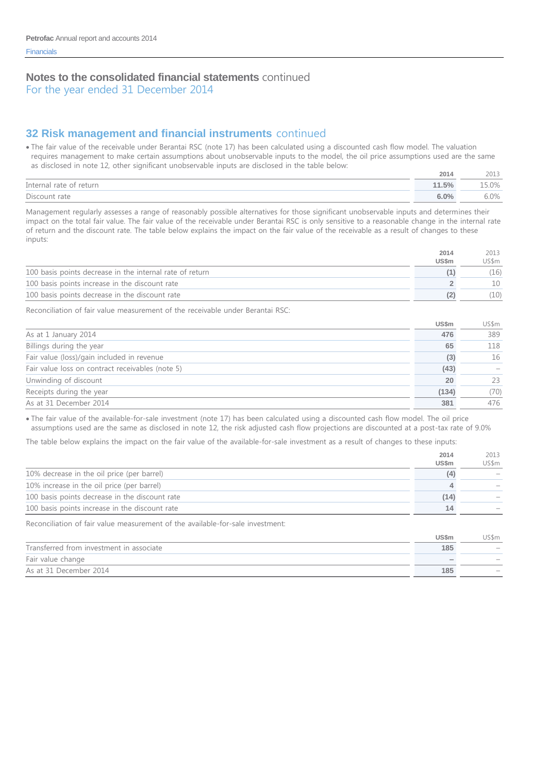# **32 Risk management and financial instruments** continued

 The fair value of the receivable under Berantai RSC (note 17) has been calculated using a discounted cash flow model. The valuation requires management to make certain assumptions about unobservable inputs to the model, the oil price assumptions used are the same as disclosed in note 12, other significant unobservable inputs are disclosed in the table below:

|                         | 2014  |        |
|-------------------------|-------|--------|
| Internal rate of return | 11.5% | $.0\%$ |
| Discount rate           | 6.0%  | 5.0%   |

Management regularly assesses a range of reasonably possible alternatives for those significant unobservable inputs and determines their impact on the total fair value. The fair value of the receivable under Berantai RSC is only sensitive to a reasonable change in the internal rate of return and the discount rate. The table below explains the impact on the fair value of the receivable as a result of changes to these inputs:

|                                                          | 2014         | 2013  |
|----------------------------------------------------------|--------------|-------|
|                                                          | <b>US\$m</b> | US\$m |
| 100 basis points decrease in the internal rate of return |              | (16)  |
| 100 basis points increase in the discount rate           |              |       |
| 100 basis points decrease in the discount rate           |              | (10   |

Reconciliation of fair value measurement of the receivable under Berantai RSC:

|                                                  | <b>US\$m</b> | US\$m |
|--------------------------------------------------|--------------|-------|
| As at 1 January 2014                             | 476          | 389   |
| Billings during the year                         | 65           | 118   |
| Fair value (loss)/gain included in revenue       | (3)          | 16    |
| Fair value loss on contract receivables (note 5) | (43)         |       |
| Unwinding of discount                            | 20           | 23    |
| Receipts during the year                         | (134)        | (70)  |
| As at 31 December 2014                           | 381          | 476   |

 The fair value of the available-for-sale investment (note 17) has been calculated using a discounted cash flow model. The oil price assumptions used are the same as disclosed in note 12, the risk adjusted cash flow projections are discounted at a post-tax rate of 9.0%

The table below explains the impact on the fair value of the available-for-sale investment as a result of changes to these inputs:

|                                                | 2014<br><b>US\$m</b> | 2013<br>US\$m |
|------------------------------------------------|----------------------|---------------|
| 10% decrease in the oil price (per barrel)     | (4)                  |               |
| 10% increase in the oil price (per barrel)     |                      |               |
| 100 basis points decrease in the discount rate | (14)                 |               |
| 100 basis points increase in the discount rate | 14                   |               |
|                                                |                      |               |

Reconciliation of fair value measurement of the available-for-sale investment:

|                                          | US\$m                    | US\$m                    |
|------------------------------------------|--------------------------|--------------------------|
| Transferred from investment in associate | 185                      | $\overline{\phantom{a}}$ |
| Fair value change                        | $\overline{\phantom{a}}$ |                          |
| As at 31 December 2014                   | 185                      |                          |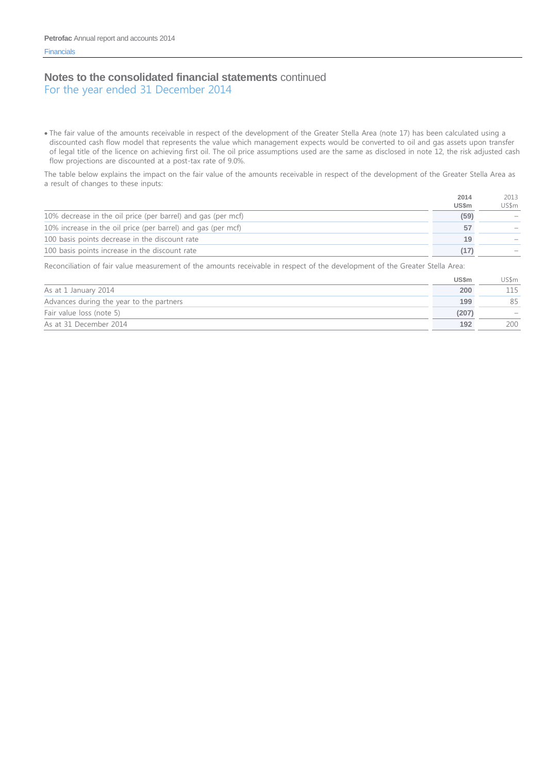For the year ended 31 December 2014

 The fair value of the amounts receivable in respect of the development of the Greater Stella Area (note 17) has been calculated using a discounted cash flow model that represents the value which management expects would be converted to oil and gas assets upon transfer of legal title of the licence on achieving first oil. The oil price assumptions used are the same as disclosed in note 12, the risk adjusted cash flow projections are discounted at a post-tax rate of 9.0%.

The table below explains the impact on the fair value of the amounts receivable in respect of the development of the Greater Stella Area as a result of changes to these inputs:

|                                                              | 2014  | 2013  |
|--------------------------------------------------------------|-------|-------|
|                                                              | US\$m | US\$m |
| 10% decrease in the oil price (per barrel) and gas (per mcf) | (59)  |       |
| 10% increase in the oil price (per barrel) and gas (per mcf) | 57    |       |
| 100 basis points decrease in the discount rate               | 19    |       |
| 100 basis points increase in the discount rate               |       |       |

Reconciliation of fair value measurement of the amounts receivable in respect of the development of the Greater Stella Area:

|                                          | <b>US\$m</b> | US\$m |
|------------------------------------------|--------------|-------|
| As at 1 January 2014                     | 200          | 115   |
| Advances during the year to the partners | 199          | 85    |
| Fair value loss (note 5)                 | (207)        |       |
| As at 31 December 2014                   | 192          | 200   |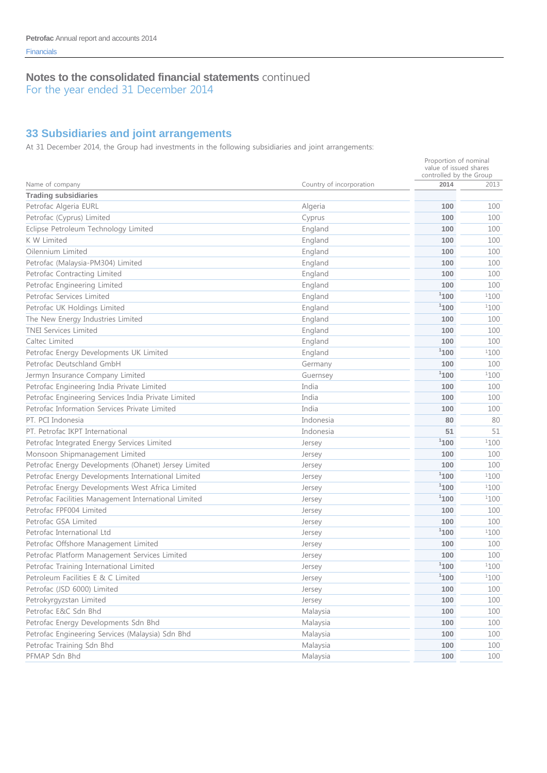For the year ended 31 December 2014

# **33 Subsidiaries and joint arrangements**

At 31 December 2014, the Group had investments in the following subsidiaries and joint arrangements:

|                                                      |                          | Proportion of nominal<br>value of issued shares<br>controlled by the Group |      |
|------------------------------------------------------|--------------------------|----------------------------------------------------------------------------|------|
| Name of company                                      | Country of incorporation | 2014                                                                       | 2013 |
| <b>Trading subsidiaries</b>                          |                          |                                                                            |      |
| Petrofac Algeria EURL                                | Algeria                  | 100                                                                        | 100  |
| Petrofac (Cyprus) Limited                            | Cyprus                   | 100                                                                        | 100  |
| Eclipse Petroleum Technology Limited                 | England                  | 100                                                                        | 100  |
| K W Limited                                          | England                  | 100                                                                        | 100  |
| Oilennium Limited                                    | England                  | 100                                                                        | 100  |
| Petrofac (Malaysia-PM304) Limited                    | England                  | 100                                                                        | 100  |
| Petrofac Contracting Limited                         | England                  | 100                                                                        | 100  |
| Petrofac Engineering Limited                         | England                  | 100                                                                        | 100  |
| Petrofac Services Limited                            | England                  | 1100                                                                       | 1100 |
| Petrofac UK Holdings Limited                         | England                  | 1100                                                                       | 1100 |
| The New Energy Industries Limited                    | England                  | 100                                                                        | 100  |
| <b>TNEI Services Limited</b>                         | England                  | 100                                                                        | 100  |
| Caltec Limited                                       | England                  | 100                                                                        | 100  |
| Petrofac Energy Developments UK Limited              | England                  | 1100                                                                       | 1100 |
| Petrofac Deutschland GmbH                            | Germany                  | 100                                                                        | 100  |
| Jermyn Insurance Company Limited                     | Guernsey                 | 1100                                                                       | 1100 |
| Petrofac Engineering India Private Limited           | India                    | 100                                                                        | 100  |
| Petrofac Engineering Services India Private Limited  | India                    | 100                                                                        | 100  |
| Petrofac Information Services Private Limited        | India                    | 100                                                                        | 100  |
| PT. PCI Indonesia                                    | Indonesia                | 80                                                                         | 80   |
| PT. Petrofac IKPT International                      | Indonesia                | 51                                                                         | 51   |
| Petrofac Integrated Energy Services Limited          | Jersey                   | 1100                                                                       | 1100 |
| Monsoon Shipmanagement Limited                       | Jersey                   | 100                                                                        | 100  |
| Petrofac Energy Developments (Ohanet) Jersey Limited | Jersey                   | 100                                                                        | 100  |
| Petrofac Energy Developments International Limited   | Jersey                   | 1100                                                                       | 1100 |
| Petrofac Energy Developments West Africa Limited     | Jersey                   | 1100                                                                       | 1100 |
| Petrofac Facilities Management International Limited | Jersey                   | 1100                                                                       | 1100 |
| Petrofac FPF004 Limited                              | Jersey                   | 100                                                                        | 100  |
| Petrofac GSA Limited                                 | Jersey                   | 100                                                                        | 100  |
| Petrofac International Ltd                           | Jersey                   | 1100                                                                       | 1100 |
| Petrofac Offshore Management Limited                 | Jersey                   | 100                                                                        | 100  |
| Petrofac Platform Management Services Limited        | Jersey                   | 100                                                                        | 100  |
| Petrofac Training International Limited              | Jersey                   | 1100                                                                       | 1100 |
| Petroleum Facilities E & C Limited                   | Jersey                   | 1100                                                                       | 1100 |
| Petrofac (JSD 6000) Limited                          | Jersey                   | 100                                                                        | 100  |
| Petrokyrgyzstan Limited                              | Jersey                   | 100                                                                        | 100  |
| Petrofac E&C Sdn Bhd                                 | Malaysia                 | 100                                                                        | 100  |
| Petrofac Energy Developments Sdn Bhd                 | Malaysia                 | 100                                                                        | 100  |
| Petrofac Engineering Services (Malaysia) Sdn Bhd     | Malaysia                 | 100                                                                        | 100  |
| Petrofac Training Sdn Bhd                            | Malaysia                 | 100                                                                        | 100  |
| PFMAP Sdn Bhd                                        | Malaysia                 | 100                                                                        | 100  |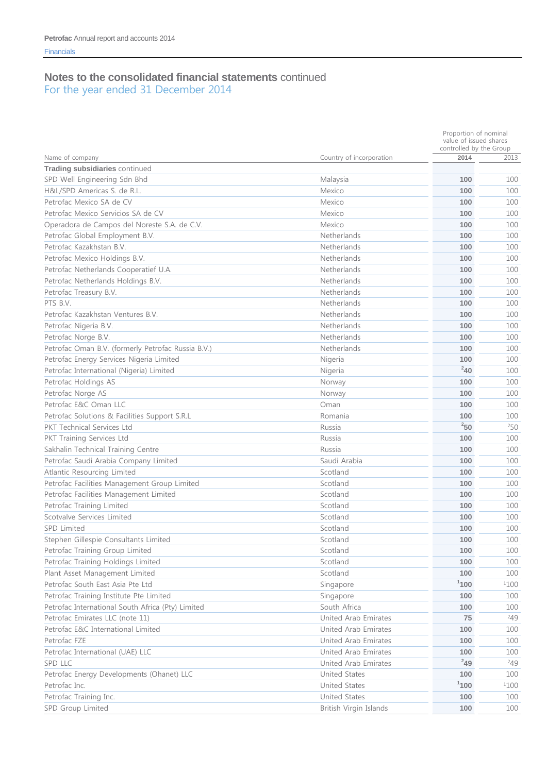|                                                    |                          | Proportion of nominal<br>value of issued shares<br>controlled by the Group |      |  |
|----------------------------------------------------|--------------------------|----------------------------------------------------------------------------|------|--|
| Name of company                                    | Country of incorporation | 2014                                                                       | 2013 |  |
| Trading subsidiaries continued                     |                          |                                                                            |      |  |
| SPD Well Engineering Sdn Bhd                       | Malaysia                 | 100                                                                        | 100  |  |
| H&L/SPD Americas S. de R.L.                        | Mexico                   | 100                                                                        | 100  |  |
| Petrofac Mexico SA de CV                           | Mexico                   | 100                                                                        | 100  |  |
| Petrofac Mexico Servicios SA de CV                 | Mexico                   | 100                                                                        | 100  |  |
| Operadora de Campos del Noreste S.A. de C.V.       | Mexico                   | 100                                                                        | 100  |  |
| Petrofac Global Employment B.V.                    | Netherlands              | 100                                                                        | 100  |  |
| Petrofac Kazakhstan B.V.                           | Netherlands              | 100                                                                        | 100  |  |
| Petrofac Mexico Holdings B.V.                      | Netherlands              | 100                                                                        | 100  |  |
| Petrofac Netherlands Cooperatief U.A.              | Netherlands              | 100                                                                        | 100  |  |
| Petrofac Netherlands Holdings B.V.                 | Netherlands              | 100                                                                        | 100  |  |
| Petrofac Treasury B.V.                             | Netherlands              | 100                                                                        | 100  |  |
| PTS B.V.                                           | Netherlands              | 100                                                                        | 100  |  |
| Petrofac Kazakhstan Ventures B.V.                  | Netherlands              | 100                                                                        | 100  |  |
| Petrofac Nigeria B.V.                              | Netherlands              | 100                                                                        | 100  |  |
| Petrofac Norge B.V.                                | Netherlands              | 100                                                                        | 100  |  |
| Petrofac Oman B.V. (formerly Petrofac Russia B.V.) | Netherlands              | 100                                                                        | 100  |  |
| Petrofac Energy Services Nigeria Limited           | Nigeria                  | 100                                                                        | 100  |  |
| Petrofac International (Nigeria) Limited           | Nigeria                  | $^{2}40$                                                                   | 100  |  |
| Petrofac Holdings AS                               | Norway                   | 100                                                                        | 100  |  |
| Petrofac Norge AS                                  | Norway                   | 100                                                                        | 100  |  |
| Petrofac E&C Oman LLC                              | Oman                     | 100                                                                        | 100  |  |
| Petrofac Solutions & Facilities Support S.R.L      | Romania                  | 100                                                                        | 100  |  |
| <b>PKT Technical Services Ltd</b>                  | Russia                   | 250                                                                        | 250  |  |
| PKT Training Services Ltd                          | Russia                   | 100                                                                        | 100  |  |
| Sakhalin Technical Training Centre                 | Russia                   | 100                                                                        | 100  |  |
| Petrofac Saudi Arabia Company Limited              | Saudi Arabia             | 100                                                                        | 100  |  |
| Atlantic Resourcing Limited                        | Scotland                 | 100                                                                        | 100  |  |
| Petrofac Facilities Management Group Limited       | Scotland                 | 100                                                                        | 100  |  |
| Petrofac Facilities Management Limited             | Scotland                 | 100                                                                        | 100  |  |
| Petrofac Training Limited                          | Scotland                 | 100                                                                        | 100  |  |
| Scotvalve Services Limited                         | Scotland                 | 100                                                                        | 100  |  |
| <b>SPD Limited</b>                                 | Scotland                 | 100                                                                        | 100  |  |
| Stephen Gillespie Consultants Limited              | Scotland                 | 100                                                                        | 100  |  |
| Petrofac Training Group Limited                    | Scotland                 | 100                                                                        | 100  |  |
| Petrofac Training Holdings Limited                 | Scotland                 | 100                                                                        | 100  |  |
| Plant Asset Management Limited                     | Scotland                 | 100                                                                        | 100  |  |
| Petrofac South East Asia Pte Ltd                   | Singapore                | 1100                                                                       | 1100 |  |
| Petrofac Training Institute Pte Limited            | Singapore                | 100                                                                        | 100  |  |
| Petrofac International South Africa (Pty) Limited  | South Africa             | 100                                                                        | 100  |  |
| Petrofac Emirates LLC (note 11)                    | United Arab Emirates     | 75                                                                         | 249  |  |
| Petrofac E&C International Limited                 | United Arab Emirates     | 100                                                                        | 100  |  |
| Petrofac FZE                                       | United Arab Emirates     | 100                                                                        | 100  |  |
| Petrofac International (UAE) LLC                   | United Arab Emirates     | 100                                                                        | 100  |  |
| SPD LLC                                            | United Arab Emirates     | $^{2}49$                                                                   | 249  |  |
| Petrofac Energy Developments (Ohanet) LLC          | United States            | 100                                                                        | 100  |  |
| Petrofac Inc.                                      | United States            | 1100                                                                       | 1100 |  |
| Petrofac Training Inc.                             | United States            | 100                                                                        | 100  |  |
| SPD Group Limited                                  | British Virgin Islands   | 100                                                                        | 100  |  |
|                                                    |                          |                                                                            |      |  |